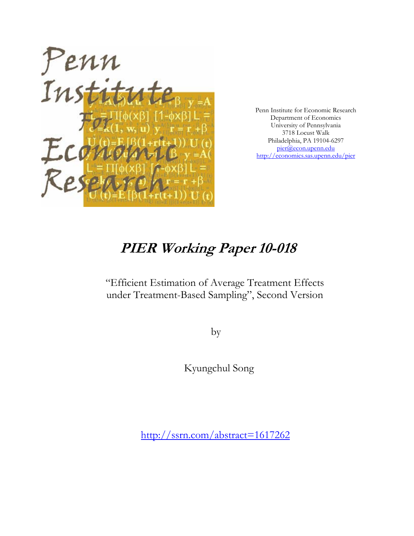

Penn Institute for Economic Research Department of Economics University of Pennsylvania 3718 Locust Walk Philadelphia, PA 19104-6297 pier@econ.upenn.edu http://economics.sas.upenn.edu/pier

# **PIER Working Paper 10-018**

"Efficient Estimation of Average Treatment Effects under Treatment-Based Sampling", Second Version

by

Kyungchul Song

[http://ssrn.com/abstract=](http://ssrn.com/abstract=1617262)1617262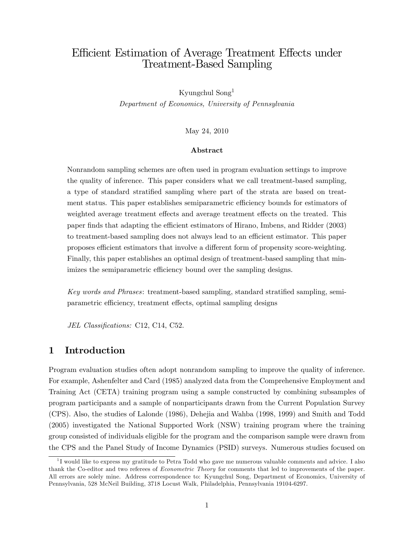# Efficient Estimation of Average Treatment Effects under Treatment-Based Sampling

Kyungchul Song<sup>1</sup> Department of Economics, University of Pennsylvania

May 24, 2010

#### Abstract

Nonrandom sampling schemes are often used in program evaluation settings to improve the quality of inference. This paper considers what we call treatment-based sampling, a type of standard stratified sampling where part of the strata are based on treatment status. This paper establishes semiparametric efficiency bounds for estimators of weighted average treatment effects and average treatment effects on the treated. This paper finds that adapting the efficient estimators of Hirano, Imbens, and Ridder (2003) to treatment-based sampling does not always lead to an efficient estimator. This paper proposes efficient estimators that involve a different form of propensity score-weighting. Finally, this paper establishes an optimal design of treatment-based sampling that minimizes the semiparametric efficiency bound over the sampling designs.

Key words and Phrases: treatment-based sampling, standard stratified sampling, semiparametric efficiency, treatment effects, optimal sampling designs

JEL Classifications: C12, C14, C52.

## 1 Introduction

Program evaluation studies often adopt nonrandom sampling to improve the quality of inference. For example, Ashenfelter and Card (1985) analyzed data from the Comprehensive Employment and Training Act (CETA) training program using a sample constructed by combining subsamples of program participants and a sample of nonparticipants drawn from the Current Population Survey (CPS). Also, the studies of Lalonde (1986), Dehejia and Wahba (1998, 1999) and Smith and Todd (2005) investigated the National Supported Work (NSW) training program where the training group consisted of individuals eligible for the program and the comparison sample were drawn from the CPS and the Panel Study of Income Dynamics (PSID) surveys. Numerous studies focused on

<sup>&</sup>lt;sup>1</sup>I would like to express my gratitude to Petra Todd who gave me numerous valuable comments and advice. I also thank the Co-editor and two referees of Econometric Theory for comments that led to improvements of the paper. All errors are solely mine. Address correspondence to: Kyungchul Song, Department of Economics, University of Pennsylvania, 528 McNeil Building, 3718 Locust Walk, Philadelphia, Pennsylvania 19104-6297.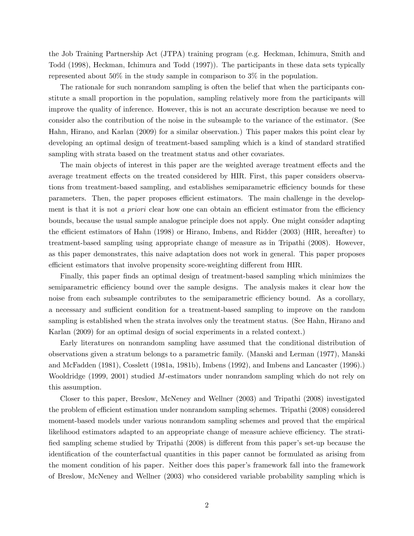the Job Training Partnership Act (JTPA) training program (e.g. Heckman, Ichimura, Smith and Todd (1998), Heckman, Ichimura and Todd (1997)). The participants in these data sets typically represented about 50% in the study sample in comparison to 3% in the population.

The rationale for such nonrandom sampling is often the belief that when the participants constitute a small proportion in the population, sampling relatively more from the participants will improve the quality of inference. However, this is not an accurate description because we need to consider also the contribution of the noise in the subsample to the variance of the estimator. (See Hahn, Hirano, and Karlan (2009) for a similar observation.) This paper makes this point clear by developing an optimal design of treatment-based sampling which is a kind of standard stratified sampling with strata based on the treatment status and other covariates.

The main objects of interest in this paper are the weighted average treatment effects and the average treatment effects on the treated considered by HIR. First, this paper considers observations from treatment-based sampling, and establishes semiparametric efficiency bounds for these parameters. Then, the paper proposes efficient estimators. The main challenge in the development is that it is not a *priori* clear how one can obtain an efficient estimator from the efficiency bounds, because the usual sample analogue principle does not apply. One might consider adapting the efficient estimators of Hahn (1998) or Hirano, Imbens, and Ridder (2003) (HIR, hereafter) to treatment-based sampling using appropriate change of measure as in Tripathi (2008). However, as this paper demonstrates, this naive adaptation does not work in general. This paper proposes efficient estimators that involve propensity score-weighting different from HIR.

Finally, this paper finds an optimal design of treatment-based sampling which minimizes the semiparametric efficiency bound over the sample designs. The analysis makes it clear how the noise from each subsample contributes to the semiparametric efficiency bound. As a corollary, a necessary and sufficient condition for a treatment-based sampling to improve on the random sampling is established when the strata involves only the treatment status. (See Hahn, Hirano and Karlan (2009) for an optimal design of social experiments in a related context.)

Early literatures on nonrandom sampling have assumed that the conditional distribution of observations given a stratum belongs to a parametric family. (Manski and Lerman (1977), Manski and McFadden (1981), Cosslett (1981a, 1981b), Imbens (1992), and Imbens and Lancaster (1996).) Wooldridge (1999, 2001) studied M-estimators under nonrandom sampling which do not rely on this assumption.

Closer to this paper, Breslow, McNeney and Wellner (2003) and Tripathi (2008) investigated the problem of efficient estimation under nonrandom sampling schemes. Tripathi (2008) considered moment-based models under various nonrandom sampling schemes and proved that the empirical likelihood estimators adapted to an appropriate change of measure achieve efficiency. The stratified sampling scheme studied by Tripathi (2008) is different from this paper's set-up because the identification of the counterfactual quantities in this paper cannot be formulated as arising from the moment condition of his paper. Neither does this paper's framework fall into the framework of Breslow, McNeney and Wellner (2003) who considered variable probability sampling which is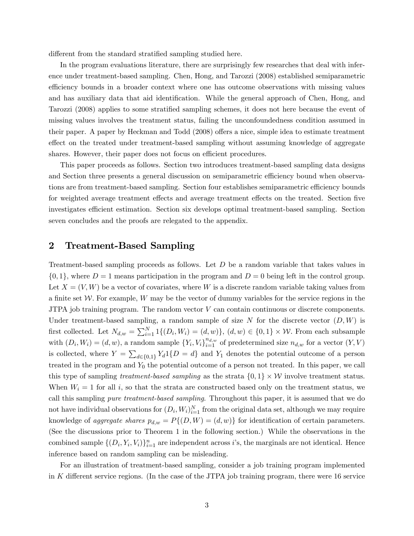different from the standard stratified sampling studied here.

In the program evaluations literature, there are surprisingly few researches that deal with inference under treatment-based sampling. Chen, Hong, and Tarozzi (2008) established semiparametric efficiency bounds in a broader context where one has outcome observations with missing values and has auxiliary data that aid identification. While the general approach of Chen, Hong, and Tarozzi (2008) applies to some stratified sampling schemes, it does not here because the event of missing values involves the treatment status, failing the unconfoundedness condition assumed in their paper. A paper by Heckman and Todd  $(2008)$  offers a nice, simple idea to estimate treatment effect on the treated under treatment-based sampling without assuming knowledge of aggregate shares. However, their paper does not focus on efficient procedures.

This paper proceeds as follows. Section two introduces treatment-based sampling data designs and Section three presents a general discussion on semiparametric efficiency bound when observations are from treatment-based sampling. Section four establishes semiparametric efficiency bounds for weighted average treatment effects and average treatment effects on the treated. Section five investigates efficient estimation. Section six develops optimal treatment-based sampling. Section seven concludes and the proofs are relegated to the appendix.

#### 2 Treatment-Based Sampling

Treatment-based sampling proceeds as follows. Let D be a random variable that takes values in  $\{0, 1\}$ , where  $D = 1$  means participation in the program and  $D = 0$  being left in the control group. Let  $X = (V, W)$  be a vector of covariates, where W is a discrete random variable taking values from a finite set  $W$ . For example, W may be the vector of dummy variables for the service regions in the JTPA job training program. The random vector  $V$  can contain continuous or discrete components. Under treatment-based sampling, a random sample of size N for the discrete vector  $(D, W)$  is first collected. Let  $N_{d,w} = \sum_{i=1}^{N} 1\{(D_i, W_i) = (d, w)\}, (d, w) \in \{0, 1\} \times \mathcal{W}$ . From each subsample with  $(D_i, W_i) = (d, w)$ , a random sample  ${Y_i, V_i}_{i=1}^{n_{d,w}}$  of predetermined size  $n_{d,w}$  for a vector  $(Y, V)$ is collected, where  $Y = \sum_{d \in \{0,1\}} Y_d \mathbb{1}{D = d}$  and  $Y_1$  denotes the potential outcome of a person treated in the program and  $Y_0$  the potential outcome of a person not treated. In this paper, we call this type of sampling *treatment-based sampling* as the strata  $\{0, 1\} \times W$  involve treatment status. When  $W_i = 1$  for all i, so that the strata are constructed based only on the treatment status, we call this sampling pure treatment-based sampling. Throughout this paper, it is assumed that we do not have individual observations for  $(D_i, W_i)_{i=1}^N$  from the original data set, although we may require knowledge of aggregate shares  $p_{d,w} = P\{(D, W) = (d, w)\}\$ for identification of certain parameters. (See the discussions prior to Theorem 1 in the following section.) While the observations in the combined sample  $\{(D_i, Y_i, V_i)\}_{i=1}^n$  are independent across *i*'s, the marginals are not identical. Hence inference based on random sampling can be misleading.

For an illustration of treatment-based sampling, consider a job training program implemented in K different service regions. (In the case of the JTPA job training program, there were  $16$  service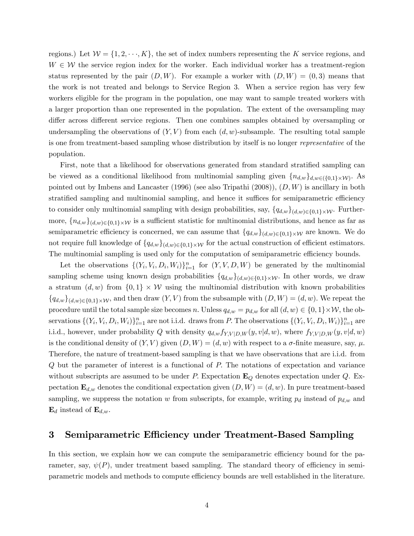regions.) Let  $\mathcal{W} = \{1, 2, \dots, K\}$ , the set of index numbers representing the K service regions, and  $W \in \mathcal{W}$  the service region index for the worker. Each individual worker has a treatment-region status represented by the pair  $(D, W)$ . For example a worker with  $(D, W) = (0, 3)$  means that the work is not treated and belongs to Service Region 3. When a service region has very few workers eligible for the program in the population, one may want to sample treated workers with a larger proportion than one represented in the population. The extent of the oversampling may differ across different service regions. Then one combines samples obtained by oversampling or undersampling the observations of  $(Y, V)$  from each  $(d, w)$ -subsample. The resulting total sample is one from treatment-based sampling whose distribution by itself is no longer representative of the population.

First, note that a likelihood for observations generated from standard stratified sampling can be viewed as a conditional likelihood from multinomial sampling given  $\{n_{d,w}\}_{d,w\in(\{0,1\}\times\mathcal{W})}$ . As pointed out by Imbens and Lancaster (1996) (see also Tripathi  $(2008)$ ),  $(D, W)$  is ancillary in both stratified sampling and multinomial sampling, and hence it suffices for semiparametric efficiency to consider only multinomial sampling with design probabilities, say,  $\{q_{d,w}\}_{(d,w)\in\{0,1\}\times\mathcal{W}}$ . Furthermore,  $\{n_{d,w}\}_{(d,w)\in\{0,1\}\times\mathcal{W}}$  is a sufficient statistic for multinomial distributions, and hence as far as semiparametric efficiency is concerned, we can assume that  $\{q_{d,w}\}_{(d,w)\in\{0,1\}\times\mathcal{W}}$  are known. We do not require full knowledge of  $\{q_{d,w}\}_{(d,w)\in\{0,1\}\times\mathcal{W}}$  for the actual construction of efficient estimators. The multinomial sampling is used only for the computation of semiparametric efficiency bounds.

Let the observations  $\{(Y_i, V_i, D_i, W_i)\}_{i=1}^n$  for  $(Y, V, D, W)$  be generated by the multinomial sampling scheme using known design probabilities  $\{q_{d,w}\}_{(d,w)\in\{0,1\}\times\mathcal{W}}$ . In other words, we draw a stratum  $(d, w)$  from  $\{0, 1\} \times W$  using the multinomial distribution with known probabilities  ${q_{d,w}}_{(d,w)\in\{0,1\}\times\mathcal{W}}$ , and then draw  $(Y, V)$  from the subsample with  $(D, W) = (d, w)$ . We repeat the procedure until the total sample size becomes n. Unless  $q_{d,w} = p_{d,w}$  for all  $(d, w) \in \{0, 1\} \times W$ , the observations  $\{(Y_i, V_i, D_i, W_i)\}_{i=1}^n$  are not i.i.d. draws from P. The observations  $\{(Y_i, V_i, D_i, W_i)\}_{i=1}^n$  are i.i.d., however, under probability Q with density  $q_{d,w} f_{Y,V|D,W}(y, v|d, w)$ , where  $f_{Y,V|D,W}(y, v|d, w)$ is the conditional density of  $(Y, V)$  given  $(D, W) = (d, w)$  with respect to a  $\sigma$ -finite measure, say,  $\mu$ . Therefore, the nature of treatment-based sampling is that we have observations that are i.i.d. from Q but the parameter of interest is a functional of P: The notations of expectation and variance without subscripts are assumed to be under P. Expectation  $\mathbf{E}_{Q}$  denotes expectation under Q. Expectation  $\mathbf{E}_{d,w}$  denotes the conditional expectation given  $(D, W) = (d, w)$ . In pure treatment-based sampling, we suppress the notation w from subscripts, for example, writing  $p_d$  instead of  $p_{d,w}$  and  $\mathbf{E}_d$  instead of  $\mathbf{E}_{d,w}$ .

#### 3 Semiparametric Efficiency under Treatment-Based Sampling

In this section, we explain how we can compute the semiparametric efficiency bound for the parameter, say,  $\psi(P)$ , under treatment based sampling. The standard theory of efficiency in semiparametric models and methods to compute efficiency bounds are well established in the literature.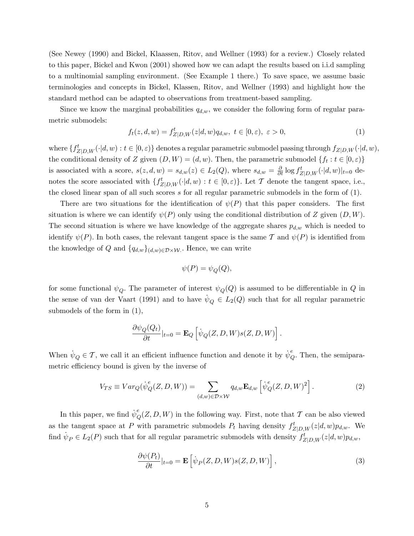(See Newey (1990) and Bickel, Klaassen, Ritov, and Wellner (1993) for a review.) Closely related to this paper, Bickel and Kwon (2001) showed how we can adapt the results based on i.i.d sampling to a multinomial sampling environment. (See Example 1 there.) To save space, we assume basic terminologies and concepts in Bickel, Klassen, Ritov, and Wellner (1993) and highlight how the standard method can be adapted to observations from treatment-based sampling.

Since we know the marginal probabilities  $q_{d,w}$ , we consider the following form of regular parametric submodels:

$$
f_t(z, d, w) = f^t_{Z|D,W}(z|d, w)q_{d,w}, \ t \in [0, \varepsilon), \ \varepsilon > 0,
$$
\n<sup>(1)</sup>

where  $\{f_{Z|D,W}^t(\cdot|d,w):t\in[0,\varepsilon)\}\$  denotes a regular parametric submodel passing through  $f_{Z|D,W}(\cdot|d,w),$ the conditional density of Z given  $(D, W) = (d, w)$ . Then, the parametric submodel  $\{f_t : t \in [0, \varepsilon)\}\$ is associated with a score,  $s(z, d, w) = s_{d,w}(z) \in L_2(Q)$ , where  $s_{d,w} = \frac{\partial}{\partial t} \log f_{Z|D,W}^t(\cdot | d, w)|_{t=0}$  denotes the score associated with  $\{f_{Z|D,W}^t(\cdot|d,w): t \in [0,\varepsilon)\}\)$ . Let  $\mathcal T$  denote the tangent space, i.e., the closed linear span of all such scores s for all regular parametric submodels in the form of  $(1)$ .

There are two situations for the identification of  $\psi(P)$  that this paper considers. The first situation is where we can identify  $\psi(P)$  only using the conditional distribution of Z given  $(D, W)$ . The second situation is where we have knowledge of the aggregate shares  $p_{d,w}$  which is needed to identify  $\psi(P)$ . In both cases, the relevant tangent space is the same T and  $\psi(P)$  is identified from the knowledge of Q and  $\{q_{d,w}\}_{(d,w)\in\mathcal{D}\times\mathcal{W}}$ . Hence, we can write

$$
\psi(P) = \psi_Q(Q),
$$

for some functional  $\psi_Q$ . The parameter of interest  $\psi_Q(Q)$  is assumed to be differentiable in Q in the sense of van der Vaart (1991) and to have  $\psi_Q \in L_2(Q)$  such that for all regular parametric submodels of the form in (1),

$$
\frac{\partial \psi_Q(Q_t)}{\partial t}|_{t=0} = \mathbf{E}_Q \left[ \dot{\psi}_Q(Z, D, W) s(Z, D, W) \right].
$$

When  $\psi_Q \in \mathcal{T}$ , we call it an efficient influence function and denote it by  $\psi_Q^e$ . Then, the semiparametric efficiency bound is given by the inverse of

$$
V_{TS} \equiv Var_Q(\dot{\psi}_Q^e(Z, D, W)) = \sum_{(d,w)\in\mathcal{D}\times\mathcal{W}} q_{d,w} \mathbf{E}_{d,w} \left[ \dot{\psi}_Q^e(Z, D, W)^2 \right]. \tag{2}
$$

In this paper, we find  $\dot{\psi}_Q^e(Z, D, W)$  in the following way. First, note that  $\mathcal T$  can be also viewed as the tangent space at P with parametric submodels  $P_t$  having density  $f_{Z|D,W}^t(z|d,w)p_{d,w}$ . We find  $\psi_P \in L_2(P)$  such that for all regular parametric submodels with density  $f_{Z|D,W}^t(z|d,w)p_{d,w}$ ,

$$
\frac{\partial \psi(P_t)}{\partial t}|_{t=0} = \mathbf{E}\left[\dot{\psi}_P(Z, D, W)s(Z, D, W)\right],\tag{3}
$$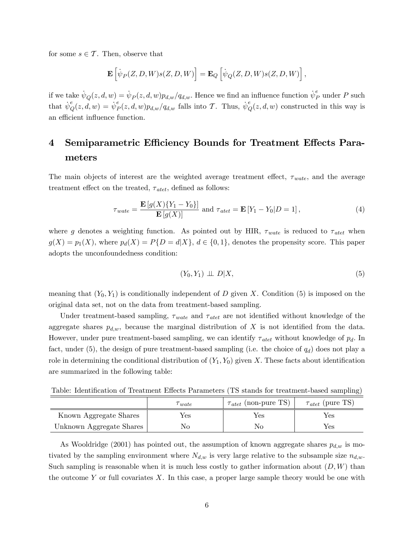for some  $s \in \mathcal{T}$ . Then, observe that

$$
\mathbf{E}\left[\dot{\psi}_P(Z,D,W)s(Z,D,W)\right] = \mathbf{E}_Q\left[\dot{\psi}_Q(Z,D,W)s(Z,D,W)\right],
$$

if we take  $\dot{\psi}_Q(z, d, w) = \dot{\psi}_P(z, d, w)p_{d,w}/q_{d,w}$ . Hence we find an influence function  $\dot{\psi}_P^e$  under P such that  $\dot{\psi}_Q^e(z, d, w) = \dot{\psi}_I^e$  ${}_{P}^{e}(z, d, w)p_{d,w}/q_{d,w}$  falls into T. Thus,  $\dot{\psi}_{Q}^{e}(z, d, w)$  constructed in this way is an efficient influence function.

# 4 Semiparametric Efficiency Bounds for Treatment Effects Parameters

The main objects of interest are the weighted average treatment effect,  $\tau_{wate}$ , and the average treatment effect on the treated,  $\tau_{\text{atet}}$ , defined as follows:

$$
\tau_{wate} = \frac{\mathbf{E}\left[g(X)\{Y_1 - Y_0\}\right]}{\mathbf{E}\left[g(X)\right]} \text{ and } \tau_{atet} = \mathbf{E}\left[Y_1 - Y_0|D = 1\right],\tag{4}
$$

where g denotes a weighting function. As pointed out by HIR,  $\tau_{wate}$  is reduced to  $\tau_{\text{atet}}$  when  $g(X) = p_1(X)$ , where  $p_d(X) = P\{D = d|X\}$ ,  $d \in \{0,1\}$ , denotes the propensity score. This paper adopts the unconfoundedness condition:

$$
(Y_0, Y_1) \perp \!\!\!\perp D|X,\tag{5}
$$

meaning that  $(Y_0, Y_1)$  is conditionally independent of D given X. Condition (5) is imposed on the original data set, not on the data from treatment-based sampling.

Under treatment-based sampling,  $\tau_{wate}$  and  $\tau_{atet}$  are not identified without knowledge of the aggregate shares  $p_{d,w}$ , because the marginal distribution of X is not identified from the data. However, under pure treatment-based sampling, we can identify  $\tau_{\text{atet}}$  without knowledge of  $p_d$ . In fact, under (5), the design of pure treatment-based sampling (i.e. the choice of  $q_d$ ) does not play a role in determining the conditional distribution of  $(Y_1, Y_0)$  given X. These facts about identification are summarized in the following table:

Table: Identification of Treatment Effects Parameters (TS stands for treatment-based sampling)

|                          | wate | $\tau_{\text{atet}}$ (non-pure TS) | $\tau_{\text{atet}}$ (pure TS) |
|--------------------------|------|------------------------------------|--------------------------------|
| Known Aggregate Shares   | Yes  | Yes                                | Yes                            |
| Unknown Aggregate Shares | NО   |                                    | $\operatorname{Yes}$           |

As Wooldridge (2001) has pointed out, the assumption of known aggregate shares  $p_{d,w}$  is motivated by the sampling environment where  $N_{d,w}$  is very large relative to the subsample size  $n_{d,w}$ . Such sampling is reasonable when it is much less costly to gather information about  $(D, W)$  than the outcome Y or full covariates X. In this case, a proper large sample theory would be one with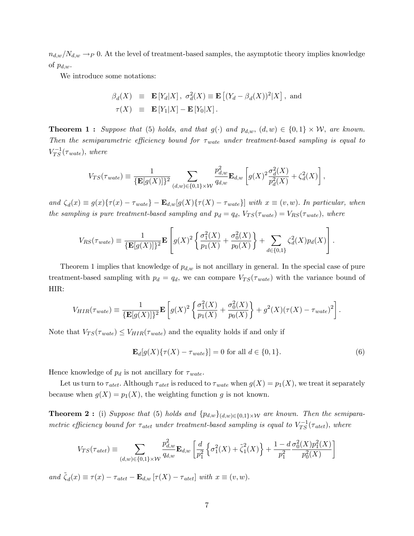$n_{d,w}/N_{d,w} \rightarrow P$  0. At the level of treatment-based samples, the asymptotic theory implies knowledge of  $p_{d,w}$ .

We introduce some notations:

$$
\beta_d(X) \equiv \mathbf{E}[Y_d|X], \sigma_d^2(X) \equiv \mathbf{E}[(Y_d - \beta_d(X))^2|X], \text{ and}
$$
  

$$
\tau(X) \equiv \mathbf{E}[Y_1|X] - \mathbf{E}[Y_0|X].
$$

**Theorem 1:** Suppose that (5) holds, and that  $g(\cdot)$  and  $p_{d,w}$ ,  $(d,w) \in \{0,1\} \times W$ , are known. Then the semiparametric efficiency bound for  $\tau_{wate}$  under treatment-based sampling is equal to  $V_{TS}^{-1}(\tau_{wate}),$  where

$$
V_{TS}(\tau_{wate}) \equiv \frac{1}{\{\mathbf{E}[g(X)]\}^2} \sum_{(d,w)\in\{0,1\}\times\mathcal{W}} \frac{p_{d,w}^2}{q_{d,w}} \mathbf{E}_{d,w} \left[ g(X)^2 \frac{\sigma_d^2(X)}{p_d^2(X)} + \zeta_d^2(X) \right],
$$

and  $\zeta_d(x) \equiv g(x)\{\tau(x) - \tau_{wate}\} - \mathbf{E}_{d,w}[g(X)\{\tau(X) - \tau_{wate}\}]$  with  $x \equiv (v, w)$ . In particular, when the sampling is pure treatment-based sampling and  $p_d = q_d$ ,  $V_{TS}(\tau_{wate}) = V_{RS}(\tau_{wate})$ , where

$$
V_{RS}(\tau_{wate}) \equiv \frac{1}{\{\mathbf{E}[g(X)]\}^2} \mathbf{E}\left[g(X)^2 \left\{\frac{\sigma_1^2(X)}{p_1(X)} + \frac{\sigma_0^2(X)}{p_0(X)}\right\} + \sum_{d \in \{0,1\}} \zeta_d^2(X) p_d(X)\right].
$$

Theorem 1 implies that knowledge of  $p_{d,w}$  is not ancillary in general. In the special case of pure treatment-based sampling with  $p_d = q_d$ , we can compare  $V_{TS}(\tau_{wate})$  with the variance bound of HIR:

$$
V_{HIR}(\tau_{wate}) \equiv \frac{1}{\{\mathbf{E}[g(X)]\}^2} \mathbf{E}\left[g(X)^2 \left\{\frac{\sigma_1^2(X)}{p_1(X)} + \frac{\sigma_0^2(X)}{p_0(X)}\right\} + g^2(X)(\tau(X) - \tau_{wate})^2\right].
$$

Note that  $V_{TS}(\tau_{wate}) \leq V_{HIR}(\tau_{wate})$  and the equality holds if and only if

$$
\mathbf{E}_{d}[g(X)\{\tau(X) - \tau_{wate}\}] = 0 \text{ for all } d \in \{0, 1\}.
$$
 (6)

Hence knowledge of  $p_d$  is not ancillary for  $\tau_{wate}$ .

Let us turn to  $\tau_{\text{atet}}$ . Although  $\tau_{\text{atet}}$  is reduced to  $\tau_{\text{water}}$  when  $g(X) = p_1(X)$ , we treat it separately because when  $g(X) = p_1(X)$ , the weighting function g is not known.

**Theorem 2:** (i) Suppose that (5) holds and  $\{p_{d,w}\}_{(d,w)\in\{0,1\}\times\mathcal{W}}$  are known. Then the semiparametric efficiency bound for  $\tau_{\text{atet}}$  under treatment-based sampling is equal to  $V_{TS}^{-1}(\tau_{\text{atet}})$ , where

$$
V_{TS}(\tau_{atet}) \equiv \sum_{(d,w)\in\{0,1\}\times\mathcal{W}} \frac{p_{d,w}^2}{q_{d,w}} \mathbf{E}_{d,w} \left[ \frac{d}{p_1^2} \left\{ \sigma_1^2(X) + \tilde{\zeta}_1^2(X) \right\} + \frac{1-d}{p_1^2} \frac{\sigma_0^2(X) p_1^2(X)}{p_0^2(X)} \right]
$$

and  $\tilde{\zeta}_d(x) \equiv \tau(x) - \tau_{atet} - \mathbf{E}_{d,w} [\tau(X) - \tau_{atet}]$  with  $x \equiv (v, w)$ .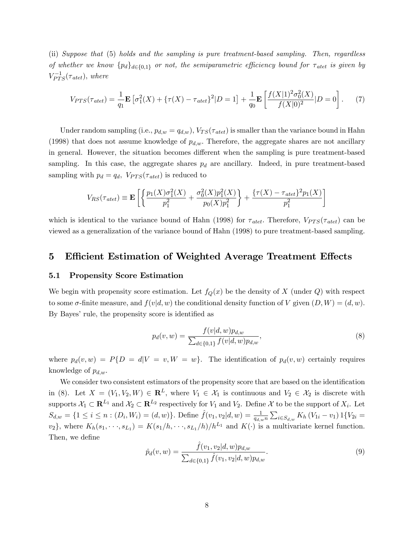(ii) Suppose that (5) holds and the sampling is pure treatment-based sampling. Then, regardless of whether we know  ${p_d}_{d \in \{0,1\}}$  or not, the semiparametric efficiency bound for  $\tau_{\text{atet}}$  is given by  $V_{PTS}^{-1}(\tau_{\text{atet}})$ , where

$$
V_{PTS}(\tau_{\text{atet}}) = \frac{1}{q_1} \mathbf{E} \left[ \sigma_1^2(X) + \{ \tau(X) - \tau_{\text{atet}} \}^2 | D = 1 \right] + \frac{1}{q_0} \mathbf{E} \left[ \frac{f(X|1)^2 \sigma_0^2(X)}{f(X|0)^2} | D = 0 \right]. \tag{7}
$$

Under random sampling (i.e.,  $p_{d,w} = q_{d,w}$ ),  $V_{TS}(\tau_{\text{atet}})$  is smaller than the variance bound in Hahn (1998) that does not assume knowledge of  $p_{d,w}$ . Therefore, the aggregate shares are not ancillary in general. However, the situation becomes different when the sampling is pure treatment-based sampling. In this case, the aggregate shares  $p_d$  are ancillary. Indeed, in pure treatment-based sampling with  $p_d = q_d$ ,  $V_{PTS}(\tau_{\text{atet}})$  is reduced to

$$
V_{RS}(\tau_{\text{atet}}) \equiv \mathbf{E}\left[\left\{\frac{p_1(X)\sigma_1^2(X)}{p_1^2} + \frac{\sigma_0^2(X)p_1^2(X)}{p_0(X)p_1^2}\right\} + \frac{\{\tau(X) - \tau_{\text{atet}}\}^2 p_1(X)}{p_1^2}\right]
$$

which is identical to the variance bound of Hahn (1998) for  $\tau_{\text{atet}}$ . Therefore,  $V_{PTS}(\tau_{\text{atet}})$  can be viewed as a generalization of the variance bound of Hahn (1998) to pure treatment-based sampling.

#### 5 Efficient Estimation of Weighted Average Treatment Effects

#### 5.1 Propensity Score Estimation

We begin with propensity score estimation. Let  $f_Q(x)$  be the density of X (under Q) with respect to some  $\sigma$ -finite measure, and  $f(v|d, w)$  the conditional density function of V given  $(D, W) = (d, w)$ . By Bayes' rule, the propensity score is identified as

$$
p_d(v, w) = \frac{f(v|d, w)p_{d,w}}{\sum_{d \in \{0,1\}} f(v|d, w)p_{d,w}},
$$
\n(8)

where  $p_d(v, w) = P\{D = d|V = v, W = w\}$ . The identification of  $p_d(v, w)$  certainly requires knowledge of  $p_{d,w}$ .

We consider two consistent estimators of the propensity score that are based on the identification in (8). Let  $X = (V_1, V_2, W) \in \mathbb{R}^L$ , where  $V_1 \in \mathcal{X}_1$  is continuous and  $V_2 \in \mathcal{X}_2$  is discrete with supports  $\mathcal{X}_1 \subset \mathbb{R}^{L_1}$  and  $\mathcal{X}_2 \subset \mathbb{R}^{L_2}$  respectively for  $V_1$  and  $V_2$ . Define  $\mathcal X$  to be the support of  $X_i$ . Let  $S_{d,w} = \{1 \leq i \leq n : (D_i, W_i) = (d, w)\}\.$  Define  $\hat{f}(v_1, v_2 | d, w) = \frac{1}{q_{d,w}n} \sum_{i \in S_{d,w}} K_h (V_{1i} - v_1) 1\{V_{2i} =$  $v_2$ , where  $K_h(s_1, \dots, s_{L_1}) = K(s_1/h, \dots, s_{L_1}/h)/h^{L_1}$  and  $K(\cdot)$  is a multivariate kernel function. Then, we define

$$
\hat{p}_d(v, w) = \frac{\hat{f}(v_1, v_2 | d, w) p_{d,w}}{\sum_{d \in \{0, 1\}} \hat{f}(v_1, v_2 | d, w) p_{d,w}}.
$$
\n(9)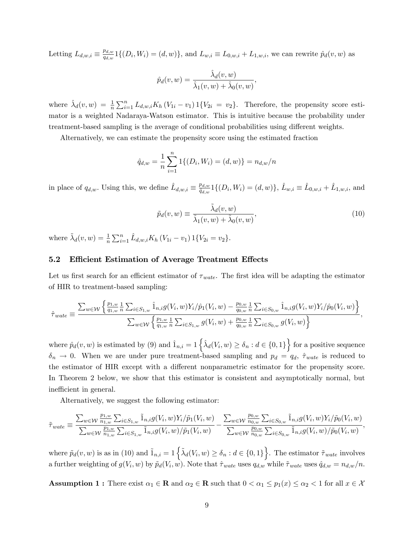Letting  $L_{d,w,i} \equiv \frac{p_{d,w}}{q_{d,w}}$  $\frac{d_{p d, w}}{d_{q d, w}} 1\{(D_i, W_i) = (d, w)\},$  and  $L_{w,i} \equiv L_{0, w, i} + L_{1, w, i}$ , we can rewrite  $\hat{p}_d(v, w)$  as

$$
\hat{p}_d(v, w) = \frac{\hat{\lambda}_d(v, w)}{\hat{\lambda}_1(v, w) + \hat{\lambda}_0(v, w)},
$$

where  $\hat{\lambda}_d(v, w) = \frac{1}{n} \sum_{i=1}^n L_{d,w,i} K_h (V_{1i} - v_1) 1\{V_{2i} = v_2\}$ . Therefore, the propensity score estimator is a weighted Nadaraya-Watson estimator. This is intuitive because the probability under treatment-based sampling is the average of conditional probabilities using different weights.

Alternatively, we can estimate the propensity score using the estimated fraction

$$
\hat{q}_{d,w} = \frac{1}{n} \sum_{i=1}^{n} 1 \{ (D_i, W_i) = (d, w) \} = n_{d,w}/n
$$

in place of  $q_{d,w}$ . Using this, we define  $\hat{L}_{d,w,i} \equiv \frac{p_{d,w}}{\hat{q}_{d,w}}$  $\frac{p_{d,w}}{\hat{q}_{d,w}}1\{(D_i, W_i) = (d,w)\},\, \hat{L}_{w,i} \equiv \hat{L}_{0,w,i} + \hat{L}_{1,w,i},\, \text{and}$ 

$$
\tilde{p}_d(v, w) \equiv \frac{\tilde{\lambda}_d(v, w)}{\tilde{\lambda}_1(v, w) + \tilde{\lambda}_0(v, w)},
$$
\n(10)

where  $\tilde{\lambda}_d(v, w) = \frac{1}{n} \sum_{i=1}^n \hat{L}_{d,w,i} K_h (V_{1i} - v_1) 1 \{V_{2i} = v_2\}.$ 

#### 5.2 Efficient Estimation of Average Treatment Effects

Let us first search for an efficient estimator of  $\tau_{wate}$ . The first idea will be adapting the estimator of HIR to treatment-based sampling:

$$
\hat{\tau}_{wate} \equiv \frac{\sum_{w \in \mathcal{W}} \left\{ \frac{p_{1,w}}{q_{1,w}} \frac{1}{n} \sum_{i \in S_{1,w}} \hat{1}_{n,i} g(V_i, w) Y_i / \hat{p}_1(V_i, w) - \frac{p_{0,w}}{q_{0,w}} \frac{1}{n} \sum_{i \in S_{0,w}} \hat{1}_{n,i} g(V_i, w) Y_i / \hat{p}_0(V_i, w) \right\}}{\sum_{w \in \mathcal{W}} \left\{ \frac{p_{1,w}}{q_{1,w}} \frac{1}{n} \sum_{i \in S_{1,w}} g(V_i, w) + \frac{p_{0,w}}{q_{0,w}} \frac{1}{n} \sum_{i \in S_{0,w}} g(V_i, w) \right\}},
$$

where  $\hat{p}_d(v, w)$  is estimated by (9) and  $\hat{1}_{n,i} = 1 \left\{ \hat{\lambda}_d(V_i, w) \ge \delta_n : d \in \{0, 1\} \right\}$  for a positive sequence  $\delta_n \to 0$ . When we are under pure treatment-based sampling and  $p_d = q_d$ ,  $\hat{\tau}_{wate}$  is reduced to the estimator of HIR except with a different nonparametric estimator for the propensity score. In Theorem 2 below, we show that this estimator is consistent and asymptotically normal, but inefficient in general.

Alternatively, we suggest the following estimator:

$$
\tilde{\tau}_{wate} \equiv \frac{\sum_{w \in \mathcal{W}} \frac{p_{1,w}}{n_{1,w}} \sum_{i \in S_{1,w}} \tilde{1}_{n,i} g(V_i, w) Y_i / \tilde{p}_1(V_i, w)}{\sum_{w \in \mathcal{W}} \frac{p_{1,w}}{n_{1,w}} \sum_{i \in S_{1,w}} \tilde{1}_{n,i} g(V_i, w) / \tilde{p}_1(V_i, w)} - \frac{\sum_{w \in \mathcal{W}} \frac{p_{0,w}}{n_{0,w}} \sum_{i \in S_{0,w}} \tilde{1}_{n,i} g(V_i, w) Y_i / \tilde{p}_0(V_i, w)}{\sum_{w \in \mathcal{W}} \frac{p_{0,w}}{n_{0,w}} \sum_{i \in S_{0,w}} \tilde{1}_{n,i} g(V_i, w) / \tilde{p}_0(V_i, w)},
$$

where  $\tilde{p}_d(v, w)$  is as in (10) and  $\tilde{1}_{n,i} = 1 \left\{ \tilde{\lambda}_d(V_i, w) \ge \delta_n : d \in \{0, 1\} \right\}$ . The estimator  $\tilde{\tau}_{wate}$  involves a further weighting of  $g(V_i, w)$  by  $\tilde{p}_d(V_i, w)$ . Note that  $\hat{\tau}_{wate}$  uses  $q_{d,w}$  while  $\tilde{\tau}_{wate}$  uses  $\hat{q}_{d,w} = n_{d,w}/n$ .

**Assumption 1 :** There exist  $\alpha_1 \in \mathbb{R}$  and  $\alpha_2 \in \mathbb{R}$  such that  $0 < \alpha_1 \le p_1(x) \le \alpha_2 < 1$  for all  $x \in \mathcal{X}$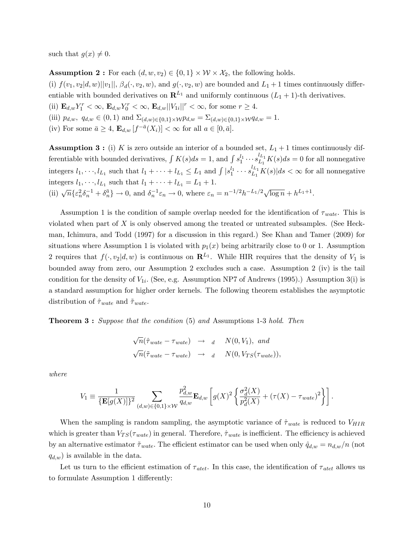such that  $g(x) \neq 0$ .

**Assumption 2**: For each  $(d, w, v_2) \in \{0, 1\} \times W \times \mathcal{X}_2$ , the following holds.

(i)  $f(v_1, v_2|d, w)||v_1||$ ,  $\beta_d(\cdot, v_2, w)$ , and  $g(\cdot, v_2, w)$  are bounded and  $L_1 + 1$  times continuously differentiable with bounded derivatives on  $\mathbb{R}^{L_1}$  and uniformly continuous  $(L_1 + 1)$ -th derivatives. (ii)  $\mathbf{E}_{d,w} Y_1^r < \infty$ ,  $\mathbf{E}_{d,w} Y_0^r < \infty$ ,  $\mathbf{E}_{d,w} ||V_{1i}||^r < \infty$ , for some  $r \geq 4$ . (iii)  $p_{d,w}, q_{d,w} \in (0,1)$  and  $\Sigma_{(d,w)\in\{0,1\}\times \mathcal{W}} p_{d,w} = \Sigma_{(d,w)\in\{0,1\}\times \mathcal{W}} q_{d,w} = 1.$ (iv) For some  $\bar{a} \geq 4$ ,  $\mathbf{E}_{d,w}[f^{-\bar{a}}(X_i)] < \infty$  for all  $a \in [0, \bar{a}]$ .

**Assumption 3**: (i) K is zero outside an interior of a bounded set,  $L_1 + 1$  times continuously differentiable with bounded derivatives,  $\int K(s)ds = 1$ , and  $\int s_1^{l_1} \cdots s_{L_1}^{l_{L_1}} K(s)ds = 0$  for all nonnegative integers  $l_1, \dots, l_{L_1}$  such that  $l_1 + \dots + l_{L_1} \leq L_1$  and  $\int |s_1^{l_1} \dots s_{L_1}^{l_{L_1}} K(s)| ds < \infty$  for all nonnegative integers  $l_1, \dots, l_{L_1}$  such that  $l_1 + \dots + l_{L_1} = L_1 + 1$ . (ii)  $\sqrt{n} \{ \varepsilon_n^2 \delta_n^{-1} + \delta_n^{\bar{a}} \} \to 0$ , and  $\delta_n^{-1} \varepsilon_n \to 0$ , where  $\varepsilon_n = n^{-1/2} h^{-L_1/2} \sqrt{\log n} + h^{L_1+1}$ .

Assumption 1 is the condition of sample overlap needed for the identification of  $\tau_{wate}$ . This is violated when part of  $X$  is only observed among the treated or untreated subsamples. (See Heckman, Ichimura, and Todd (1997) for a discussion in this regard.) See Khan and Tamer (2009) for situations where Assumption 1 is violated with  $p_1(x)$  being arbitrarily close to 0 or 1. Assumption 2 requires that  $f(\cdot, v_2|d, w)$  is continuous on  $\mathbb{R}^{L_1}$ . While HIR requires that the density of  $V_1$  is bounded away from zero, our Assumption 2 excludes such a case. Assumption 2 (iv) is the tail condition for the density of  $V_{1i}$ . (See, e.g. Assumption NP7 of Andrews (1995).) Assumption 3(i) is a standard assumption for higher order kernels. The following theorem establishes the asymptotic distribution of  $\hat{\tau}_{wate}$  and  $\tilde{\tau}_{wate}$ .

**Theorem 3:** Suppose that the condition (5) and Assumptions 1-3 hold. Then

$$
\sqrt{n}(\hat{\tau}_{wate} - \tau_{wate}) \rightarrow d \quad N(0, V_1), \text{ and}
$$
  

$$
\sqrt{n}(\tilde{\tau}_{wate} - \tau_{wate}) \rightarrow d \quad N(0, V_{TS}(\tau_{wate})),
$$

where

$$
V_1 \equiv \frac{1}{\{\mathbf{E}[g(X)]\}^2} \sum_{(d,w)\in\{0,1\}\times\mathcal{W}} \frac{p_{d,w}^2}{q_{d,w}} \mathbf{E}_{d,w} \left[ g(X)^2 \left\{ \frac{\sigma_d^2(X)}{p_d^2(X)} + (\tau(X) - \tau_{wate})^2 \right\} \right].
$$

When the sampling is random sampling, the asymptotic variance of  $\hat{\tau}_{wate}$  is reduced to  $V_{HIR}$ which is greater than  $V_{TS}(\tau_{wate})$  in general. Therefore,  $\hat{\tau}_{wate}$  is inefficient. The efficiency is achieved by an alternative estimator  $\tilde{\tau}_{wate}$ . The efficient estimator can be used when only  $\hat{q}_{d,w} = n_{d,w}/n$  (not  $q_{d,w}$ ) is available in the data.

Let us turn to the efficient estimation of  $\tau_{\text{atet}}$ . In this case, the identification of  $\tau_{\text{atet}}$  allows us to formulate Assumption 1 differently: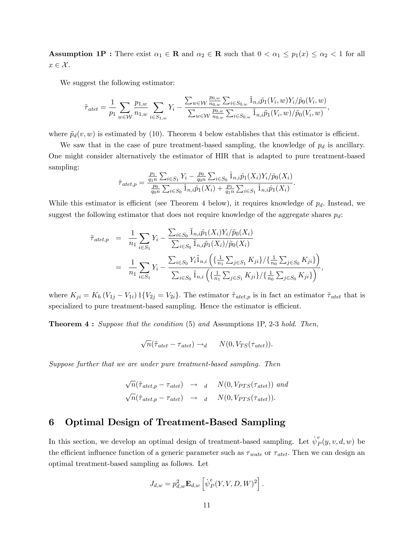**Assumption 1P**: There exist  $\alpha_1 \in \mathbb{R}$  and  $\alpha_2 \in \mathbb{R}$  such that  $0 < \alpha_1 \leq p_1(x) \leq \alpha_2 < 1$  for all  $x \in \mathcal{X}$ .

We suggest the following estimator:

$$
\tilde{\tau}_{\text{atet}} = \frac{1}{p_1} \sum_{w \in \mathcal{W}} \frac{p_{1,w}}{n_{1,w}} \sum_{i \in S_{1,w}} Y_i - \frac{\sum_{w \in \mathcal{W}} \frac{p_{0,w}}{n_{0,w}} \sum_{i \in S_{0,w}} \tilde{1}_{n,i} \tilde{p}_1(V_i, w) Y_i/\tilde{p}_0(V_i, w)}{\sum_{w \in \mathcal{W}} \frac{p_{0,w}}{n_{0,w}} \sum_{i \in S_{0,w}} \tilde{1}_{n,i} \tilde{p}_1(V_i, w)/\tilde{p}_0(V_i, w)},
$$

where  $\tilde{p}_d(v, w)$  is estimated by (10). Theorem 4 below establishes that this estimator is efficient.

We saw that in the case of pure treatment-based sampling, the knowledge of  $p_d$  is ancillary. One might consider alternatively the estimator of HIR that is adapted to pure treatment-based sampling:

$$
\hat{\tau}_{\text{atet},p} = \frac{\frac{p_1}{q_1 n} \sum_{i \in S_1} Y_i - \frac{p_0}{q_0 n} \sum_{i \in S_0} \hat{1}_{n,i} \hat{p}_1(X_i) Y_i / \hat{p}_0(X_i)}{\frac{p_0}{q_0 n} \sum_{i \in S_0} \hat{1}_{n,i} \hat{p}_1(X_i) + \frac{p_1}{q_1 n} \sum_{i \in S_1} \hat{1}_{n,i} \hat{p}_1(X_i)}.
$$

While this estimator is efficient (see Theorem 4 below), it requires knowledge of  $p_d$ . Instead, we suggest the following estimator that does not require knowledge of the aggregate shares  $p_d$ :

$$
\tilde{\tau}_{\text{atet},p} = \frac{1}{n_1} \sum_{i \in S_1} Y_i - \frac{\sum_{i \in S_0} \tilde{1}_{n,i} \tilde{p}_1(X_i) Y_i / \tilde{p}_0(X_i)}{\sum_{i \in S_0} \tilde{1}_{n,i} \tilde{p}_1(X_i) / \tilde{p}_0(X_i)} \\
= \frac{1}{n_1} \sum_{i \in S_1} Y_i - \frac{\sum_{i \in S_0} Y_i \tilde{1}_{n,i} \left( \left\{ \frac{1}{n_1} \sum_{j \in S_1} K_{ji} \right\} / \left\{ \frac{1}{n_0} \sum_{j \in S_0} K_{ji} \right\} \right)}{\sum_{i \in S_0} \tilde{1}_{n,i} \left( \left\{ \frac{1}{n_1} \sum_{j \in S_1} K_{ji} \right\} / \left\{ \frac{1}{n_0} \sum_{j \in S_0} K_{ji} \right\} \right)},
$$

where  $K_{ji} = K_h (V_{1j} - V_{1i}) 1\{V_{2j} = V_{2i}\}\.$  The estimator  $\tilde{\tau}_{\text{atet,p}}$  is in fact an estimator  $\tilde{\tau}_{\text{atet}}$  that is specialized to pure treatment-based sampling. Hence the estimator is efficient.

Theorem 4 : Suppose that the condition (5) and Assumptions 1P, 2-3 hold. Then,

$$
\sqrt{n}(\tilde{\tau}_{\text{atet}} - \tau_{\text{atet}}) \rightarrow_d \qquad N(0, V_{TS}(\tau_{\text{atet}})).
$$

Suppose further that we are under pure treatment-based sampling. Then

$$
\sqrt{n}(\tilde{\tau}_{\text{atet},p} - \tau_{\text{atet}}) \rightarrow d \quad N(0, V_{PTS}(\tau_{\text{atet}})) \text{ and}
$$
  

$$
\sqrt{n}(\tilde{\tau}_{\text{atet},p} - \tau_{\text{atet}}) \rightarrow d \quad N(0, V_{PTS}(\tau_{\text{atet}})).
$$

## 6 Optimal Design of Treatment-Based Sampling

In this section, we develop an optimal design of treatment-based sampling. Let  $\psi^e_\mu$  $P<sub>P</sub>(y, v, d, w)$  be the efficient influence function of a generic parameter such as  $\tau_{wate}$  or  $\tau_{\text{atet}}$ . Then we can design an optimal treatment-based sampling as follows. Let

$$
J_{d,w} = p_{d,w}^2 \mathbf{E}_{d,w} \left[ \psi_P^e(Y, V, D, W)^2 \right].
$$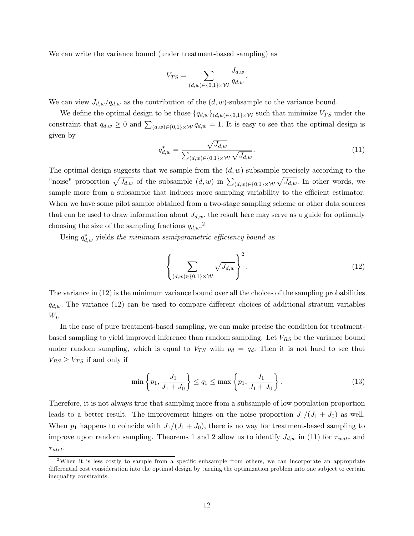We can write the variance bound (under treatment-based sampling) as

$$
V_{TS} = \sum_{(d,w)\in\{0,1\}\times\mathcal{W}} \frac{J_{d,w}}{q_{d,w}}.
$$

We can view  $J_{d,w}/q_{d,w}$  as the contribution of the  $(d, w)$ -subsample to the variance bound.

We define the optimal design to be those  $\{q_{d,w}\}_{(d,w)\in\{0,1\}\times\mathcal{W}}$  such that minimize  $V_{TS}$  under the constraint that  $q_{d,w} \geq 0$  and  $\sum_{(d,w)\in\{0,1\}\times\mathcal{W}} q_{d,w} = 1$ . It is easy to see that the optimal design is given by

$$
q_{d,w}^{*} = \frac{\sqrt{J_{d,w}}}{\sum_{(d,w)\in\{0,1\}\times\mathcal{W}}\sqrt{J_{d,w}}}.
$$
\n(11)

The optimal design suggests that we sample from the  $(d, w)$ -subsample precisely according to the "noise" proportion  $\sqrt{J_{d,w}}$  of the subsample  $(d, w)$  in  $\sum_{(d,w)\in\{0,1\}\times\mathcal{W}}\sqrt{J_{d,w}}$ . In other words, we sample more from a subsample that induces more sampling variability to the efficient estimator. When we have some pilot sample obtained from a two-stage sampling scheme or other data sources that can be used to draw information about  $J_{d,w}$ , the result here may serve as a guide for optimally choosing the size of the sampling fractions  $q_{d,w}$ <sup>2</sup>.

Using  $q_{d,w}^*$  yields the minimum semiparametric efficiency bound as

$$
\left\{\sum_{(d,w)\in\{0,1\}\times\mathcal{W}}\sqrt{J_{d,w}}\right\}^2.
$$
\n(12)

The variance in (12) is the minimum variance bound over all the choices of the sampling probabilities  $q_{d,w}$ . The variance (12) can be used to compare different choices of additional stratum variables  $W_i$ .

In the case of pure treatment-based sampling, we can make precise the condition for treatmentbased sampling to yield improved inference than random sampling. Let  $V_{RS}$  be the variance bound under random sampling, which is equal to  $V_{TS}$  with  $p_d = q_d$ . Then it is not hard to see that  $V_{RS} \geq V_{TS}$  if and only if

$$
\min\left\{p_1, \frac{J_1}{J_1 + J_0}\right\} \le q_1 \le \max\left\{p_1, \frac{J_1}{J_1 + J_0}\right\}.
$$
\n(13)

Therefore, it is not always true that sampling more from a subsample of low population proportion leads to a better result. The improvement hinges on the noise proportion  $J_1/(J_1 + J_0)$  as well. When  $p_1$  happens to coincide with  $J_1/(J_1 + J_0)$ , there is no way for treatment-based sampling to improve upon random sampling. Theorems 1 and 2 allow us to identify  $J_{d,w}$  in (11) for  $\tau_{wate}$  and

 $\tau_{\mathit{atet}}$ .

<sup>&</sup>lt;sup>2</sup>When it is less costly to sample from a specific subsample from others, we can incorporate an appropriate differential cost consideration into the optimal design by turning the optimization problem into one subject to certain inequality constraints.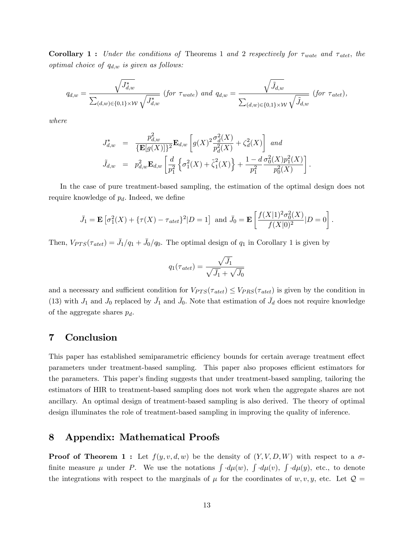**Corollary 1:** Under the conditions of Theorems 1 and 2 respectively for  $\tau_{wate}$  and  $\tau_{ate}$ , the optimal choice of  $q_{d,w}$  is given as follows:

$$
q_{d,w} = \frac{\sqrt{J_{d,w}^*}}{\sum_{(d,w)\in\{0,1\}\times\mathcal{W}}\sqrt{J_{d,w}^*}} \text{ (for } \tau_{wate}) \text{ and } q_{d,w} = \frac{\sqrt{\tilde{J}_{d,w}}}{\sum_{(d,w)\in\{0,1\}\times\mathcal{W}}\sqrt{\tilde{J}_{d,w}}} \text{ (for } \tau_{atet}),
$$

where

$$
J_{d,w}^{*} = \frac{p_{d,w}^{2}}{\{\mathbf{E}[g(X)]\}^{2}} \mathbf{E}_{d,w} \left[g(X)^{2} \frac{\sigma_{d}^{2}(X)}{p_{d}^{2}(X)} + \zeta_{d}^{2}(X)\right] \text{ and}
$$
  

$$
\tilde{J}_{d,w} = p_{d,w}^{2} \mathbf{E}_{d,w} \left[\frac{d}{p_{1}^{2}} \left\{\sigma_{1}^{2}(X) + \tilde{\zeta}_{1}^{2}(X)\right\} + \frac{1 - d}{p_{1}^{2}} \frac{\sigma_{0}^{2}(X) p_{1}^{2}(X)}{p_{0}^{2}(X)}\right].
$$

In the case of pure treatment-based sampling, the estimation of the optimal design does not require knowledge of  $p_d$ . Indeed, we define

$$
\bar{J}_1 = \mathbf{E} \left[ \sigma_1^2(X) + \{ \tau(X) - \tau_{\text{atet}} \}^2 | D = 1 \right] \text{ and } \bar{J}_0 = \mathbf{E} \left[ \frac{f(X|1)^2 \sigma_0^2(X)}{f(X|0)^2} | D = 0 \right].
$$

Then,  $V_{PTS}(\tau_{\text{atet}}) = \bar{J}_1/q_1 + \bar{J}_0/q_0$ . The optimal design of  $q_1$  in Corollary 1 is given by

$$
q_1(\tau_{\text{atet}}) = \frac{\sqrt{\bar{J}_1}}{\sqrt{\bar{J}_1} + \sqrt{\bar{J}_0}}
$$

and a necessary and sufficient condition for  $V_{PTS}(\tau_{\text{atet}}) \leq V_{PRS}(\tau_{\text{atet}})$  is given by the condition in (13) with  $J_1$  and  $J_0$  replaced by  $\bar{J}_1$  and  $\bar{J}_0$ . Note that estimation of  $\bar{J}_d$  does not require knowledge of the aggregate shares  $p_d$ .

## 7 Conclusion

This paper has established semiparametric efficiency bounds for certain average treatment effect parameters under treatment-based sampling. This paper also proposes efficient estimators for the parameters. This paper's finding suggests that under treatment-based sampling, tailoring the estimators of HIR to treatment-based sampling does not work when the aggregate shares are not ancillary. An optimal design of treatment-based sampling is also derived. The theory of optimal design illuminates the role of treatment-based sampling in improving the quality of inference.

#### 8 Appendix: Mathematical Proofs

**Proof of Theorem 1 :** Let  $f(y, v, d, w)$  be the density of  $(Y, V, D, W)$  with respect to a  $\sigma$ finite measure  $\mu$  under P. We use the notations  $\int d\mu(w)$ ,  $\int d\mu(v)$ ,  $\int d\mu(y)$ , etc., to denote the integrations with respect to the marginals of  $\mu$  for the coordinates of w, v, y, etc. Let  $\mathcal{Q} =$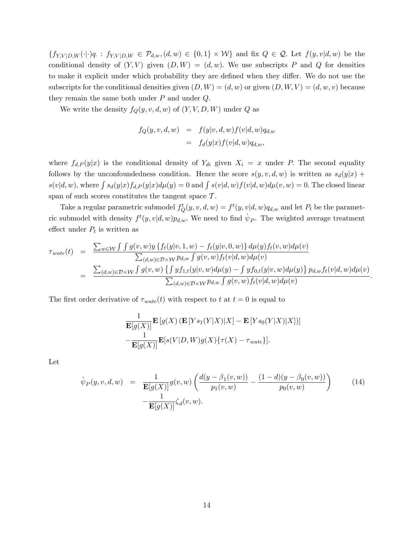$\{f_{Y,V|D,W}(\cdot|\cdot)q : f_{Y,V|D,W} \in \mathcal{P}_{d,w}, (d,w) \in \{0,1\} \times W\}$  and fix  $Q \in \mathcal{Q}$ . Let  $f(y,v|d,w)$  be the conditional density of  $(Y, V)$  given  $(D, W) = (d, w)$ . We use subscripts P and Q for densities to make it explicit under which probability they are defined when they differ. We do not use the subscripts for the conditional densities given  $(D, W) = (d, w)$  or given  $(D, W, V) = (d, w, v)$  because they remain the same both under  $P$  and under  $Q$ .

We write the density  $f_Q(y, v, d, w)$  of  $(Y, V, D, W)$  under Q as

$$
f_Q(y, v, d, w) = f(y|v, d, w) f(v|d, w) q_{d,w}
$$
  
= 
$$
f_d(y|x) f(v|d, w) q_{d,w},
$$

where  $f_{d,P}(y|x)$  is the conditional density of  $Y_{di}$  given  $X_i = x$  under P. The second equality follows by the unconfoundedness condition. Hence the score  $s(y, v, d, w)$  is written as  $s_d(y|x)$  +  $s(v|d, w)$ , where  $\int s_d(y|x) f_{d,P}(y|x) d\mu(y) = 0$  and  $\int s(v|d, w) f(v|d, w) d\mu(v, w) = 0$ . The closed linear span of such scores constitutes the tangent space  $\mathcal{T}$ .

Take a regular parametric submodel  $f_Q^t(y, v, d, w) = f^t(y, v | d, w) q_{d,w}$  and let  $P_t$  be the parametric submodel with density  $f^t(y, v | d, w)p_{d,w}$ . We need to find  $\dot{\psi}_P$ . The weighted average treatment effect under  $P_t$  is written as

$$
\tau_{wate}(t) = \frac{\sum_{w \in \mathcal{W}} \int \int g(v, w)y \{f_t(y|v, 1, w) - f_t(y|v, 0, w)\} d\mu(y) f_t(v, w) d\mu(v)}{\sum_{(d, w) \in \mathcal{D} \times \mathcal{W}} p_{d, w} \int g(v, w) f_t(v|d, w) d\mu(v)} \n= \frac{\sum_{(d, w) \in \mathcal{D} \times \mathcal{W}} \int g(v, w) \{ \int y f_{1,t}(y|v, w) d\mu(y) - \int y f_{0,t}(y|v, w) d\mu(y) \} p_{d, w} f_t(v|d, w) d\mu(v)}{\sum_{(d, w) \in \mathcal{D} \times \mathcal{W}} p_{d, w} \int g(v, w) f_t(v|d, w) d\mu(v)}
$$

:

The first order derivative of  $\tau_{wate}(t)$  with respect to t at  $t = 0$  is equal to

$$
\frac{1}{\mathbf{E}[g(X)]}\mathbf{E}[g(X) (\mathbf{E}[Ys_1(Y|X)|X] - \mathbf{E}[Ys_0(Y|X)|X])]
$$

$$
-\frac{1}{\mathbf{E}[g(X)]}\mathbf{E}[s(V|D,W)g(X)\{\tau(X) - \tau_{wate}\}].
$$

Let

$$
\dot{\psi}_P(y, v, d, w) = \frac{1}{\mathbf{E}[g(X)]} g(v, w) \left( \frac{d(y - \beta_1(v, w))}{p_1(v, w)} - \frac{(1 - d)(y - \beta_0(v, w))}{p_0(v, w)} \right) \tag{14}
$$
\n
$$
-\frac{1}{\mathbf{E}[g(X)]} \zeta_d(v, w).
$$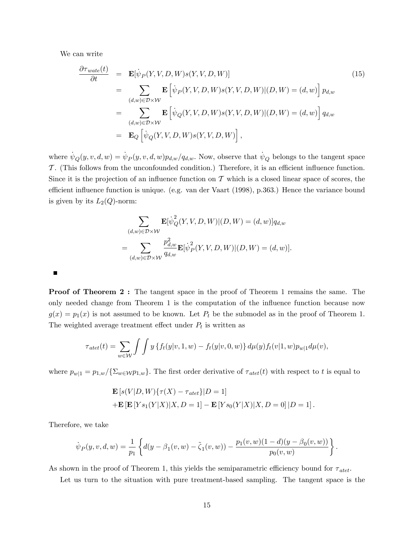We can write

$$
\frac{\partial \tau_{wate}(t)}{\partial t} = \mathbf{E}[\dot{\psi}_P(Y, V, D, W)s(Y, V, D, W)]
$$
\n
$$
= \sum_{(d,w)\in\mathcal{D}\times\mathcal{W}} \mathbf{E}[\dot{\psi}_P(Y, V, D, W)s(Y, V, D, W)|(D, W) = (d, w)] p_{d,w}
$$
\n
$$
= \sum_{(d,w)\in\mathcal{D}\times\mathcal{W}} \mathbf{E}[\dot{\psi}_Q(Y, V, D, W)s(Y, V, D, W)|(D, W) = (d, w)] q_{d,w}
$$
\n
$$
= \mathbf{E}_Q[\dot{\psi}_Q(Y, V, D, W)s(Y, V, D, W)],
$$
\n(15)

where  $\dot{\psi}_Q(y, v, d, w) = \dot{\psi}_P(y, v, d, w)p_{d,w}/q_{d,w}$ . Now, observe that  $\dot{\psi}_Q$  belongs to the tangent space  $\mathcal T$ . (This follows from the unconfounded condition.) Therefore, it is an efficient influence function. Since it is the projection of an influence function on  $\mathcal T$  which is a closed linear space of scores, the efficient influence function is unique. (e.g. van der Vaart (1998), p.363.) Hence the variance bound is given by its  $L_2(Q)$ -norm:

$$
\sum_{(d,w)\in\mathcal{D}\times\mathcal{W}} \mathbf{E}[\dot{\psi}_Q^2(Y,V,D,W)|(D,W) = (d,w)]q_{d,w}
$$
  
= 
$$
\sum_{(d,w)\in\mathcal{D}\times\mathcal{W}} \frac{p_{d,w}^2}{q_{d,w}} \mathbf{E}[\dot{\psi}_P^2(Y,V,D,W)|(D,W) = (d,w)].
$$

Proof of Theorem 2 : The tangent space in the proof of Theorem 1 remains the same. The only needed change from Theorem 1 is the computation of the influence function because now  $g(x) = p_1(x)$  is not assumed to be known. Let  $P_t$  be the submodel as in the proof of Theorem 1. The weighted average treatment effect under  $P_t$  is written as

$$
\tau_{\text{atet}}(t) = \sum_{w \in \mathcal{W}} \int \int y \{ f_t(y|v, 1, w) - f_t(y|v, 0, w) \} d\mu(y) f_t(v|1, w) p_{w|1} d\mu(v),
$$

where  $p_{w|1} = p_{1,w}/\{\Sigma_{w\in \mathcal{W}}p_{1,w}\}\.$  The first order derivative of  $\tau_{\text{atet}}(t)$  with respect to t is equal to

$$
\mathbf{E}\left[s(V|D,W)\{\tau(X) - \tau_{atet}\}|D=1\right] \n+ \mathbf{E}\left[\mathbf{E}\left[Ys_1(Y|X)|X,D=1\right] - \mathbf{E}\left[Ys_0(Y|X)|X,D=0\right]|D=1\right].
$$

Therefore, we take

$$
\dot{\psi}_P(y,v,d,w) = \frac{1}{p_1} \left\{ d(y - \beta_1(v,w) - \tilde{\zeta}_1(v,w)) - \frac{p_1(v,w)(1-d)(y-\beta_0(v,w))}{p_0(v,w)} \right\}.
$$

As shown in the proof of Theorem 1, this yields the semiparametric efficiency bound for  $\tau_{\text{atet}}$ .

Let us turn to the situation with pure treatment-based sampling. The tangent space is the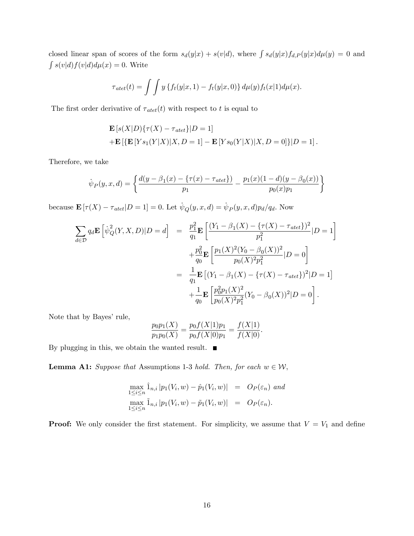closed linear span of scores of the form  $s_d(y|x) + s(v|d)$ , where  $\int s_d(y|x) f_{d,P}(y|x) d\mu(y) = 0$  and  $\int s(v|d) f(v|d) d\mu(x) = 0.$  Write

$$
\tau_{\text{atet}}(t) = \int \int y \left\{ f_t(y|x,1) - f_t(y|x,0) \right\} d\mu(y) f_t(x|1) d\mu(x).
$$

The first order derivative of  $\tau_{\text{atet}}(t)$  with respect to t is equal to

$$
\mathbf{E}\left[s(X|D)\{\tau(X) - \tau_{atet}\}|D=1\right] \n+ \mathbf{E}\left[\{\mathbf{E}\left[Ys_1(Y|X)|X, D=1\right] - \mathbf{E}\left[Ys_0(Y|X)|X, D=0\right]\}\|D=1\right].
$$

Therefore, we take

$$
\dot{\psi}_P(y,x,d) = \left\{ \frac{d(y - \beta_1(x) - \{\tau(x) - \tau_{atet}\})}{p_1} - \frac{p_1(x)(1 - d)(y - \beta_0(x))}{p_0(x)p_1} \right\}
$$

because  $\mathbf{E} [\tau(X) - \tau_{\text{atet}} | D = 1] = 0$ . Let  $\psi_Q(y, x, d) = \psi_P(y, x, d) p_d / q_d$ . Now

$$
\sum_{d \in \mathcal{D}} q_d \mathbf{E} \left[ \dot{\psi}_Q^2(Y, X, D) | D = d \right] = \frac{p_1^2}{q_1} \mathbf{E} \left[ \frac{(Y_1 - \beta_1(X) - \{\tau(X) - \tau_{atet}\})^2}{p_1^2} | D = 1 \right]
$$

$$
+ \frac{p_0^2}{q_0} \mathbf{E} \left[ \frac{p_1(X)^2 (Y_0 - \beta_0(X))^2}{p_0(X)^2 p_1^2} | D = 0 \right]
$$

$$
= \frac{1}{q_1} \mathbf{E} \left[ (Y_1 - \beta_1(X) - \{\tau(X) - \tau_{atet}\})^2 | D = 1 \right]
$$

$$
+ \frac{1}{q_0} \mathbf{E} \left[ \frac{p_0^2 p_1(X)^2}{p_0(X)^2 p_1^2} (Y_0 - \beta_0(X))^2 | D = 0 \right].
$$

Note that by Bayes' rule,

$$
\frac{p_0 p_1(X)}{p_1 p_0(X)} = \frac{p_0 f(X|1) p_1}{p_0 f(X|0) p_1} = \frac{f(X|1)}{f(X|0)}.
$$

By plugging in this, we obtain the wanted result.  $\blacksquare$ 

**Lemma A1:** Suppose that Assumptions 1-3 hold. Then, for each  $w \in \mathcal{W}$ ,

$$
\max_{1 \leq i \leq n} \hat{1}_{n,i} |p_1(V_i, w) - \hat{p}_1(V_i, w)| = O_P(\varepsilon_n) \text{ and}
$$
  

$$
\max_{1 \leq i \leq n} \tilde{1}_{n,i} |p_1(V_i, w) - \tilde{p}_1(V_i, w)| = O_P(\varepsilon_n).
$$

**Proof:** We only consider the first statement. For simplicity, we assume that  $V = V_1$  and define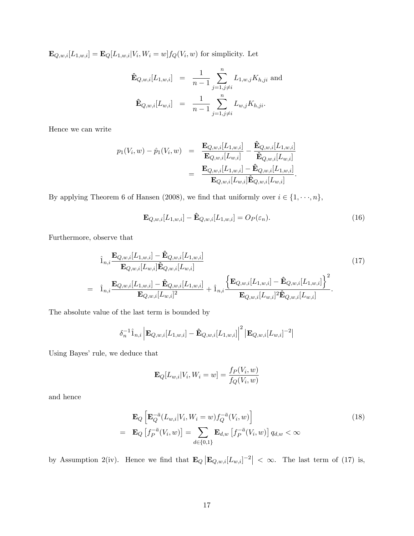$\mathbf{E}_{Q,w,i}[L_{1,w,i}] = \mathbf{E}_{Q}[L_{1,w,i}|V_i,W_i=w] f_Q(V_i,w)$  for simplicity. Let

$$
\hat{\mathbf{E}}_{Q,w,i}[L_{1,w,i}] = \frac{1}{n-1} \sum_{j=1,j\neq i}^{n} L_{1,w,j} K_{h,ji} \text{ and}
$$
  

$$
\hat{\mathbf{E}}_{Q,w,i}[L_{w,i}] = \frac{1}{n-1} \sum_{j=1,j\neq i}^{n} L_{w,j} K_{h,ji}.
$$

Hence we can write

$$
p_1(V_i, w) - \hat{p}_1(V_i, w) = \frac{\mathbf{E}_{Q,w,i}[L_{1,w,i}]}{\mathbf{E}_{Q,w,i}[L_{w,i}]} - \frac{\hat{\mathbf{E}}_{Q,w,i}[L_{1,w,i}]}{\hat{\mathbf{E}}_{Q,w,i}[L_{w,i}]} = \frac{\mathbf{E}_{Q,w,i}[L_{1,w,i}] - \hat{\mathbf{E}}_{Q,w,i}[L_{1,w,i}]}{\mathbf{E}_{Q,w,i}[L_{w,i}]\hat{\mathbf{E}}_{Q,w,i}[L_{w,i}]}.
$$

By applying Theorem 6 of Hansen (2008), we find that uniformly over  $i \in \{1, \dots, n\}$ ,

$$
\mathbf{E}_{Q,w,i}[L_{1,w,i}] - \hat{\mathbf{E}}_{Q,w,i}[L_{1,w,i}] = O_P(\varepsilon_n). \tag{16}
$$

Furthermore, observe that

$$
\hat{1}_{n,i} \frac{\mathbf{E}_{Q,w,i}[L_{1,w,i}] - \hat{\mathbf{E}}_{Q,w,i}[L_{1,w,i}]}{\mathbf{E}_{Q,w,i}[L_{w,i}]\hat{\mathbf{E}}_{Q,w,i}[L_{w,i}]}\n= \hat{1}_{n,i} \frac{\mathbf{E}_{Q,w,i}[L_{1,w,i}] - \hat{\mathbf{E}}_{Q,w,i}[L_{1,w,i}]}{\mathbf{E}_{Q,w,i}[L_{w,i}]^2} + \hat{1}_{n,i} \frac{\left\{\mathbf{E}_{Q,w,i}[L_{1,w,i}] - \hat{\mathbf{E}}_{Q,w,i}[L_{1,w,i}]\right\}^2}{\mathbf{E}_{Q,w,i}[L_{w,i}]^2\hat{\mathbf{E}}_{Q,w,i}[L_{w,i}]}\n, (17)
$$

The absolute value of the last term is bounded by

$$
\delta_n^{-1}\hat{1}_{n,i} \left| \mathbf{E}_{Q,w,i}[L_{1,w,i}] - \hat{\mathbf{E}}_{Q,w,i}[L_{1,w,i}] \right|^2 \left| \mathbf{E}_{Q,w,i}[L_{w,i}]^{-2} \right|
$$

Using Bayes' rule, we deduce that

$$
\mathbf{E}_{Q}[L_{w,i}|V_i, W_i = w] = \frac{f_P(V_i, w)}{f_Q(V_i, w)}
$$

and hence

$$
\mathbf{E}_{Q}\left[\mathbf{E}_{Q}^{-\bar{a}}(L_{w,i}|V_{i},W_{i}=w)f_{Q}^{-\bar{a}}(V_{i},w)\right]
$$
\n
$$
=\mathbf{E}_{Q}\left[f_{P}^{-\bar{a}}(V_{i},w)\right]=\sum_{d\in\{0,1\}}\mathbf{E}_{d,w}\left[f_{P}^{-\bar{a}}(V_{i},w)\right]q_{d,w}<\infty
$$
\n(18)

by Assumption 2(iv). Hence we find that  $\mathbf{E}_Q|\mathbf{E}_{Q,w,i}[L_{w,i}]^{-2}| < \infty$ . The last term of (17) is,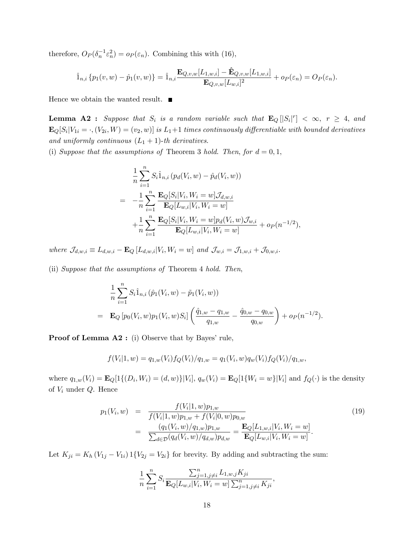therefore,  $O_P(\delta_n^{-1} \varepsilon_n^2) = o_P(\varepsilon_n)$ . Combining this with (16),

$$
\hat{1}_{n,i} \{p_1(v,w) - \hat{p}_1(v,w)\} = \hat{1}_{n,i} \frac{\mathbf{E}_{Q,v,w}[L_{1,w,i}] - \hat{\mathbf{E}}_{Q,v,w}[L_{1,w,i}]}{\mathbf{E}_{Q,v,w}[L_{w,i}]^2} + o_P(\varepsilon_n) = O_P(\varepsilon_n).
$$

Hence we obtain the wanted result.  $\blacksquare$ 

**Lemma A2 :** Suppose that  $S_i$  is a random variable such that  $\mathbf{E}_Q[|S_i|^r] < \infty$ ,  $r \geq 4$ , and  $\mathbf{E}_{Q}[S_i|V_{1i}=\cdot,(V_{2i},W)=(v_2,w)]$  is  $L_1+1$  times continuously differentiable with bounded derivatives and uniformly continuous  $(L_1 + 1)$ -th derivatives.

(i) Suppose that the assumptions of Theorem 3 hold. Then, for  $d = 0, 1$ ,

$$
\frac{1}{n} \sum_{i=1}^{n} S_i \hat{1}_{n,i} (p_d(V_i, w) - \hat{p}_d(V_i, w))
$$
\n
$$
= -\frac{1}{n} \sum_{i=1}^{n} \frac{\mathbf{E}_Q[S_i | V_i, W_i = w] \mathcal{J}_{d,w,i}}{\mathbf{E}_Q[L_{w,i} | V_i, W_i = w]} + \frac{1}{n} \sum_{i=1}^{n} \frac{\mathbf{E}_Q[S_i | V_i, W_i = w] p_d(V_i, w) \mathcal{J}_{w,i}}{\mathbf{E}_Q[L_{w,i} | V_i, W_i = w]} + o_P(n^{-1/2}),
$$

where  $\mathcal{J}_{d,w,i} \equiv L_{d,w,i} - \mathbf{E}_Q \left[ L_{d,w,i} | V_i, W_i = w \right]$  and  $\mathcal{J}_{w,i} = \mathcal{J}_{1,w,i} + \mathcal{J}_{0,w,i}$ .

(ii) Suppose that the assumptions of Theorem 4 hold. Then,

$$
\frac{1}{n} \sum_{i=1}^{n} S_i \hat{1}_{n,i} (\hat{p}_1(V_i, w) - \tilde{p}_1(V_i, w))
$$
\n
$$
= \mathbf{E}_Q [p_0(V_i, w) p_1(V_i, w) S_i] \left( \frac{\hat{q}_{1,w} - q_{1,w}}{q_{1,w}} - \frac{\hat{q}_{0,w} - q_{0,w}}{q_{0,w}} \right) + o_P(n^{-1/2}).
$$

**Proof of Lemma A2 :** (i) Observe that by Bayes' rule,

$$
f(V_i|1, w) = q_{1,w}(V_i) f_Q(V_i)/q_{1,w} = q_1(V_i, w) q_w(V_i) f_Q(V_i)/q_{1,w},
$$

where  $q_{1,w}(V_i) = \mathbf{E}_Q[1\{(D_i, W_i) = (d, w)\}|V_i]$ ,  $q_w(V_i) = \mathbf{E}_Q[1\{W_i = w\}|V_i]$  and  $f_Q(\cdot)$  is the density of  $V_i$  under  $Q$ . Hence

$$
p_1(V_i, w) = \frac{f(V_i|1, w)p_{1,w}}{f(V_i|1, w)p_{1,w} + f(V_i|0, w)p_{0,w}} \\
= \frac{(q_1(V_i, w)/q_{1,w})p_{1,w}}{\sum_{d \in \mathcal{D}} (q_d(V_i, w)/q_{d,w})p_{d,w}} = \frac{\mathbf{E}_Q[L_{1,w,i}|V_i, W_i = w]}{\mathbf{E}_Q[L_{w,i}|V_i, W_i = w]}.
$$
\n(19)

Let  $K_{ji} = K_h (V_{1j} - V_{1i}) 1\{V_{2j} = V_{2i}\}\)$  for brevity. By adding and subtracting the sum:

$$
\frac{1}{n} \sum_{i=1}^{n} S_i \frac{\sum_{j=1, j \neq i}^{n} L_{1, w, j} K_{ji}}{\mathbf{E}_Q[L_{w,i}|V_i, W_i = w] \sum_{j=1, j \neq i}^{n} K_{ji}},
$$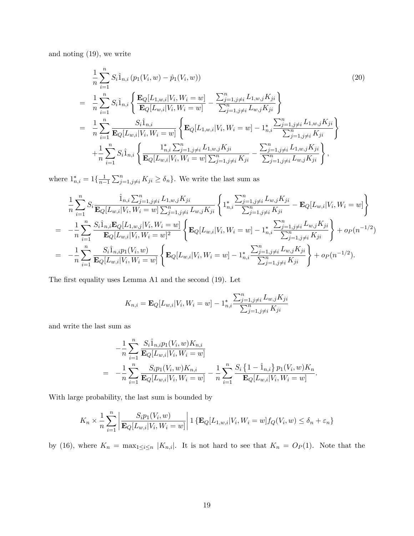and noting (19), we write

$$
\frac{1}{n} \sum_{i=1}^{n} S_{i} \hat{1}_{n,i} (p_{1}(V_{i}, w) - \hat{p}_{1}(V_{i}, w))
$$
\n
$$
= \frac{1}{n} \sum_{i=1}^{n} S_{i} \hat{1}_{n,i} \left\{ \frac{\mathbf{E}_{Q}[L_{1,w,i}|V_{i}, W_{i} = w]}{\mathbf{E}_{Q}[L_{w,i}|V_{i}, W_{i} = w]} - \frac{\sum_{j=1, j\neq i}^{n} L_{1,w,j} K_{ji}}{\sum_{j=1, j\neq i}^{n} L_{w,j} K_{ji}} \right\}
$$
\n
$$
= \frac{1}{n} \sum_{i=1}^{n} \frac{S_{i} \hat{1}_{n,i}}{\mathbf{E}_{Q}[L_{w,i}|V_{i}, W_{i} = w]} \left\{ \mathbf{E}_{Q}[L_{1,w,i}|V_{i}, W_{i} = w] - \mathbf{1}_{n,i}^{*} \frac{\sum_{j=1, j\neq i}^{n} L_{1,w,j} K_{ji}}{\sum_{j=1, j\neq i}^{n} K_{ji}} \right\}
$$
\n
$$
+ \frac{1}{n} \sum_{i=1}^{n} S_{i} \hat{1}_{n,i} \left\{ \frac{\mathbf{1}_{n,i}^{*} \sum_{j=1, j\neq i}^{n} L_{1,w,j} K_{ji}}{\mathbf{E}_{Q}[L_{w,i}|V_{i}, W_{i} = w] \sum_{j=1, j\neq i}^{n} K_{ji}} - \frac{\sum_{j=1, j\neq i}^{n} L_{1,w,j} K_{ji}}{\sum_{j=1, j\neq i}^{n} L_{w,j} K_{ji}} \right\},
$$
\n(20)

where  $1_{n,i}^* = 1\{\frac{1}{n-1}\}$  $\frac{1}{n-1}\sum_{j=1,j\neq i}^{n} K_{ji} \geq \delta_n$ . We write the last sum as

$$
\frac{1}{n} \sum_{i=1}^{n} S_{i} \frac{\hat{\mathbf{I}}_{n,i} \sum_{j=1,j\neq i}^{n} L_{1,w,j} K_{ji}}{\mathbf{E}_{Q}[L_{w,i}|V_{i}, W_{i} = w] \sum_{j=1,j\neq i}^{n} L_{w,j} K_{ji}} \left\{ 1_{n,i}^{*} \frac{\sum_{j=1,j\neq i}^{n} L_{w,j} K_{ji}}{\sum_{j=1,j\neq i}^{n} K_{ji}} - \mathbf{E}_{Q}[L_{w,i}|V_{i}, W_{i} = w] \right\}
$$
\n
$$
= -\frac{1}{n} \sum_{i=1}^{n} \frac{S_{i} \hat{\mathbf{I}}_{n,i} \mathbf{E}_{Q}[L_{1,w,j}|V_{i}, W_{i} = w]}{\mathbf{E}_{Q}[L_{w,i}|V_{i}, W_{i} = w]^{2}} \left\{ \mathbf{E}_{Q}[L_{w,i}|V_{i}, W_{i} = w] - 1_{n,i}^{*} \frac{\sum_{j=1,j\neq i}^{n} L_{w,j} K_{ji}}{\sum_{j=1,j\neq i}^{n} K_{ji}} \right\} + o_{P}(n^{-1/2})
$$
\n
$$
= -\frac{1}{n} \sum_{i=1}^{n} \frac{S_{i} \hat{\mathbf{I}}_{n,i} p_{1}(V_{i}, w)}{\mathbf{E}_{Q}[L_{w,i}|V_{i}, W_{i} = w]} \left\{ \mathbf{E}_{Q}[L_{w,i}|V_{i}, W_{i} = w] - 1_{n,i}^{*} \frac{\sum_{j=1,j\neq i}^{n} L_{w,j} K_{ji}}{\sum_{j=1,j\neq i}^{n} K_{ji}} \right\} + o_{P}(n^{-1/2}).
$$

The first equality uses Lemma A1 and the second  $(19)$ . Let

$$
K_{n,i} = \mathbf{E}_{Q}[L_{w,i}|V_i, W_i = w] - 1_{n,i}^{*} \frac{\sum_{j=1, j \neq i}^{n} L_{w,j} K_{ji}}{\sum_{j=1, j \neq i}^{n} K_{ji}}
$$

and write the last sum as

$$
-\frac{1}{n}\sum_{i=1}^{n}\frac{S_{i}\hat{1}_{n,i}p_{1}(V_{i},w)K_{n,i}}{\mathbf{E}_{Q}[L_{w,i}|V_{i},W_{i}=w]}
$$
  
=  $-\frac{1}{n}\sum_{i=1}^{n}\frac{S_{i}p_{1}(V_{i},w)K_{n,i}}{\mathbf{E}_{Q}[L_{w,i}|V_{i},W_{i}=w]} - \frac{1}{n}\sum_{i=1}^{n}\frac{S_{i}\{1-\hat{1}_{n,i}\}p_{1}(V_{i},w)K_{n}}{\mathbf{E}_{Q}[L_{w,i}|V_{i},W_{i}=w]}.$ 

With large probability, the last sum is bounded by

$$
K_n \times \frac{1}{n} \sum_{i=1}^n \left| \frac{S_i p_1(V_i, w)}{\mathbf{E}_Q[L_{w,i}|V_i, W_i = w]} \right| 1 \left\{ \mathbf{E}_Q[L_{1,w,i}|V_i, W_i = w] f_Q(V_i, w) \le \delta_n + \varepsilon_n \right\}
$$

by (16), where  $K_n = \max_{1 \leq i \leq n} |K_{n,i}|$ . It is not hard to see that  $K_n = O_P(1)$ . Note that the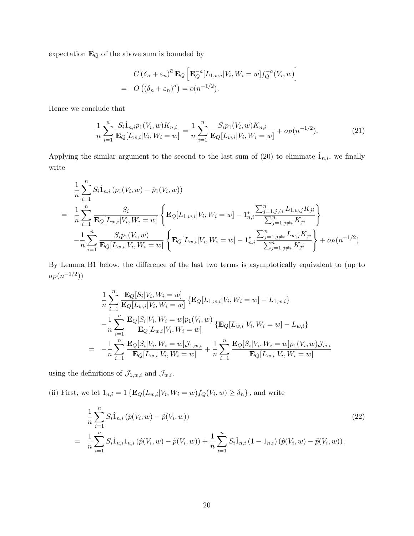expectation  $\mathbf{E}_Q$  of the above sum is bounded by

$$
C\left(\delta_n + \varepsilon_n\right)^{\bar{a}} \mathbf{E}_Q \left[ \mathbf{E}_Q^{-\bar{a}} [L_{1,w,i} | V_i, W_i = w] f_Q^{-\bar{a}}(V_i, w) \right]
$$
  
=  $O\left( \left(\delta_n + \varepsilon_n\right)^{\bar{a}} \right) = o(n^{-1/2}).$ 

Hence we conclude that

$$
\frac{1}{n} \sum_{i=1}^{n} \frac{S_i \hat{1}_{n,i} p_1(V_i, w) K_{n,i}}{\mathbf{E}_Q[L_{w,i}|V_i, W_i = w]} = \frac{1}{n} \sum_{i=1}^{n} \frac{S_i p_1(V_i, w) K_{n,i}}{\mathbf{E}_Q[L_{w,i}|V_i, W_i = w]} + o_P(n^{-1/2}).
$$
\n(21)

Applying the similar argument to the second to the last sum of (20) to eliminate  $\hat{1}_{n,i}$ , we finally write

$$
\frac{1}{n} \sum_{i=1}^{n} S_i \hat{1}_{n,i} (p_1(V_i, w) - \hat{p}_1(V_i, w))
$$
\n
$$
= \frac{1}{n} \sum_{i=1}^{n} \frac{S_i}{\mathbf{E}_Q[L_{w,i}|V_i, W_i = w]} \left\{ \mathbf{E}_Q[L_{1,w,i}|V_i, W_i = w] - 1_{n,i}^* \frac{\sum_{j=1, j \neq i}^{n} L_{1,w,j} K_{ji}}{\sum_{j=1, j \neq i}^{n} K_{ji}} \right\}
$$
\n
$$
- \frac{1}{n} \sum_{i=1}^{n} \frac{S_i p_1(V_i, w)}{\mathbf{E}_Q[L_{w,i}|V_i, W_i = w]} \left\{ \mathbf{E}_Q[L_{w,i}|V_i, W_i = w] - 1_{n,i}^* \frac{\sum_{j=1, j \neq i}^{n} L_{w,j} K_{ji}}{\sum_{j=1, j \neq i}^{n} K_{ji}} \right\} + o_P(n^{-1/2})
$$

By Lemma B1 below, the difference of the last two terms is asymptotically equivalent to (up to  $o_P(n^{-1/2}))$ 

$$
\frac{1}{n} \sum_{i=1}^{n} \frac{\mathbf{E}_{Q}[S_{i}|V_{i}, W_{i} = w]}{\mathbf{E}_{Q}[L_{w,i}|V_{i}, W_{i} = w]} \left\{ \mathbf{E}_{Q}[L_{1,w,i}|V_{i}, W_{i} = w] - L_{1,w,i} \right\} \n- \frac{1}{n} \sum_{i=1}^{n} \frac{\mathbf{E}_{Q}[S_{i}|V_{i}, W_{i} = w]p_{1}(V_{i}, w)}{\mathbf{E}_{Q}[L_{w,i}|V_{i}, W_{i} = w]} \left\{ \mathbf{E}_{Q}[L_{w,i}|V_{i}, W_{i} = w] - L_{w,i} \right\} \n= - \frac{1}{n} \sum_{i=1}^{n} \frac{\mathbf{E}_{Q}[S_{i}|V_{i}, W_{i} = w] \mathcal{J}_{1,w,i}}{\mathbf{E}_{Q}[L_{w,i}|V_{i}, W_{i} = w]} + \frac{1}{n} \sum_{i=1}^{n} \frac{\mathbf{E}_{Q}[S_{i}|V_{i}, W_{i} = w]p_{1}(V_{i}, w) \mathcal{J}_{w,i}}{\mathbf{E}_{Q}[L_{w,i}|V_{i}, W_{i} = w]}
$$

using the definitions of  $\mathcal{J}_{1,w,i}$  and  $\mathcal{J}_{w,i}$ .

(ii) First, we let  $1_{n,i} = 1 \{ \mathbf{E}_Q(L_{w,i}|V_i, W_i = w) f_Q(V_i, w) \ge \delta_n \}$ , and write

$$
\frac{1}{n} \sum_{i=1}^{n} S_i \hat{1}_{n,i} (\hat{p}(V_i, w) - \tilde{p}(V_i, w))
$$
\n
$$
= \frac{1}{n} \sum_{i=1}^{n} S_i \hat{1}_{n,i} 1_{n,i} (\hat{p}(V_i, w) - \tilde{p}(V_i, w)) + \frac{1}{n} \sum_{i=1}^{n} S_i \hat{1}_{n,i} (1 - 1_{n,i}) (\hat{p}(V_i, w) - \tilde{p}(V_i, w)).
$$
\n(22)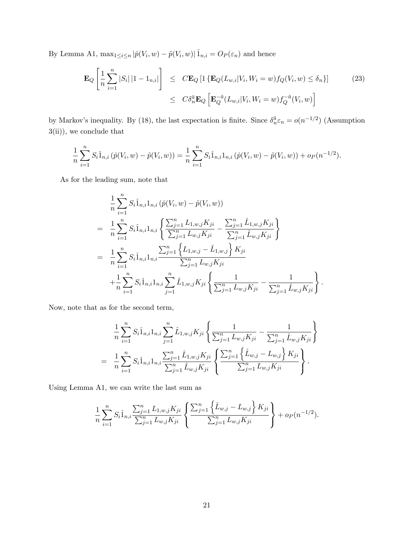By Lemma A1,  $\max_{1 \leq i \leq n} |\hat{p}(V_i, w) - \tilde{p}(V_i, w)| \hat{1}_{n,i} = O_P(\varepsilon_n)$  and hence

$$
\mathbf{E}_{Q}\left[\frac{1}{n}\sum_{i=1}^{n}|S_{i}||1-\mathbf{1}_{n,i}|\right] \leq C\mathbf{E}_{Q}\left[\mathbf{1}\left\{\mathbf{E}_{Q}(L_{w,i}|V_{i},W_{i}=w)f_{Q}(V_{i},w)\leq\delta_{n}\right\}\right]
$$
\n
$$
\leq C\delta_{n}^{\bar{a}}\mathbf{E}_{Q}\left[\mathbf{E}_{Q}^{-\bar{a}}(L_{w,i}|V_{i},W_{i}=w)f_{Q}^{-\bar{a}}(V_{i},w)\right]
$$
\n(23)

by Markov's inequality. By (18), the last expectation is finite. Since  $\delta_n^{\bar{a}} \varepsilon_n = o(n^{-1/2})$  (Assumption 3(ii)), we conclude that

$$
\frac{1}{n}\sum_{i=1}^n S_i \hat{1}_{n,i} \left(\hat{p}(V_i, w) - \tilde{p}(V_i, w)\right) = \frac{1}{n}\sum_{i=1}^n S_i \hat{1}_{n,i} 1_{n,i} \left(\hat{p}(V_i, w) - \tilde{p}(V_i, w)\right) + o_P(n^{-1/2}).
$$

As for the leading sum, note that

$$
\frac{1}{n} \sum_{i=1}^{n} S_i \hat{1}_{n,i} 1_{n,i} (\hat{p}(V_i, w) - \tilde{p}(V_i, w))
$$
\n
$$
= \frac{1}{n} \sum_{i=1}^{n} S_i \hat{1}_{n,i} 1_{n,i} \left\{ \frac{\sum_{j=1}^{n} L_{1,w,j} K_{ji}}{\sum_{j=1}^{n} L_{w,j} K_{ji}} - \frac{\sum_{j=1}^{n} \hat{L}_{1,w,j} K_{ji}}{\sum_{j=1}^{n} \hat{L}_{w,j} K_{ji}} \right\}
$$
\n
$$
= \frac{1}{n} \sum_{i=1}^{n} S_i \hat{1}_{n,i} 1_{n,i} \frac{\sum_{j=1}^{n} \{L_{1,w,j} - \hat{L}_{1,w,j}\} K_{ji}}{\sum_{j=1}^{n} L_{w,j} K_{ji}} + \frac{1}{n} \sum_{i=1}^{n} S_i \hat{1}_{n,i} 1_{n,i} \sum_{j=1}^{n} \hat{L}_{1,w,j} K_{ji} \left\{ \frac{1}{\sum_{j=1}^{n} L_{w,j} K_{ji}} - \frac{1}{\sum_{j=1}^{n} \hat{L}_{w,j} K_{ji}} \right\}.
$$

Now, note that as for the second term,

$$
\frac{1}{n}\sum_{i=1}^{n}S_{i}\hat{1}_{n,i}1_{n,i}\sum_{j=1}^{n}\hat{L}_{1,w,j}K_{ji}\left\{\frac{1}{\sum_{j=1}^{n}L_{w,j}K_{ji}}-\frac{1}{\sum_{j=1}^{n}\hat{L}_{w,j}K_{ji}}\right\}
$$
\n
$$
=\frac{1}{n}\sum_{i=1}^{n}S_{i}\hat{1}_{n,i}1_{n,i}\frac{\sum_{j=1}^{n}\hat{L}_{1,w,j}K_{ji}}{\sum_{j=1}^{n}\hat{L}_{w,j}K_{ji}}\left\{\frac{\sum_{j=1}^{n}\left\{\hat{L}_{w,j}-L_{w,j}\right\}K_{ji}}{\sum_{j=1}^{n}L_{w,j}K_{ji}}\right\}.
$$

Using Lemma A1, we can write the last sum as

$$
\frac{1}{n}\sum_{i=1}^n S_i \hat{1}_{n,i} \frac{\sum_{j=1}^n L_{1,w,j}K_{ji}}{\sum_{j=1}^n L_{w,j}K_{ji}} \left\{ \frac{\sum_{j=1}^n \left\{ \hat{L}_{w,j} - L_{w,j} \right\} K_{ji}}{\sum_{j=1}^n L_{w,j}K_{ji}} \right\} + o_P(n^{-1/2}).
$$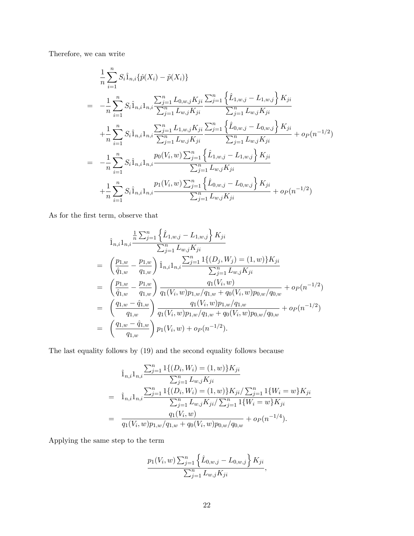Therefore, we can write

$$
\frac{1}{n}\sum_{i=1}^{n} S_{i}\hat{1}_{n,i}\{\hat{p}(X_{i}) - \tilde{p}(X_{i})\}
$$
\n
$$
= -\frac{1}{n}\sum_{i=1}^{n} S_{i}\hat{1}_{n,i}1_{n,i}\frac{\sum_{j=1}^{n} L_{0,w,j}K_{ji}}{\sum_{j=1}^{n} L_{w,j}K_{ji}} \frac{\sum_{j=1}^{n} \{ \hat{L}_{1,w,j} - L_{1,w,j} \} K_{ji}}{\sum_{j=1}^{n} L_{w,j}K_{ji}}
$$
\n
$$
+ \frac{1}{n}\sum_{i=1}^{n} S_{i}\hat{1}_{n,i}1_{n,i}\frac{\sum_{j=1}^{n} L_{1,w,j}K_{ji}}{\sum_{j=1}^{n} L_{w,j}K_{ji}} \frac{\sum_{j=1}^{n} \{ \hat{L}_{0,w,j} - L_{0,w,j} \} K_{ji}}{\sum_{j=1}^{n} L_{w,j}K_{ji}} + o_{P}(n^{-1/2})
$$
\n
$$
= -\frac{1}{n}\sum_{i=1}^{n} S_{i}\hat{1}_{n,i}1_{n,i}\frac{p_{0}(V_{i},w)\sum_{j=1}^{n} \{ \hat{L}_{1,w,j} - L_{1,w,j} \} K_{ji}}{\sum_{j=1}^{n} L_{w,j}K_{ji}}
$$
\n
$$
+ \frac{1}{n}\sum_{i=1}^{n} S_{i}\hat{1}_{n,i}1_{n,i}\frac{p_{1}(V_{i},w)\sum_{j=1}^{n} \{ \hat{L}_{0,w,j} - L_{0,w,j} \} K_{ji}}{\sum_{j=1}^{n} L_{w,j}K_{ji}} + o_{P}(n^{-1/2})
$$

As for the first term, observe that

$$
\hat{1}_{n,i}1_{n,i} \frac{\frac{1}{n}\sum_{j=1}^{n}\left\{\hat{L}_{1,w,j}-L_{1,w,j}\right\}K_{ji}}{\sum_{j=1}^{n}L_{w,j}K_{ji}} \n= \left(\frac{p_{1,w}}{\hat{q}_{1,w}}-\frac{p_{1,w}}{q_{1,w}}\right)\hat{1}_{n,i}1_{n,i} \frac{\sum_{j=1}^{n}1\{(D_j,W_j)=(1,w)\}K_{ji}}{\sum_{j=1}^{n}L_{w,j}K_{ji}} \n= \left(\frac{p_{1,w}}{\hat{q}_{1,w}}-\frac{p_{1,w}}{q_{1,w}}\right)\frac{q_1(V_i,w)}{q_1(V_i,w)p_{1,w}/q_{1,w}+q_0(V_i,w)p_{0,w}/q_{0,w}}+o_P(n^{-1/2}) \n= \left(\frac{q_{1,w}-\hat{q}_{1,w}}{q_{1,w}}\right)\frac{q_1(V_i,w)p_{1,w}/q_{1,w}}{q_1(V_i,w)p_{1,w}/q_{1,w}+q_0(V_i,w)p_{0,w}/q_{0,w}}+o_P(n^{-1/2}) \n= \left(\frac{q_{1,w}-\hat{q}_{1,w}}{q_{1,w}}\right)p_1(V_i,w)+o_P(n^{-1/2}).
$$

The last equality follows by (19) and the second equality follows because

$$
\hat{1}_{n,i}1_{n,i} \frac{\sum_{j=1}^{n} 1\{(D_i, W_i) = (1, w)\} K_{ji}}{\sum_{j=1}^{n} L_{w,j} K_{ji}} \n= \hat{1}_{n,i}1_{n,i} \frac{\sum_{j=1}^{n} 1\{(D_i, W_i) = (1, w)\} K_{ji} / \sum_{j=1}^{n} 1\{W_i = w\} K_{ji}}{\sum_{j=1}^{n} L_{w,j} K_{ji} / \sum_{j=1}^{n} 1\{W_i = w\} K_{ji}} \n= \frac{q_1(V_i, w)}{q_1(V_i, w) p_{1,w} / q_{1,w} + q_0(V_i, w) p_{0,w} / q_{0,w}} + o_P(n^{-1/4}).
$$

Applying the same step to the term

$$
\frac{p_1(V_i, w) \sum_{j=1}^n \left\{ \hat{L}_{0,w,j} - L_{0,w,j} \right\} K_{ji}}{\sum_{j=1}^n L_{w,j} K_{ji}},
$$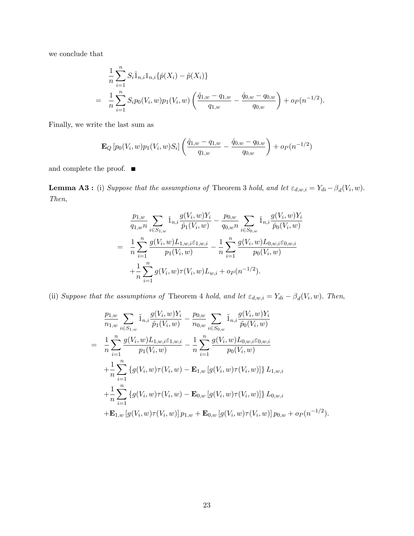we conclude that

$$
\frac{1}{n}\sum_{i=1}^{n} S_i \hat{1}_{n,i} 1_{n,i} \{\hat{p}(X_i) - \tilde{p}(X_i)\}
$$
\n
$$
= \frac{1}{n}\sum_{i=1}^{n} S_i p_0(V_i, w) p_1(V_i, w) \left(\frac{\hat{q}_{1,w} - q_{1,w}}{q_{1,w}} - \frac{\hat{q}_{0,w} - q_{0,w}}{q_{0,w}}\right) + o_P(n^{-1/2}).
$$

Finally, we write the last sum as

$$
\mathbf{E}_{Q}\left[p_{0}(V_{i}, w)p_{1}(V_{i}, w)S_{i}\right]\left(\frac{\hat{q}_{1, w}-q_{1, w}}{q_{1, w}}-\frac{\hat{q}_{0, w}-q_{0, w}}{q_{0, w}}\right)+o_{P}(n^{-1/2})
$$

and complete the proof.  $\quad \blacksquare$ 

**Lemma A3**: (i) Suppose that the assumptions of Theorem 3 hold, and let  $\varepsilon_{d,w,i} = Y_{di} - \beta_d(V_i, w)$ . Then,

$$
\frac{p_{1,w}}{q_{1,w}n} \sum_{i \in S_{1,w}} \hat{1}_{n,i} \frac{g(V_i, w)Y_i}{\hat{p}_1(V_i, w)} - \frac{p_{0,w}}{q_{0,w}n} \sum_{i \in S_{0,w}} \hat{1}_{n,i} \frac{g(V_i, w)Y_i}{\hat{p}_0(V_i, w)}
$$
\n
$$
= \frac{1}{n} \sum_{i=1}^n \frac{g(V_i, w) L_{1,w,i} \varepsilon_{1,w,i}}{p_1(V_i, w)} - \frac{1}{n} \sum_{i=1}^n \frac{g(V_i, w) L_{0,w,i} \varepsilon_{0,w,i}}{p_0(V_i, w)}
$$
\n
$$
+ \frac{1}{n} \sum_{i=1}^n g(V_i, w) \tau(V_i, w) L_{w,i} + o_P(n^{-1/2}).
$$

(ii) Suppose that the assumptions of Theorem 4 hold, and let  $\varepsilon_{d,w,i} = Y_{di} - \beta_d(V_i, w)$ . Then,

$$
\frac{p_{1,w}}{n_{1,w}} \sum_{i \in S_{1,w}} \tilde{1}_{n,i} \frac{g(V_i, w)Y_i}{\tilde{p}_1(V_i, w)} - \frac{p_{0,w}}{n_{0,w}} \sum_{i \in S_{0,w}} \tilde{1}_{n,i} \frac{g(V_i, w)Y_i}{\tilde{p}_0(V_i, w)}
$$
\n
$$
= \frac{1}{n} \sum_{i=1}^n \frac{g(V_i, w) L_{1,w,i} \varepsilon_{1,w,i}}{p_1(V_i, w)} - \frac{1}{n} \sum_{i=1}^n \frac{g(V_i, w) L_{0,w,i} \varepsilon_{0,w,i}}{p_0(V_i, w)}
$$
\n
$$
+ \frac{1}{n} \sum_{i=1}^n \{g(V_i, w) \tau(V_i, w) - \mathbf{E}_{1,w} [g(V_i, w) \tau(V_i, w)]\} L_{1,w,i}
$$
\n
$$
+ \frac{1}{n} \sum_{i=1}^n \{g(V_i, w) \tau(V_i, w) - \mathbf{E}_{0,w} [g(V_i, w) \tau(V_i, w)]\} L_{0,w,i}
$$
\n
$$
+ \mathbf{E}_{1,w} [g(V_i, w) \tau(V_i, w)] p_{1,w} + \mathbf{E}_{0,w} [g(V_i, w) \tau(V_i, w)] p_{0,w} + o_P(n^{-1/2}).
$$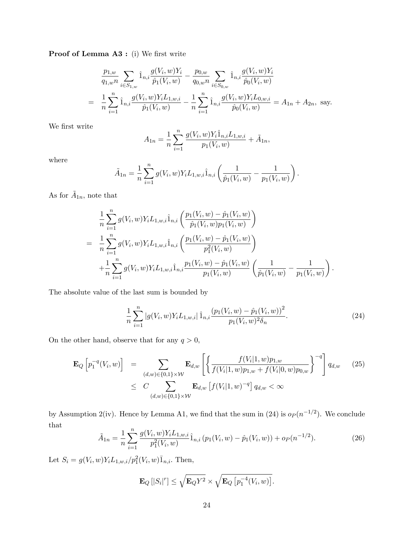**Proof of Lemma A3:** (i) We first write

$$
\frac{p_{1,w}}{q_{1,w}n} \sum_{i \in S_{1,w}} \hat{1}_{n,i} \frac{g(V_i, w)Y_i}{\hat{p}_1(V_i, w)} - \frac{p_{0,w}}{q_{0,w}n} \sum_{i \in S_{0,w}} \hat{1}_{n,i} \frac{g(V_i, w)Y_i}{\hat{p}_0(V_i, w)}
$$
\n
$$
= \frac{1}{n} \sum_{i=1}^n \hat{1}_{n,i} \frac{g(V_i, w)Y_i L_{1,w,i}}{\hat{p}_1(V_i, w)} - \frac{1}{n} \sum_{i=1}^n \hat{1}_{n,i} \frac{g(V_i, w)Y_i L_{0,w,i}}{\hat{p}_0(V_i, w)} = A_{1n} + A_{2n}, \text{ say.}
$$

We first write

$$
A_{1n} = \frac{1}{n} \sum_{i=1}^{n} \frac{g(V_i, w) Y_i \hat{1}_{n,i} L_{1,w,i}}{p_1(V_i, w)} + \tilde{A}_{1n},
$$

where

$$
\tilde{A}_{1n} = \frac{1}{n} \sum_{i=1}^{n} g(V_i, w) Y_i L_{1, w, i} \hat{1}_{n, i} \left( \frac{1}{\hat{p}_1(V_i, w)} - \frac{1}{p_1(V_i, w)} \right).
$$

As for  $A_{1n}$ , note that

$$
\frac{1}{n} \sum_{i=1}^{n} g(V_i, w) Y_i L_{1, w, i} \hat{1}_{n, i} \left( \frac{p_1(V_i, w) - \hat{p}_1(V_i, w)}{\hat{p}_1(V_i, w) p_1(V_i, w)} \right)
$$
\n
$$
= \frac{1}{n} \sum_{i=1}^{n} g(V_i, w) Y_i L_{1, w, i} \hat{1}_{n, i} \left( \frac{p_1(V_i, w) - \hat{p}_1(V_i, w)}{p_1^2(V_i, w)} \right)
$$
\n
$$
+ \frac{1}{n} \sum_{i=1}^{n} g(V_i, w) Y_i L_{1, w, i} \hat{1}_{n, i} \frac{p_1(V_i, w) - \hat{p}_1(V_i, w)}{p_1(V_i, w)} \left( \frac{1}{\hat{p}_1(V_i, w)} - \frac{1}{p_1(V_i, w)} \right).
$$

The absolute value of the last sum is bounded by

$$
\frac{1}{n}\sum_{i=1}^{n}|g(V_i, w)Y_i L_{1,w,i}| \hat{1}_{n,i} \frac{(p_1(V_i, w) - \hat{p}_1(V_i, w))^2}{p_1(V_i, w)^2 \delta_n}.
$$
\n(24)

On the other hand, observe that for any  $q>0,$ 

$$
\mathbf{E}_{Q}\left[p_{1}^{-q}(V_{i}, w)\right] = \sum_{(d, w) \in \{0, 1\} \times \mathcal{W}} \mathbf{E}_{d, w}\left[\left\{\frac{f(V_{i}|1, w)p_{1, w}}{f(V_{i}|1, w)p_{1, w} + f(V_{i}|0, w)p_{0, w}}\right\}^{-q}\right] q_{d, w} \quad (25)
$$
\n
$$
\leq C \sum_{(d, w) \in \{0, 1\} \times \mathcal{W}} \mathbf{E}_{d, w}\left[f(V_{i}|1, w)^{-q}\right] q_{d, w} < \infty
$$

by Assumption 2(iv). Hence by Lemma A1, we find that the sum in (24) is  $o_P (n^{-1/2})$ . We conclude that

$$
\tilde{A}_{1n} = \frac{1}{n} \sum_{i=1}^{n} \frac{g(V_i, w) Y_i L_{1, w, i}}{p_1^2(V_i, w)} \hat{1}_{n, i} \left( p_1(V_i, w) - \hat{p}_1(V_i, w) \right) + o_P(n^{-1/2}). \tag{26}
$$

Let  $S_i = g(V_i, w) Y_i L_{1, w, i} / p_1^2(V_i, w) \overline{1}_{n, i}$ . Then,

$$
\mathbf{E}_Q\left[|S_i|^r\right] \leq \sqrt{\mathbf{E}_Q Y^2} \times \sqrt{\mathbf{E}_Q\left[p_1^{-4}(V_i, w)\right]}.
$$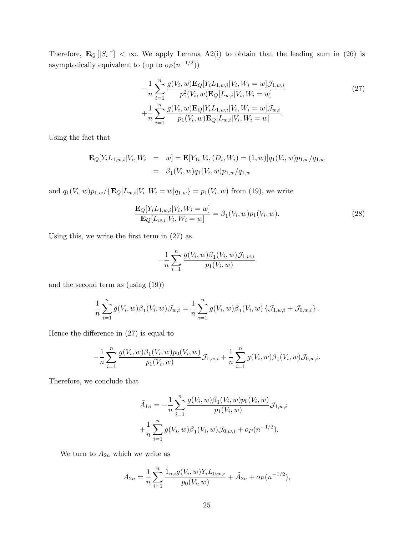Therefore,  $\mathbf{E}_Q [S_i]^r < \infty$ . We apply Lemma A2(i) to obtain that the leading sum in (26) is asymptotically equivalent to (up to  $o_P(n^{-1/2})$ )

$$
-\frac{1}{n}\sum_{i=1}^{n}\frac{g(V_i, w)\mathbf{E}_{Q}[Y_i L_{1, w,i}|V_i, W_i = w]\mathcal{J}_{1, w,i}}{p_1^2(V_i, w)\mathbf{E}_{Q}[L_{w,i}|V_i, W_i = w]} + \frac{1}{n}\sum_{i=1}^{n}\frac{g(V_i, w)\mathbf{E}_{Q}[Y_i L_{1, w,i}|V_i, W_i = w]\mathcal{J}_{w,i}}{p_1(V_i, w)\mathbf{E}_{Q}[L_{w,i}|V_i, W_i = w]}.
$$
\n(27)

Using the fact that

$$
\mathbf{E}_{Q}[Y_{i}L_{1,w,i}|V_{i},W_{i} = w] = \mathbf{E}[Y_{1i}|V_{i},(D_{i},W_{i}) = (1,w)]q_{1}(V_{i},w)p_{1,w}/q_{1,w}
$$

$$
= \beta_{1}(V_{i},w)q_{1}(V_{i},w)p_{1,w}/q_{1,w}
$$

and  $q_1(V_i, w)p_{1,w}/\{\mathbf{E}_Q[L_{w,i}|V_i, W_i = w]q_{1,w}\} = p_1(V_i, w)$  from (19), we write

$$
\frac{\mathbf{E}_{Q}[Y_{i}L_{1,w,i}|V_{i},W_{i}=w]}{\mathbf{E}_{Q}[L_{w,i}|V_{i},W_{i}=w]} = \beta_{1}(V_{i},w)p_{1}(V_{i},w).
$$
\n(28)

Using this, we write the first term in  $(27)$  as

$$
-\frac{1}{n}\sum_{i=1}^{n}\frac{g(V_i,w)\beta_1(V_i,w)\mathcal{J}_{1,w,i}}{p_1(V_i,w)}
$$

and the second term as (using (19))

$$
\frac{1}{n}\sum_{i=1}^n g(V_i, w)\beta_1(V_i, w)\mathcal{J}_{w,i} = \frac{1}{n}\sum_{i=1}^n g(V_i, w)\beta_1(V_i, w)\{\mathcal{J}_{1,w,i} + \mathcal{J}_{0,w,i}\}.
$$

Hence the difference in  $(27)$  is equal to

$$
-\frac{1}{n}\sum_{i=1}^n\frac{g(V_i,w)\beta_1(V_i,w)p_0(V_i,w)}{p_1(V_i,w)}\mathcal{J}_{1,w,i}+\frac{1}{n}\sum_{i=1}^n g(V_i,w)\beta_1(V_i,w)\mathcal{J}_{0,w,i}.
$$

Therefore, we conclude that

$$
\tilde{A}_{1n} = -\frac{1}{n} \sum_{i=1}^{n} \frac{g(V_i, w)\beta_1(V_i, w)p_0(V_i, w)}{p_1(V_i, w)} \mathcal{J}_{1, w, i}
$$

$$
+\frac{1}{n} \sum_{i=1}^{n} g(V_i, w)\beta_1(V_i, w)\mathcal{J}_{0, w, i} + o_P(n^{-1/2}).
$$

We turn to  $A_{2n}$  which we write as

$$
A_{2n} = \frac{1}{n} \sum_{i=1}^{n} \frac{\hat{1}_{n,i} g(V_i, w) Y_i L_{0,w,i}}{p_0(V_i, w)} + \tilde{A}_{2n} + o_P(n^{-1/2}),
$$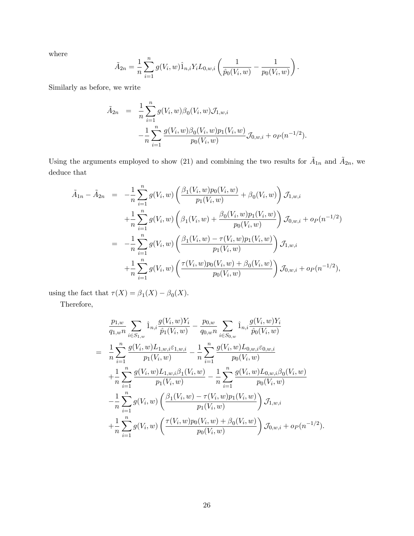where

$$
\tilde{A}_{2n} = \frac{1}{n} \sum_{i=1}^{n} g(V_i, w) \hat{1}_{n,i} Y_i L_{0,w,i} \left( \frac{1}{\hat{p}_0(V_i, w)} - \frac{1}{p_0(V_i, w)} \right).
$$

Similarly as before, we write

$$
\tilde{A}_{2n} = \frac{1}{n} \sum_{i=1}^{n} g(V_i, w) \beta_0(V_i, w) \mathcal{J}_{1, w, i} \n- \frac{1}{n} \sum_{i=1}^{n} \frac{g(V_i, w) \beta_0(V_i, w) p_1(V_i, w)}{p_0(V_i, w)} \mathcal{J}_{0, w, i} + o_P(n^{-1/2}).
$$

Using the arguments employed to show (21) and combining the two results for  $\tilde{A}_{1n}$  and  $\tilde{A}_{2n}$ , we deduce that

$$
\tilde{A}_{1n} - \tilde{A}_{2n} = -\frac{1}{n} \sum_{i=1}^{n} g(V_i, w) \left( \frac{\beta_1(V_i, w) p_0(V_i, w)}{p_1(V_i, w)} + \beta_0(V_i, w) \right) \mathcal{J}_{1, w, i} \n+ \frac{1}{n} \sum_{i=1}^{n} g(V_i, w) \left( \beta_1(V_i, w) + \frac{\beta_0(V_i, w) p_1(V_i, w)}{p_0(V_i, w)} \right) \mathcal{J}_{0, w, i} + o_P(n^{-1/2}) \n= -\frac{1}{n} \sum_{i=1}^{n} g(V_i, w) \left( \frac{\beta_1(V_i, w) - \tau(V_i, w) p_1(V_i, w)}{p_1(V_i, w)} \right) \mathcal{J}_{1, w, i} \n+ \frac{1}{n} \sum_{i=1}^{n} g(V_i, w) \left( \frac{\tau(V_i, w) p_0(V_i, w) + \beta_0(V_i, w)}{p_0(V_i, w)} \right) \mathcal{J}_{0, w, i} + o_P(n^{-1/2}),
$$

using the fact that  $\tau(X) = \beta_1(X) - \beta_0(X)$ .

Therefore,

$$
\frac{p_{1,w}}{q_{1,w}n} \sum_{i \in S_{1,w}} \hat{1}_{n,i} \frac{g(V_i, w)Y_i}{\hat{p}_1(V_i, w)} - \frac{p_{0,w}}{q_{0,w}n} \sum_{i \in S_{0,w}} \hat{1}_{n,i} \frac{g(V_i, w)Y_i}{\hat{p}_0(V_i, w)}
$$
\n
$$
= \frac{1}{n} \sum_{i=1}^n \frac{g(V_i, w)L_{1,w,i} \varepsilon_{1,w,i}}{p_1(V_i, w)} - \frac{1}{n} \sum_{i=1}^n \frac{g(V_i, w)L_{0,w,i} \varepsilon_{0,w,i}}{p_0(V_i, w)}
$$
\n
$$
+ \frac{1}{n} \sum_{i=1}^n \frac{g(V_i, w)L_{1,w,i} \beta_1(V_i, w)}{p_1(V_i, w)} - \frac{1}{n} \sum_{i=1}^n \frac{g(V_i, w)L_{0,w,i} \beta_0(V_i, w)}{p_0(V_i, w)}
$$
\n
$$
- \frac{1}{n} \sum_{i=1}^n g(V_i, w) \left( \frac{\beta_1(V_i, w) - \tau(V_i, w)p_1(V_i, w)}{p_1(V_i, w)} \right) \mathcal{J}_{1,w,i}
$$
\n
$$
+ \frac{1}{n} \sum_{i=1}^n g(V_i, w) \left( \frac{\tau(V_i, w)p_0(V_i, w) + \beta_0(V_i, w)}{p_0(V_i, w)} \right) \mathcal{J}_{0,w,i} + o_P(n^{-1/2}).
$$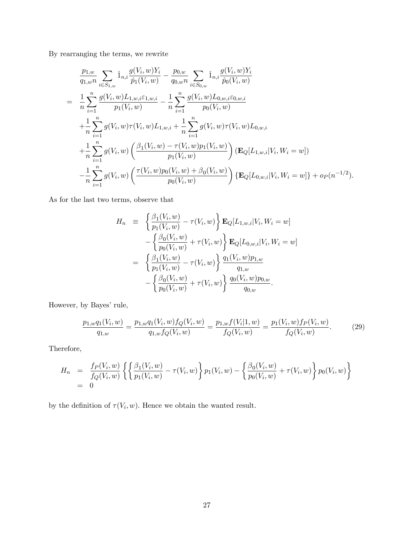By rearranging the terms, we rewrite

$$
\frac{p_{1,w}}{q_{1,wn}} \sum_{i \in S_{1,w}} \hat{1}_{n,i} \frac{g(V_i, w)Y_i}{\hat{p}_1(V_i, w)} - \frac{p_{0,w}}{q_{0,wn}} \sum_{i \in S_{0,w}} \hat{1}_{n,i} \frac{g(V_i, w)Y_i}{\hat{p}_0(V_i, w)}
$$
\n
$$
= \frac{1}{n} \sum_{i=1}^n \frac{g(V_i, w)L_{1,w,i} \varepsilon_{1,w,i}}{p_1(V_i, w)} - \frac{1}{n} \sum_{i=1}^n \frac{g(V_i, w)L_{0,w,i} \varepsilon_{0,w,i}}{p_0(V_i, w)}
$$
\n
$$
+ \frac{1}{n} \sum_{i=1}^n g(V_i, w) \tau(V_i, w) L_{1,w,i} + \frac{1}{n} \sum_{i=1}^n g(V_i, w) \tau(V_i, w) L_{0,w,i}
$$
\n
$$
+ \frac{1}{n} \sum_{i=1}^n g(V_i, w) \left( \frac{\beta_1(V_i, w) - \tau(V_i, w) p_1(V_i, w)}{p_1(V_i, w)} \right) (\mathbf{E}_Q[L_{1,w,i}|V_i, W_i = w])
$$
\n
$$
- \frac{1}{n} \sum_{i=1}^n g(V_i, w) \left( \frac{\tau(V_i, w) p_0(V_i, w) + \beta_0(V_i, w)}{p_0(V_i, w)} \right) {\{\mathbf{E}_Q[L_{0,w,i}|V_i, W_i = w]\}} + o_P(n^{-1/2}).
$$

As for the last two terms, observe that

$$
H_n = \left\{ \frac{\beta_1(V_i, w)}{p_1(V_i, w)} - \tau(V_i, w) \right\} \mathbf{E}_Q[L_{1,w,i}|V_i, W_i = w]
$$
  

$$
- \left\{ \frac{\beta_0(V_i, w)}{p_0(V_i, w)} + \tau(V_i, w) \right\} \mathbf{E}_Q[L_{0,w,i}|V_i, W_i = w]
$$
  

$$
= \left\{ \frac{\beta_1(V_i, w)}{p_1(V_i, w)} - \tau(V_i, w) \right\} \frac{q_1(V_i, w)p_{1,w}}{q_{1,w}}
$$
  

$$
- \left\{ \frac{\beta_0(V_i, w)}{p_0(V_i, w)} + \tau(V_i, w) \right\} \frac{q_0(V_i, w)p_{0,w}}{q_{0,w}}.
$$

However, by Bayes' rule,

$$
\frac{p_{1,w}q_1(V_i,w)}{q_{1,w}} = \frac{p_{1,w}q_1(V_i,w)f_Q(V_i,w)}{q_{1,w}f_Q(V_i,w)} = \frac{p_{1,w}f(V_i|1,w)}{f_Q(V_i,w)} = \frac{p_1(V_i,w)f_P(V_i,w)}{f_Q(V_i,w)}.
$$
(29)

Therefore,

$$
H_n = \frac{f_P(V_i, w)}{f_Q(V_i, w)} \left\{ \left\{ \frac{\beta_1(V_i, w)}{p_1(V_i, w)} - \tau(V_i, w) \right\} p_1(V_i, w) - \left\{ \frac{\beta_0(V_i, w)}{p_0(V_i, w)} + \tau(V_i, w) \right\} p_0(V_i, w) \right\}
$$
  
= 0

by the definition of  $\tau(V_i, w)$ . Hence we obtain the wanted result.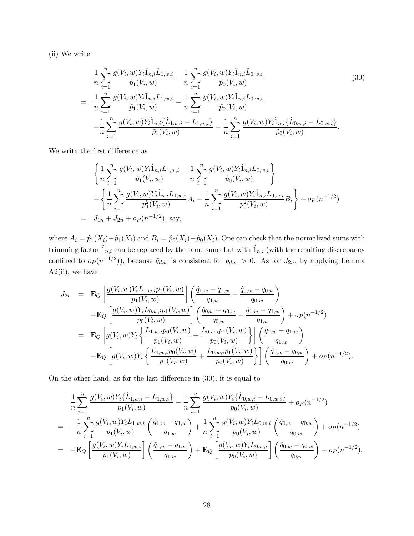(ii) We write

$$
\frac{1}{n} \sum_{i=1}^{n} \frac{g(V_i, w) Y_i \tilde{1}_{n,i} \hat{L}_{1,w,i}}{\tilde{p}_1(V_i, w)} - \frac{1}{n} \sum_{i=1}^{n} \frac{g(V_i, w) Y_i \tilde{1}_{n,i} \hat{L}_{0,w,i}}{\tilde{p}_0(V_i, w)}
$$
\n
$$
= \frac{1}{n} \sum_{i=1}^{n} \frac{g(V_i, w) Y_i \tilde{1}_{n,i} L_{1,w,i}}{\tilde{p}_1(V_i, w)} - \frac{1}{n} \sum_{i=1}^{n} \frac{g(V_i, w) Y_i \tilde{1}_{n,i} L_{0,w,i}}{\tilde{p}_0(V_i, w)}
$$
\n
$$
+ \frac{1}{n} \sum_{i=1}^{n} \frac{g(V_i, w) Y_i \tilde{1}_{n,i} \{\hat{L}_{1,w,i} - L_{1,w,i}\}}{\tilde{p}_1(V_i, w)} - \frac{1}{n} \sum_{i=1}^{n} \frac{g(V_i, w) Y_i \tilde{1}_{n,i} \{\hat{L}_{0,w,i} - L_{0,w,i}\}}{\tilde{p}_0(V_i, w)}.
$$
\n(30)

We write the first difference as

$$
\begin{aligned}\n&\left\{\frac{1}{n}\sum_{i=1}^{n}\frac{g(V_i, w)Y_i\hat{1}_{n,i}L_{1,w,i}}{\hat{p}_1(V_i, w)} - \frac{1}{n}\sum_{i=1}^{n}\frac{g(V_i, w)Y_i\hat{1}_{n,i}L_{0,w,i}}{\hat{p}_0(V_i, w)}\right\} \\
&+ \left\{\frac{1}{n}\sum_{i=1}^{n}\frac{g(V_i, w)Y_i\hat{1}_{n,i}L_{1,w,i}}{\hat{p}_1^2(V_i, w)}A_i - \frac{1}{n}\sum_{i=1}^{n}\frac{g(V_i, w)Y_i\hat{1}_{n,i}L_{0,w,i}}{\hat{p}_0^2(V_i, w)}B_i\right\} + o_P(n^{-1/2}) \\
&= J_{1n} + J_{2n} + o_P(n^{-1/2}), \text{ say,}\n\end{aligned}
$$

where  $A_i = \hat{p}_1(X_i)-\tilde{p}_1(X_i)$  and  $B_i = \hat{p}_0(X_i)-\tilde{p}_0(X_i)$ . One can check that the normalized sums with trimming factor  $\tilde{1}_{n,i}$  can be replaced by the same sums but with  $\hat{1}_{n,i}$  (with the resulting discrepancy confined to  $o_P(n^{-1/2})$ , because  $\hat{q}_{d,w}$  is consistent for  $q_{d,w} > 0$ . As for  $J_{2n}$ , by applying Lemma  $A2(i)$ , we have

$$
J_{2n} = \mathbf{E}_{Q} \left[ \frac{g(V_{i}, w)Y_{i}L_{1, w, i}p_{0}(V_{i}, w)}{p_{1}(V_{i}, w)} \right] \left( \frac{\hat{q}_{1, w} - q_{1, w}}{q_{1, w}} - \frac{\hat{q}_{0, w} - q_{0, w}}{q_{0, w}} \right)
$$
  
\n
$$
- \mathbf{E}_{Q} \left[ \frac{g(V_{i}, w)Y_{i}L_{0, w, i}p_{1}(V_{i}, w)}{p_{0}(V_{i}, w)} \right] \left( \frac{\hat{q}_{0, w} - q_{0, w}}{q_{0, w}} - \frac{\hat{q}_{1, w} - q_{1, w}}{q_{1, w}} \right) + o_{P}(n^{-1/2})
$$
  
\n
$$
= \mathbf{E}_{Q} \left[ g(V_{i}, w)Y_{i} \left\{ \frac{L_{1, w, i}p_{0}(V_{i}, w)}{p_{1}(V_{i}, w)} + \frac{L_{0, w, i}p_{1}(V_{i}, w)}{p_{0}(V_{i}, w)} \right\} \right] \left( \frac{\hat{q}_{1, w} - q_{1, w}}{q_{1, w}} \right)
$$
  
\n
$$
- \mathbf{E}_{Q} \left[ g(V_{i}, w)Y_{i} \left\{ \frac{L_{1, w, i}p_{0}(V_{i}, w)}{p_{1}(V_{i}, w)} + \frac{L_{0, w, i}p_{1}(V_{i}, w)}{p_{0}(V_{i}, w)} \right\} \right] \left( \frac{\hat{q}_{0, w} - q_{0, w}}{q_{0, w}} \right) + o_{P}(n^{-1/2}).
$$

On the other hand, as for the last difference in  $(30)$ , it is equal to

$$
\frac{1}{n} \sum_{i=1}^{n} \frac{g(V_i, w)Y_i\{\hat{L}_{1,w,i} - L_{1,w,i}\}}{p_1(V_i, w)} - \frac{1}{n} \sum_{i=1}^{n} \frac{g(V_i, w)Y_i\{\hat{L}_{0,w,i} - L_{0,w,i}\}}{p_0(V_i, w)} + o_P(n^{-1/2})
$$
\n
$$
= -\frac{1}{n} \sum_{i=1}^{n} \frac{g(V_i, w)Y_iL_{1,w,i}}{p_1(V_i, w)} \left(\frac{\hat{q}_{1,w} - q_{1,w}}{q_{1,w}}\right) + \frac{1}{n} \sum_{i=1}^{n} \frac{g(V_i, w)Y_iL_{0,w,i}}{p_0(V_i, w)} \left(\frac{\hat{q}_{0,w} - q_{0,w}}{q_{0,w}}\right) + o_P(n^{-1/2})
$$
\n
$$
= -\mathbf{E}_Q \left[ \frac{g(V_i, w)Y_iL_{1,w,i}}{p_1(V_i, w)} \right] \left(\frac{\hat{q}_{1,w} - q_{1,w}}{q_{1,w}}\right) + \mathbf{E}_Q \left[ \frac{g(V_i, w)Y_iL_{0,w,i}}{p_0(V_i, w)} \right] \left(\frac{\hat{q}_{0,w} - q_{0,w}}{q_{0,w}}\right) + o_P(n^{-1/2}).
$$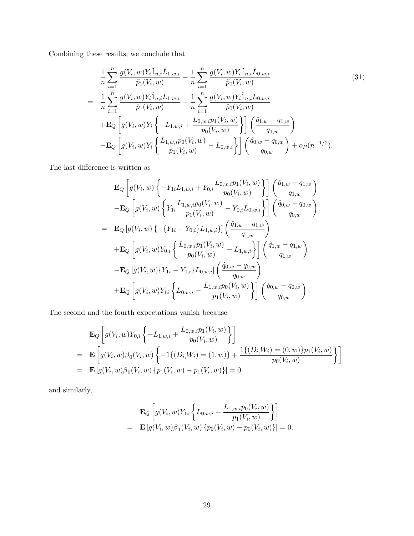Combining these results, we conclude that

$$
\frac{1}{n} \sum_{i=1}^{n} \frac{g(V_i, w) Y_i \tilde{1}_{n,i} \hat{L}_{1,w,i}}{\tilde{p}_1(V_i, w)} - \frac{1}{n} \sum_{i=1}^{n} \frac{g(V_i, w) Y_i \tilde{1}_{n,i} \hat{L}_{0,w,i}}{\tilde{p}_0(V_i, w)}
$$
\n
$$
= \frac{1}{n} \sum_{i=1}^{n} \frac{g(V_i, w) Y_i \hat{1}_{n,i} L_{1,w,i}}{\tilde{p}_1(V_i, w)} - \frac{1}{n} \sum_{i=1}^{n} \frac{g(V_i, w) Y_i \hat{1}_{n,i} L_{0,w,i}}{\tilde{p}_0(V_i, w)}
$$
\n
$$
+ \mathbf{E}_Q \left[ g(V_i, w) Y_i \left\{ -L_{1,w,i} + \frac{L_{0,w,i} p_1(V_i, w)}{p_0(V_i, w)} \right\} \right] \left( \frac{\hat{q}_{1,w} - q_{1,w}}{q_{1,w}} \right)
$$
\n
$$
- \mathbf{E}_Q \left[ g(V_i, w) Y_i \left\{ \frac{L_{1,w,i} p_0(V_i, w)}{p_1(V_i, w)} - L_{0,w,i} \right\} \right] \left( \frac{\hat{q}_{0,w} - q_{0,w}}{q_{0,w}} \right) + o_P(n^{-1/2}).
$$
\n(31)

The last difference is written as

$$
\mathbf{E}_{Q}\left[g(V_{i}, w)\left\{-Y_{1i}L_{1, w, i} + Y_{0, i}\frac{L_{0, w, i}p_{1}(V_{i}, w)}{p_{0}(V_{i}, w)}\right\}\right]\left(\frac{\hat{q}_{1, w} - q_{1, w}}{q_{1, w}}\right) \n-\mathbf{E}_{Q}\left[g(V_{i}, w)\left\{Y_{1i}\frac{L_{1, w, i}p_{0}(V_{i}, w)}{p_{1}(V_{i}, w)} - Y_{0, i}L_{0, w,i}\right\}\right]\left(\frac{\hat{q}_{0, w} - q_{0, w}}{q_{0, w}}\right) \n=\mathbf{E}_{Q}\left[g(V_{i}, w)\left\{-\{Y_{1i} - Y_{0, i}\}_{L_{1, w, i}}\right\}\right]\left(\frac{\hat{q}_{1, w} - q_{1, w}}{q_{1, w}}\right) \n+\mathbf{E}_{Q}\left[g(V_{i}, w)Y_{0, i}\left\{\frac{L_{0, w, i}p_{1}(V_{i}, w)}{p_{0}(V_{i}, w)} - L_{1, w, i}\right\}\right]\left(\frac{\hat{q}_{1, w} - q_{1, w}}{q_{1, w}}\right) \n-\mathbf{E}_{Q}\left[g(V_{i}, w)\left\{Y_{1i} - Y_{0, i}\right\}_{L_{0, w, i}}\right]\left(\frac{\hat{q}_{0, w} - q_{0, w}}{q_{0, w}}\right) \n+\mathbf{E}_{Q}\left[g(V_{i}, w)Y_{1i}\left\{L_{0, w, i} - \frac{L_{1, w, i}p_{0}(V_{i}, w)}{p_{1}(V_{i}, w)}\right\}\right]\left(\frac{\hat{q}_{0, w} - q_{0, w}}{q_{0, w}}\right).
$$

The second and the fourth expectations vanish because

$$
\mathbf{E}_{Q}\left[g(V_{i}, w)Y_{0,i}\left\{-L_{1,w,i}+\frac{L_{0,w,i}p_{1}(V_{i}, w)}{p_{0}(V_{i}, w)}\right\}\right]
$$
\n
$$
=\mathbf{E}\left[g(V_{i}, w)\beta_{0}(V_{i}, w)\left\{-1\{(D_{i}, W_{i})=(1, w)\}+\frac{1\{(D_{i}, W_{i})=(0, w)\}p_{1}(V_{i}, w)}{p_{0}(V_{i}, w)}\right\}\right]
$$
\n
$$
=\mathbf{E}\left[g(V_{i}, w)\beta_{0}(V_{i}, w)\left\{p_{1}(V_{i}, w)-p_{1}(V_{i}, w)\right\}\right]=0
$$

and similarly,

$$
\mathbf{E}_{Q}\left[g(V_{i}, w)Y_{1i}\left\{L_{0,w,i}-\frac{L_{1,w,i}p_{0}(V_{i}, w)}{p_{1}(V_{i}, w)}\right\}\right] = \mathbf{E}\left[g(V_{i}, w)\beta_{1}(V_{i}, w)\left\{p_{0}(V_{i}, w)-p_{0}(V_{i}, w)\right\}\right] = 0.
$$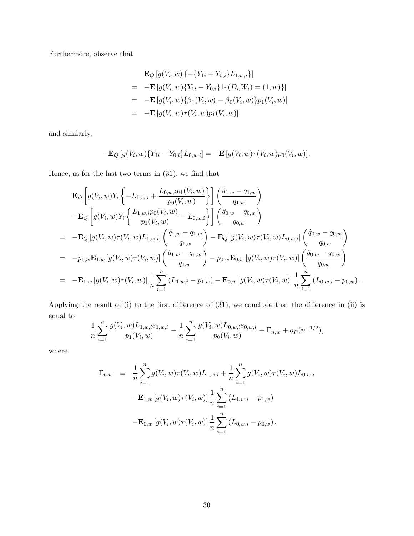Furthermore, observe that

$$
\mathbf{E}_{Q}[g(V_{i}, w) \{-\{Y_{1i} - Y_{0,i}\}L_{1,w,i}\}]
$$
\n
$$
= -\mathbf{E}[g(V_{i}, w)\{Y_{1i} - Y_{0,i}\}1\{(D_{i}, W_{i}) = (1, w)\}]
$$
\n
$$
= -\mathbf{E}[g(V_{i}, w)\{\beta_{1}(V_{i}, w) - \beta_{0}(V_{i}, w)\}p_{1}(V_{i}, w)]
$$
\n
$$
= -\mathbf{E}[g(V_{i}, w)\tau(V_{i}, w)p_{1}(V_{i}, w)]
$$

and similarly,

$$
-\mathbf{E}_Q[g(V_i,w)\{Y_{1i}-Y_{0,i}\}L_{0,w,i}]=-\mathbf{E}[g(V_i,w)\tau(V_i,w)p_0(V_i,w)].
$$

Hence, as for the last two terms in  $(31)$ , we find that

$$
\mathbf{E}_{Q}\left[g(V_{i},w)Y_{i}\left\{-L_{1,w,i}+\frac{L_{0,w,i}p_{1}(V_{i},w)}{p_{0}(V_{i},w)}\right\}\right]\left(\frac{\hat{q}_{1,w}-q_{1,w}}{q_{1,w}}\right) \n-\mathbf{E}_{Q}\left[g(V_{i},w)Y_{i}\left\{\frac{L_{1,w,i}p_{0}(V_{i},w)}{p_{1}(V_{i},w)}-L_{0,w,i}\right\}\right]\left(\frac{\hat{q}_{0,w}-q_{0,w}}{q_{0,w}}\right) \n=\n-\mathbf{E}_{Q}\left[g(V_{i},w)\tau(V_{i},w)L_{1,w,i}\right]\left(\frac{\hat{q}_{1,w}-q_{1,w}}{q_{1,w}}\right)-\mathbf{E}_{Q}\left[g(V_{i},w)\tau(V_{i},w)L_{0,w,i}\right]\left(\frac{\hat{q}_{0,w}-q_{0,w}}{q_{0,w}}\right) \n=\n-p_{1,w}\mathbf{E}_{1,w}\left[g(V_{i},w)\tau(V_{i},w)\right]\left(\frac{\hat{q}_{1,w}-q_{1,w}}{q_{1,w}}\right)-p_{0,w}\mathbf{E}_{0,w}\left[g(V_{i},w)\tau(V_{i},w)\right]\left(\frac{\hat{q}_{0,w}-q_{0,w}}{q_{0,w}}\right) \n=\n-\mathbf{E}_{1,w}\left[g(V_{i},w)\tau(V_{i},w)\right]\frac{1}{n}\sum_{i=1}^{n}\left(L_{1,w,i}-p_{1,w}\right)-\mathbf{E}_{0,w}\left[g(V_{i},w)\tau(V_{i},w)\right]\frac{1}{n}\sum_{i=1}^{n}\left(L_{0,w,i}-p_{0,w}\right).
$$

Applying the result of  $(i)$  to the first difference of  $(31)$ , we conclude that the difference in  $(ii)$  is equal to

$$
\frac{1}{n}\sum_{i=1}^n\frac{g(V_i,w)L_{1,w,i}\varepsilon_{1,w,i}}{p_1(V_i,w)}-\frac{1}{n}\sum_{i=1}^n\frac{g(V_i,w)L_{0,w,i}\varepsilon_{0,w,i}}{p_0(V_i,w)}+\Gamma_{n,w}+o_P(n^{-1/2}),
$$

where

$$
\Gamma_{n,w} = \frac{1}{n} \sum_{i=1}^{n} g(V_i, w) \tau(V_i, w) L_{1,w,i} + \frac{1}{n} \sum_{i=1}^{n} g(V_i, w) \tau(V_i, w) L_{0,w,i}
$$

$$
-\mathbf{E}_{1,w} \left[ g(V_i, w) \tau(V_i, w) \right] \frac{1}{n} \sum_{i=1}^{n} (L_{1,w,i} - p_{1,w})
$$

$$
-\mathbf{E}_{0,w} \left[ g(V_i, w) \tau(V_i, w) \right] \frac{1}{n} \sum_{i=1}^{n} (L_{0,w,i} - p_{0,w}).
$$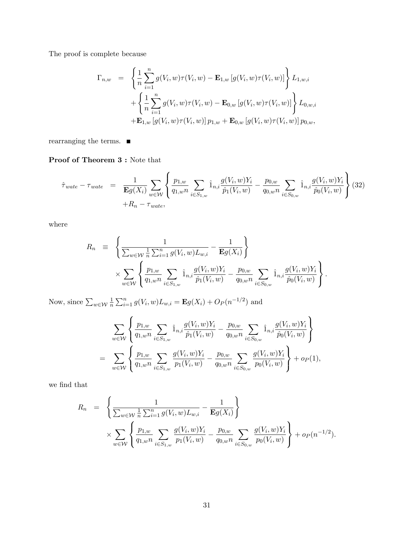The proof is complete because

$$
\Gamma_{n,w} = \left\{ \frac{1}{n} \sum_{i=1}^{n} g(V_i, w) \tau(V_i, w) - \mathbf{E}_{1,w} \left[ g(V_i, w) \tau(V_i, w) \right] \right\} L_{1,w,i}
$$
  
+ 
$$
\left\{ \frac{1}{n} \sum_{i=1}^{n} g(V_i, w) \tau(V_i, w) - \mathbf{E}_{0,w} \left[ g(V_i, w) \tau(V_i, w) \right] \right\} L_{0,w,i}
$$
  
+ 
$$
\mathbf{E}_{1,w} \left[ g(V_i, w) \tau(V_i, w) \right] p_{1,w} + \mathbf{E}_{0,w} \left[ g(V_i, w) \tau(V_i, w) \right] p_{0,w},
$$

rearranging the terms.  $\blacksquare$ 

Proof of Theorem 3 : Note that

$$
\hat{\tau}_{wate} - \tau_{wate} = \frac{1}{\mathbf{E}g(X_i)} \sum_{w \in \mathcal{W}} \left\{ \frac{p_{1,w}}{q_{1,w}n} \sum_{i \in S_{1,w}} \hat{1}_{n,i} \frac{g(V_i, w)Y_i}{\hat{p}_1(V_i, w)} - \frac{p_{0,w}}{q_{0,w}n} \sum_{i \in S_{0,w}} \hat{1}_{n,i} \frac{g(V_i, w)Y_i}{\hat{p}_0(V_i, w)} \right\} (32)
$$
\n
$$
+ R_n - \tau_{wate},
$$

where

$$
R_n = \left\{ \frac{1}{\sum_{w \in \mathcal{W}} \frac{1}{n} \sum_{i=1}^n g(V_i, w) L_{w,i}} - \frac{1}{\mathbf{E}g(X_i)} \right\}
$$
  
 
$$
\times \sum_{w \in \mathcal{W}} \left\{ \frac{p_{1,w}}{q_{1,w} n} \sum_{i \in S_{1,w}} \hat{1}_{n,i} \frac{g(V_i, w) Y_i}{\hat{p}_1(V_i, w)} - \frac{p_{0,w}}{q_{0,w} n} \sum_{i \in S_{0,w}} \hat{1}_{n,i} \frac{g(V_i, w) Y_i}{\hat{p}_0(V_i, w)} \right\}.
$$

Now, since  $\sum_{w \in \mathcal{W}} \frac{1}{n}$  $\frac{1}{n} \sum_{i=1}^{n} g(V_i, w) L_{w,i} = \mathbf{E}g(X_i) + O_P(n^{-1/2})$  and

$$
\sum_{w \in \mathcal{W}} \left\{ \frac{p_{1,w}}{q_{1,w}n} \sum_{i \in S_{1,w}} \hat{1}_{n,i} \frac{g(V_i, w)Y_i}{\hat{p}_1(V_i, w)} - \frac{p_{0,w}}{q_{0,w}n} \sum_{i \in S_{0,w}} \hat{1}_{n,i} \frac{g(V_i, w)Y_i}{\hat{p}_0(V_i, w)} \right\} \n= \sum_{w \in \mathcal{W}} \left\{ \frac{p_{1,w}}{q_{1,w}n} \sum_{i \in S_{1,w}} \frac{g(V_i, w)Y_i}{p_1(V_i, w)} - \frac{p_{0,w}}{q_{0,w}n} \sum_{i \in S_{0,w}} \frac{g(V_i, w)Y_i}{p_0(V_i, w)} \right\} + o_P(1),
$$

we find that

$$
R_n = \left\{ \frac{1}{\sum_{w \in \mathcal{W}} \frac{1}{n} \sum_{i=1}^n g(V_i, w) L_{w,i}} - \frac{1}{\mathbf{E}g(X_i)} \right\}
$$
  
\$\times \sum\_{w \in \mathcal{W}} \left\{ \frac{p\_{1,w}}{q\_{1,w} n} \sum\_{i \in S\_{1,w}} \frac{g(V\_i, w) Y\_i}{p\_1(V\_i, w)} - \frac{p\_{0,w}}{q\_{0,w} n} \sum\_{i \in S\_{0,w}} \frac{g(V\_i, w) Y\_i}{p\_0(V\_i, w)} \right\} + op(n^{-1/2}).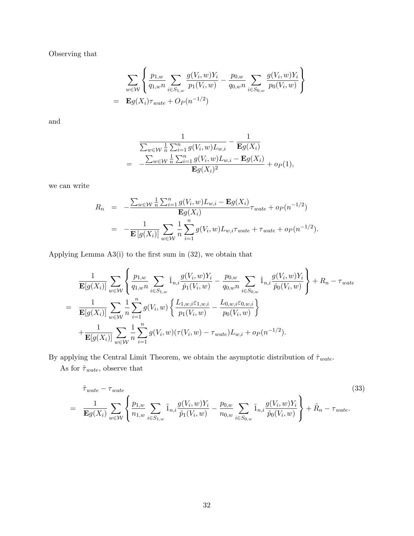Observing that

$$
\sum_{w \in \mathcal{W}} \left\{ \frac{p_{1,w}}{q_{1,wn}} \sum_{i \in S_{1,w}} \frac{g(V_i, w)Y_i}{p_1(V_i, w)} - \frac{p_{0,w}}{q_{0,wn}} \sum_{i \in S_{0,w}} \frac{g(V_i, w)Y_i}{p_0(V_i, w)} \right\}
$$
  
=  $\mathbf{E}g(X_i)\tau_{wate} + O_P(n^{-1/2})$ 

and

$$
\frac{1}{\sum_{w \in \mathcal{W}} \frac{1}{n} \sum_{i=1}^{n} g(V_i, w) L_{w,i}} - \frac{1}{\mathbf{E}g(X_i)} \\
= -\frac{\sum_{w \in \mathcal{W}} \frac{1}{n} \sum_{i=1}^{n} g(V_i, w) L_{w,i} - \mathbf{E}g(X_i)}{\mathbf{E}g(X_i)^2} + o_P(1),
$$

we can write

$$
R_n = -\frac{\sum_{w \in \mathcal{W}} \frac{1}{n} \sum_{i=1}^n g(V_i, w) L_{w,i} - \mathbf{E}g(X_i)}{\mathbf{E}g(X_i)} \tau_{wate} + o_P(n^{-1/2})
$$
  
= 
$$
-\frac{1}{\mathbf{E} [g(X_i)]} \sum_{w \in \mathcal{W}} \frac{1}{n} \sum_{i=1}^n g(V_i, w) L_{w,i} \tau_{wate} + \tau_{wate} + o_P(n^{-1/2}).
$$

Applying Lemma  $A3(i)$  to the first sum in  $(32)$ , we obtain that

$$
\frac{1}{\mathbf{E}[g(X_i)]} \sum_{w \in \mathcal{W}} \left\{ \frac{p_{1,w}}{q_{1,wn}} \sum_{i \in S_{1,w}} \hat{1}_{n,i} \frac{g(V_i, w)Y_i}{\hat{p}_1(V_i, w)} - \frac{p_{0,w}}{q_{0,wn}} \sum_{i \in S_{0,w}} \hat{1}_{n,i} \frac{g(V_i, w)Y_i}{\hat{p}_0(V_i, w)} \right\} + R_n - \tau_{wate}
$$
\n
$$
= \frac{1}{\mathbf{E}[g(X_i)]} \sum_{w \in \mathcal{W}} \frac{1}{n} \sum_{i=1}^n g(V_i, w) \left\{ \frac{L_{1,w,i} \varepsilon_{1,w,i}}{p_1(V_i, w)} - \frac{L_{0,w,i} \varepsilon_{0,w,i}}{p_0(V_i, w)} \right\}
$$
\n
$$
+ \frac{1}{\mathbf{E}[g(X_i)]} \sum_{w \in \mathcal{W}} \frac{1}{n} \sum_{i=1}^n g(V_i, w) (\tau(V_i, w) - \tau_{wate}) L_{w,i} + o_P(n^{-1/2}).
$$

By applying the Central Limit Theorem, we obtain the asymptotic distribution of  $\hat{\tau}_{wate}$ . As for  $\tilde{\tau}_{wate}$  , observe that

$$
\tilde{\tau}_{wate} - \tau_{wate} \qquad (33)
$$
\n
$$
= \frac{1}{\mathbf{E}g(X_i)} \sum_{w \in \mathcal{W}} \left\{ \frac{p_{1,w}}{n_{1,w}} \sum_{i \in S_{1,w}} \tilde{1}_{n,i} \frac{g(V_i, w)Y_i}{\tilde{p}_1(V_i, w)} - \frac{p_{0,w}}{n_{0,w}} \sum_{i \in S_{0,w}} \tilde{1}_{n,i} \frac{g(V_i, w)Y_i}{\tilde{p}_0(V_i, w)} \right\} + \tilde{R}_n - \tau_{wate}.
$$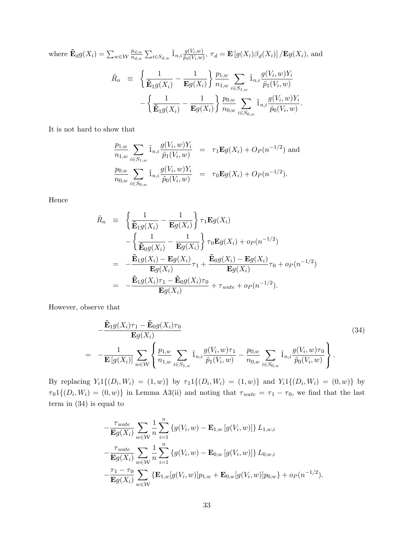where  $\mathbf{\tilde{E}}_d g(X_i) = \sum_{w \in \mathcal{W}}$  $p_{d,w}$  $\frac{p_{d,w}}{n_{d,w}}\sum_{i\in S_{d,w}} \tilde 1_{n,i} \frac{g(V_i,w)}{\tilde p_d(V_i,w)}$  $\frac{g(V_i, w)}{\tilde{p}_d(V_i, w)}, \tau_d = \mathbf{E}\left[g(X_i)\beta_d(X_i)\right] / \mathbf{E}g(X_i)$ , and  $\tilde{R}_n \equiv$  $\int$  1  $\overline{\tilde{\mathbf{E}}_1g(X_i)}$  – 1  $\mathbf{E} g(X_i)$  $\big\}$   $p_{1,w}$  $n_{1,w}$  $\sum$  $i\in S_{1,w}$  $\tilde{1}_{n,i} \frac{g(V_i,w)Y_i}{g(V_i,w)}$  $\widetilde{p}_1(V_i,w)$ Ξ  $\begin{bmatrix} 1 \end{bmatrix}$  $\overline{\tilde{\mathbf{E}}_1g(X_i)}$  – 1  $\mathbf{E} g(X_i)$  $\left| \right. p_{0,w}$  $n_{0,w}$  $\overline{\phantom{0}}$  $i\in S_{0,w}$  $\tilde{1}_{n,i} \frac{g(V_i,w)Y_i}{g(V_i,w)}$  $\frac{\widetilde{p}_0(V_i,w)}{ \widetilde{p}_0(V_i,w)}.$ 

It is not hard to show that

$$
\frac{p_{1,w}}{n_{1,w}} \sum_{i \in S_{1,w}} \tilde{1}_{n,i} \frac{g(V_i, w)Y_i}{\tilde{p}_1(V_i, w)} = \tau_1 \mathbf{E}g(X_i) + O_P(n^{-1/2}) \text{ and}
$$
  
\n
$$
\frac{p_{0,w}}{n_{0,w}} \sum_{i \in S_{0,w}} \tilde{1}_{n,i} \frac{g(V_i, w)Y_i}{\tilde{p}_0(V_i, w)} = \tau_0 \mathbf{E}g(X_i) + O_P(n^{-1/2}).
$$

Hence

$$
\tilde{R}_n \equiv \left\{ \frac{1}{\tilde{\mathbf{E}}_1 g(X_i)} - \frac{1}{\mathbf{E}g(X_i)} \right\} \tau_1 \mathbf{E}g(X_i)
$$
\n
$$
- \left\{ \frac{1}{\tilde{\mathbf{E}}_0 g(X_i)} - \frac{1}{\mathbf{E}g(X_i)} \right\} \tau_0 \mathbf{E}g(X_i) + o_P(n^{-1/2})
$$
\n
$$
= -\frac{\tilde{\mathbf{E}}_1 g(X_i) - \mathbf{E}g(X_i)}{\mathbf{E}g(X_i)} \tau_1 + \frac{\tilde{\mathbf{E}}_0 g(X_i) - \mathbf{E}g(X_i)}{\mathbf{E}g(X_i)} \tau_0 + o_P(n^{-1/2})
$$
\n
$$
= -\frac{\tilde{\mathbf{E}}_1 g(X_i) \tau_1 - \tilde{\mathbf{E}}_0 g(X_i) \tau_0}{\mathbf{E}g(X_i)} + \tau_{wate} + o_P(n^{-1/2}).
$$

However, observe that

$$
-\frac{\tilde{\mathbf{E}}_1 g(X_i)\tau_1 - \tilde{\mathbf{E}}_0 g(X_i)\tau_0}{\mathbf{E}g(X_i)}\n= -\frac{1}{\mathbf{E}\left[g(X_i)\right]}\sum_{w\in\mathcal{W}}\left\{\frac{p_{1,w}}{n_{1,w}}\sum_{i\in S_{1,w}}\tilde{1}_{n,i}\frac{g(V_i,w)\tau_1}{\tilde{p}_1(V_i,w)} - \frac{p_{0,w}}{n_{0,w}}\sum_{i\in S_{0,w}}\tilde{1}_{n,i}\frac{g(V_i,w)\tau_0}{\tilde{p}_0(V_i,w)}\right\}.
$$
\n(34)

By replacing  $Y_i 1\{(D_i, W_i) = (1, w)\}\$  by  $\tau_1 1\{(D_i, W_i) = (1, w)\}\$  and  $Y_i 1\{(D_i, W_i) = (0, w)\}\$  by  $\tau_0 1\{(D_i, W_i) = (0, w)\}\$ in Lemma A3(ii) and noting that  $\tau_{wate} = \tau_1 - \tau_0$ , we find that the last term in (34) is equal to

$$
-\frac{\tau_{wate}}{\mathbf{E}g(X_i)} \sum_{w \in \mathcal{W}} \frac{1}{n} \sum_{i=1}^n \left\{ g(V_i, w) - \mathbf{E}_{1,w} \left[ g(V_i, w) \right] \right\} L_{1,w,i}
$$
  

$$
-\frac{\tau_{wate}}{\mathbf{E}g(X_i)} \sum_{w \in \mathcal{W}} \frac{1}{n} \sum_{i=1}^n \left\{ g(V_i, w) - \mathbf{E}_{0,w} \left[ g(V_i, w) \right] \right\} L_{0,w,i}
$$
  

$$
-\frac{\tau_1 - \tau_0}{\mathbf{E}g(X_i)} \sum_{w \in \mathcal{W}} \left\{ \mathbf{E}_{1,w} \left[ g(V_i, w) \right] p_{1,w} + \mathbf{E}_{0,w} \left[ g(V_i, w) \right] p_{0,w} \right\} + o_P(n^{-1/2}).
$$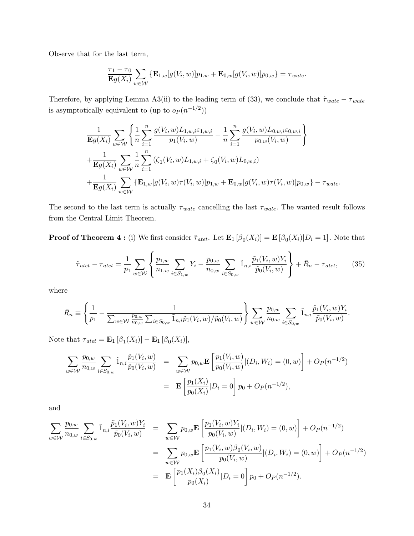Observe that for the last term,

$$
\frac{\tau_1-\tau_0}{\mathbf{E}g(X_i)}\sum_{w\in\mathcal{W}}\left\{\mathbf{E}_{1,w}[g(V_i,w)]p_{1,w}+\mathbf{E}_{0,w}[g(V_i,w)]p_{0,w}\right\}=\tau_{wate}.
$$

Therefore, by applying Lemma A3(ii) to the leading term of (33), we conclude that  $\tilde{\tau}_{wate} - \tau_{wate}$ is asymptotically equivalent to (up to  $o_P(n^{-1/2})$ )

$$
\frac{1}{\mathbf{E}g(X_i)} \sum_{w \in \mathcal{W}} \left\{ \frac{1}{n} \sum_{i=1}^n \frac{g(V_i, w) L_{1, w, i} \varepsilon_{1, w, i}}{p_1(V_i, w)} - \frac{1}{n} \sum_{i=1}^n \frac{g(V_i, w) L_{0, w, i} \varepsilon_{0, w, i}}{p_{0, w}(V_i, w)} \right\} \n+ \frac{1}{\mathbf{E}g(X_i)} \sum_{w \in \mathcal{W}} \frac{1}{n} \sum_{i=1}^n (\zeta_1(V_i, w) L_{1, w, i} + \zeta_0(V_i, w) L_{0, w, i}) \n+ \frac{1}{\mathbf{E}g(X_i)} \sum_{w \in \mathcal{W}} \left\{ \mathbf{E}_{1, w}[g(V_i, w) \tau(V_i, w)] p_{1, w} + \mathbf{E}_{0, w}[g(V_i, w) \tau(V_i, w)] p_{0, w} \right\} - \tau_{wate}.
$$

The second to the last term is actually  $\tau_{wate}$  cancelling the last  $\tau_{wate}$ . The wanted result follows from the Central Limit Theorem.

**Proof of Theorem 4**: (i) We first consider  $\tilde{\tau}_{\text{atet}}$ . Let  $\mathbf{E}_1 [\beta_0(X_i)] = \mathbf{E} [\beta_0(X_i)|D_i = 1]$ . Note that

$$
\tilde{\tau}_{\text{atet}} - \tau_{\text{atet}} = \frac{1}{p_1} \sum_{w \in \mathcal{W}} \left\{ \frac{p_{1,w}}{n_{1,w}} \sum_{i \in S_{1,w}} Y_i - \frac{p_{0,w}}{n_{0,w}} \sum_{i \in S_{0,w}} \tilde{1}_{n,i} \frac{\tilde{p}_1(V_i, w) Y_i}{\tilde{p}_0(V_i, w)} \right\} + \bar{R}_n - \tau_{\text{atet}}, \tag{35}
$$

where

$$
\bar{R}_n \equiv \left\{ \frac{1}{p_1} - \frac{1}{\sum_{w \in \mathcal{W}} \frac{p_{0,w}}{n_{0,w}} \sum_{i \in S_{0,w}} \tilde{1}_{n,i} \tilde{p}_1(V_i, w) / \tilde{p}_0(V_i, w)} \right\} \sum_{w \in \mathcal{W}} \frac{p_{0,w}}{n_{0,w}} \sum_{i \in S_{0,w}} \tilde{1}_{n,i} \frac{\tilde{p}_1(V_i, w) Y_i}{\tilde{p}_0(V_i, w)}.
$$

Note that  $\tau_{\text{atet}} = \mathbf{E}_1 [\beta_1(X_i)] - \mathbf{E}_1 [\beta_0(X_i)],$ 

$$
\sum_{w \in \mathcal{W}} \frac{p_{0,w}}{n_{0,w}} \sum_{i \in S_{0,w}} \tilde{1}_{n,i} \frac{\tilde{p}_1(V_i, w)}{\tilde{p}_0(V_i, w)} = \sum_{w \in \mathcal{W}} p_{0,w} \mathbf{E} \left[ \frac{p_1(V_i, w)}{p_0(V_i, w)} | (D_i, W_i) = (0, w) \right] + O_P(n^{-1/2})
$$
  
= 
$$
\mathbf{E} \left[ \frac{p_1(X_i)}{p_0(X_i)} | D_i = 0 \right] p_0 + O_P(n^{-1/2}),
$$

and

$$
\sum_{w \in \mathcal{W}} \frac{p_{0,w}}{n_{0,w}} \sum_{i \in S_{0,w}} \tilde{1}_{n,i} \frac{\tilde{p}_1(V_i, w)Y_i}{\tilde{p}_0(V_i, w)} = \sum_{w \in \mathcal{W}} p_{0,w} \mathbf{E} \left[ \frac{p_1(V_i, w)Y_i}{p_0(V_i, w)} | (D_i, W_i) = (0, w) \right] + O_P(n^{-1/2})
$$
  
\n
$$
= \sum_{w \in \mathcal{W}} p_{0,w} \mathbf{E} \left[ \frac{p_1(V_i, w) \beta_0(V_i, w)}{p_0(V_i, w)} | (D_i, W_i) = (0, w) \right] + O_P(n^{-1/2})
$$
  
\n
$$
= \mathbf{E} \left[ \frac{p_1(X_i) \beta_0(X_i)}{p_0(X_i)} | D_i = 0 \right] p_0 + O_P(n^{-1/2}).
$$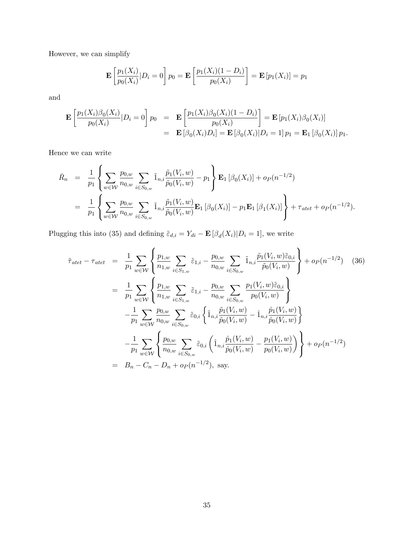However, we can simplify

$$
\mathbf{E}\left[\frac{p_1(X_i)}{p_0(X_i)}|D_i=0\right]p_0=\mathbf{E}\left[\frac{p_1(X_i)(1-D_i)}{p_0(X_i)}\right]=\mathbf{E}\left[p_1(X_i)\right]=p_1
$$

and

$$
\mathbf{E}\left[\frac{p_1(X_i)\beta_0(X_i)}{p_0(X_i)}|D_i=0\right]p_0 = \mathbf{E}\left[\frac{p_1(X_i)\beta_0(X_i)(1-D_i)}{p_0(X_i)}\right] = \mathbf{E}\left[p_1(X_i)\beta_0(X_i)\right]
$$
  
= 
$$
\mathbf{E}\left[\beta_0(X_i)D_i\right] = \mathbf{E}\left[\beta_0(X_i)|D_i=1\right]p_1 = \mathbf{E}_1\left[\beta_0(X_i)\right]p_1.
$$

Hence we can write

$$
\bar{R}_n = \frac{1}{p_1} \left\{ \sum_{w \in \mathcal{W}} \frac{p_{0,w}}{n_{0,w}} \sum_{i \in S_{0,w}} \tilde{1}_{n,i} \frac{\tilde{p}_1(V_i, w)}{\tilde{p}_0(V_i, w)} - p_1 \right\} \mathbf{E}_1 \left[ \beta_0(X_i) \right] + o_P(n^{-1/2})
$$
\n
$$
= \frac{1}{p_1} \left\{ \sum_{w \in \mathcal{W}} \frac{p_{0,w}}{n_{0,w}} \sum_{i \in S_{0,w}} \tilde{1}_{n,i} \frac{\tilde{p}_1(V_i, w)}{\tilde{p}_0(V_i, w)} \mathbf{E}_1 \left[ \beta_0(X_i) \right] - p_1 \mathbf{E}_1 \left[ \beta_1(X_i) \right] \right\} + \tau_{atet} + o_P(n^{-1/2}).
$$

Plugging this into (35) and defining  $\tilde{\varepsilon}_{d,i} = Y_{di} - \mathbf{E} [\beta_d(X_i)|D_i = 1]$ , we write

$$
\tilde{\tau}_{\text{atet}} - \tau_{\text{atet}} = \frac{1}{p_1} \sum_{w \in \mathcal{W}} \left\{ \frac{p_{1,w}}{n_{1,w}} \sum_{i \in S_{1,w}} \tilde{\varepsilon}_{1,i} - \frac{p_{0,w}}{n_{0,w}} \sum_{i \in S_{0,w}} \tilde{1}_{n,i} \frac{\tilde{p}_1(V_i, w) \tilde{\varepsilon}_{0,i}}{\tilde{p}_0(V_i, w)} \right\} + o_P(n^{-1/2}) \quad (36)
$$
\n
$$
= \frac{1}{p_1} \sum_{w \in \mathcal{W}} \left\{ \frac{p_{1,w}}{n_{1,w}} \sum_{i \in S_{1,w}} \tilde{\varepsilon}_{1,i} - \frac{p_{0,w}}{n_{0,w}} \sum_{i \in S_{0,w}} \frac{p_1(V_i, w) \tilde{\varepsilon}_{0,i}}{p_0(V_i, w)} \right\}
$$
\n
$$
- \frac{1}{p_1} \sum_{w \in \mathcal{W}} \frac{p_{0,w}}{n_{0,w}} \sum_{i \in S_{0,w}} \tilde{\varepsilon}_{0,i} \left\{ \tilde{1}_{n,i} \frac{\tilde{p}_1(V_i, w)}{\tilde{p}_0(V_i, w)} - \hat{1}_{n,i} \frac{\hat{p}_1(V_i, w)}{\hat{p}_0(V_i, w)} \right\}
$$
\n
$$
- \frac{1}{p_1} \sum_{w \in \mathcal{W}} \left\{ \frac{p_{0,w}}{n_{0,w}} \sum_{i \in S_{0,w}} \tilde{\varepsilon}_{0,i} \left( \hat{1}_{n,i} \frac{\hat{p}_1(V_i, w)}{\hat{p}_0(V_i, w)} - \frac{p_1(V_i, w)}{p_0(V_i, w)} \right) \right\} + o_P(n^{-1/2})
$$
\n
$$
= B_n - C_n - D_n + o_P(n^{-1/2}), \text{ say.}
$$
\n(36)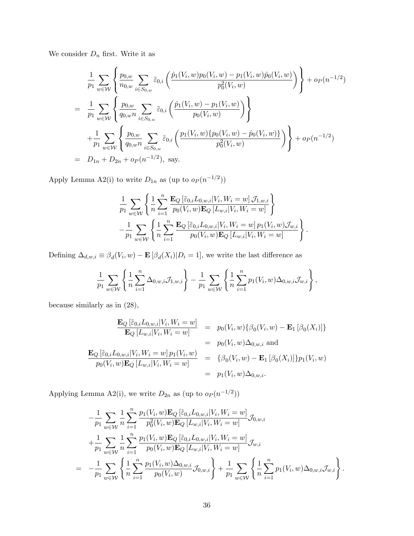We consider  $\mathcal{D}_n$  first. Write it as

$$
\frac{1}{p_1} \sum_{w \in \mathcal{W}} \left\{ \frac{p_{0,w}}{n_{0,w}} \sum_{i \in S_{0,w}} \tilde{\varepsilon}_{0,i} \left( \frac{\hat{p}_1(V_i, w) p_0(V_i, w) - p_1(V_i, w) \hat{p}_0(V_i, w)}{p_0^2(V_i, w)} \right) \right\} + o_P(n^{-1/2})
$$
\n
$$
= \frac{1}{p_1} \sum_{w \in \mathcal{W}} \left\{ \frac{p_{0,w}}{q_{0,w}n} \sum_{i \in S_{0,w}} \tilde{\varepsilon}_{0,i} \left( \frac{\hat{p}_1(V_i, w) - p_1(V_i, w)}{p_0(V_i, w)} \right) \right\}
$$
\n
$$
+ \frac{1}{p_1} \sum_{w \in \mathcal{W}} \left\{ \frac{p_{0,w}}{q_{0,w}n} \sum_{i \in S_{0,w}} \tilde{\varepsilon}_{0,i} \left( \frac{p_1(V_i, w) \{ p_0(V_i, w) - \hat{p}_0(V_i, w) \}}{p_0^2(V_i, w)} \right) \right\} + o_P(n^{-1/2})
$$
\n
$$
= D_{1n} + D_{2n} + o_P(n^{-1/2}), \text{ say.}
$$

Apply Lemma A2(i) to write  $D_{1n}$  as (up to  $o_P(n^{-1/2})$ )

$$
\frac{1}{p_1} \sum_{w \in \mathcal{W}} \left\{ \frac{1}{n} \sum_{i=1}^n \frac{\mathbf{E}_Q \left[ \tilde{\varepsilon}_{0,i} L_{0,w,i} | V_i, W_i = w \right] \mathcal{J}_{1,w,i} }{p_0(V_i, w) \mathbf{E}_Q \left[ L_{w,i} | V_i, W_i = w \right]} \right\} \n- \frac{1}{p_1} \sum_{w \in \mathcal{W}} \left\{ \frac{1}{n} \sum_{i=1}^n \frac{\mathbf{E}_Q \left[ \tilde{\varepsilon}_{0,i} L_{0,w,i} | V_i, W_i = w \right] p_1(V_i, w) \mathcal{J}_{w,i} }{p_0(V_i, w) \mathbf{E}_Q \left[ L_{w,i} | V_i, W_i = w \right]} \right\}.
$$

Defining  $\Delta_{d,w,i} \equiv \beta_d(V_i, w) - \mathbf{E}[\beta_d(X_i)|D_i = 1]$ , we write the last difference as

$$
\frac{1}{p_1} \sum_{w \in \mathcal{W}} \left\{ \frac{1}{n} \sum_{i=1}^n \Delta_{0,w,i} \mathcal{J}_{1,w,i} \right\} - \frac{1}{p_1} \sum_{w \in \mathcal{W}} \left\{ \frac{1}{n} \sum_{i=1}^n p_1(V_i, w) \Delta_{0,w,i} \mathcal{J}_{w,i} \right\},\,
$$

because similarly as in (28),

$$
\frac{\mathbf{E}_{Q} [\tilde{\varepsilon}_{0,i} L_{0,w,i} | V_i, W_i = w]}{\mathbf{E}_{Q} [L_{w,i} | V_i, W_i = w]} = p_0(V_i, w) \{ \beta_0(V_i, w) - \mathbf{E}_1 [\beta_0(X_i)] \}
$$
\n
$$
= p_0(V_i, w) \Delta_{0,w,i} \text{ and}
$$
\n
$$
\frac{\mathbf{E}_{Q} [\tilde{\varepsilon}_{0,i} L_{0,w,i} | V_i, W_i = w] p_1(V_i, w)}{p_0(V_i, w) \mathbf{E}_{Q} [L_{w,i} | V_i, W_i = w]} = \{ \beta_0(V_i, w) - \mathbf{E}_1 [\beta_0(X_i)] \} p_1(V_i, w)
$$
\n
$$
= p_1(V_i, w) \Delta_{0,w,i}.
$$

Applying Lemma A2(i), we write  $D_{2n}$  as (up to  $o_P(n^{-1/2})$ )

$$
-\frac{1}{p_1} \sum_{w \in \mathcal{W}} \frac{1}{n} \sum_{i=1}^n \frac{p_1(V_i, w) \mathbf{E}_Q \left[\tilde{\varepsilon}_{0,i} L_{0,w,i} | V_i, W_i = w\right]}{p_0^2(V_i, w) \mathbf{E}_Q \left[L_{w,i} | V_i, W_i = w\right]} \mathcal{J}_{0,w,i}
$$
  
+ 
$$
\frac{1}{p_1} \sum_{w \in \mathcal{W}} \frac{1}{n} \sum_{i=1}^n \frac{p_1(V_i, w) \mathbf{E}_Q \left[\tilde{\varepsilon}_{0,i} L_{0,w,i} | V_i, W_i = w\right]}{p_0(V_i, w) \mathbf{E}_Q \left[L_{w,i} | V_i, W_i = w\right]} \mathcal{J}_{w,i}
$$
  
= 
$$
-\frac{1}{p_1} \sum_{w \in \mathcal{W}} \left\{\frac{1}{n} \sum_{i=1}^n \frac{p_1(V_i, w) \Delta_{0,w,i}}{p_0(V_i, w)} \mathcal{J}_{0,w,i}\right\} + \frac{1}{p_1} \sum_{w \in \mathcal{W}} \left\{\frac{1}{n} \sum_{i=1}^n p_1(V_i, w) \Delta_{0,w,i} \mathcal{J}_{w,i}\right\}.
$$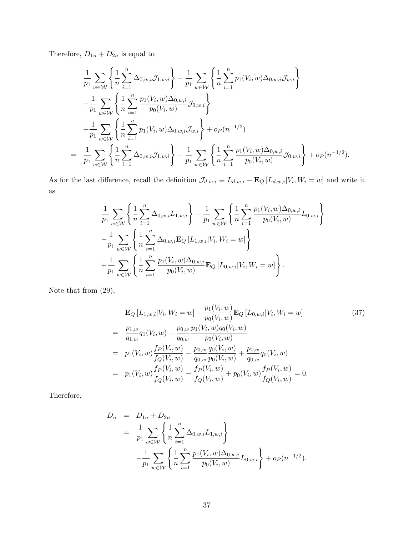Therefore,  $D_{1n} + D_{2n}$  is equal to

$$
\frac{1}{p_1} \sum_{w \in \mathcal{W}} \left\{ \frac{1}{n} \sum_{i=1}^n \Delta_{0,w,i} \mathcal{J}_{1,w,i} \right\} - \frac{1}{p_1} \sum_{w \in \mathcal{W}} \left\{ \frac{1}{n} \sum_{i=1}^n p_1(V_i, w) \Delta_{0,w,i} \mathcal{J}_{w,i} \right\} \n- \frac{1}{p_1} \sum_{w \in \mathcal{W}} \left\{ \frac{1}{n} \sum_{i=1}^n \frac{p_1(V_i, w) \Delta_{0,w,i}}{p_0(V_i, w)} \mathcal{J}_{0,w,i} \right\} \n+ \frac{1}{p_1} \sum_{w \in \mathcal{W}} \left\{ \frac{1}{n} \sum_{i=1}^n p_1(V_i, w) \Delta_{0,w,i} \mathcal{J}_{w,i} \right\} + o_P(n^{-1/2}) \n= \frac{1}{p_1} \sum_{w \in \mathcal{W}} \left\{ \frac{1}{n} \sum_{i=1}^n \Delta_{0,w,i} \mathcal{J}_{1,w,i} \right\} - \frac{1}{p_1} \sum_{w \in \mathcal{W}} \left\{ \frac{1}{n} \sum_{i=1}^n \frac{p_1(V_i, w) \Delta_{0,w,i}}{p_0(V_i, w)} \mathcal{J}_{0,w,i} \right\} + o_P(n^{-1/2}).
$$

As for the last difference, recall the definition  $\mathcal{J}_{d,w,i} \equiv L_{d,w,i} - \mathbf{E}_Q [L_{d,w,i}|V_i, W_i = w]$  and write it as

$$
\frac{1}{p_1} \sum_{w \in \mathcal{W}} \left\{ \frac{1}{n} \sum_{i=1}^n \Delta_{0,w,i} L_{1,w,i} \right\} - \frac{1}{p_1} \sum_{w \in \mathcal{W}} \left\{ \frac{1}{n} \sum_{i=1}^n \frac{p_1(V_i, w) \Delta_{0,w,i}}{p_0(V_i, w)} L_{0,w,i} \right\} \n- \frac{1}{p_1} \sum_{w \in \mathcal{W}} \left\{ \frac{1}{n} \sum_{i=1}^n \Delta_{0,w,i} \mathbf{E}_Q \left[ L_{1,w,i} | V_i, W_i = w \right] \right\} \n+ \frac{1}{p_1} \sum_{w \in \mathcal{W}} \left\{ \frac{1}{n} \sum_{i=1}^n \frac{p_1(V_i, w) \Delta_{0,w,i}}{p_0(V_i, w)} \mathbf{E}_Q \left[ L_{0,w,i} | V_i, W_i = w \right] \right\}.
$$

Note that from (29),

$$
\mathbf{E}_{Q}[L_{1,w,i}|V_{i}, W_{i} = w] - \frac{p_{1}(V_{i}, w)}{p_{0}(V_{i}, w)} \mathbf{E}_{Q}[L_{0,w,i}|V_{i}, W_{i} = w]
$$
\n
$$
= \frac{p_{1,w}}{q_{1,w}} q_{1}(V_{i}, w) - \frac{p_{0,w}}{q_{0,w}} \frac{p_{1}(V_{i}, w) q_{0}(V_{i}, w)}{p_{0}(V_{i}, w)}
$$
\n
$$
= p_{1}(V_{i}, w) \frac{f_{P}(V_{i}, w)}{f_{Q}(V_{i}, w)} - \frac{p_{0,w}}{q_{0,w}} \frac{q_{0}(V_{i}, w)}{p_{0}(V_{i}, w)} + \frac{p_{0,w}}{q_{0,w}} q_{0}(V_{i}, w)
$$
\n
$$
= p_{1}(V_{i}, w) \frac{f_{P}(V_{i}, w)}{f_{Q}(V_{i}, w)} - \frac{f_{P}(V_{i}, w)}{f_{Q}(V_{i}, w)} + p_{0}(V_{i}, w) \frac{f_{P}(V_{i}, w)}{f_{Q}(V_{i}, w)} = 0.
$$
\n(37)

Therefore,

$$
D_n = D_{1n} + D_{2n}
$$
  
=  $\frac{1}{p_1} \sum_{w \in \mathcal{W}} \left\{ \frac{1}{n} \sum_{i=1}^n \Delta_{0,w,i} L_{1,w,i} \right\}$   
 $- \frac{1}{p_1} \sum_{w \in \mathcal{W}} \left\{ \frac{1}{n} \sum_{i=1}^n \frac{p_1(V_i, w) \Delta_{0,w,i}}{p_0(V_i, w)} L_{0,w,i} \right\} + o_P(n^{-1/2}).$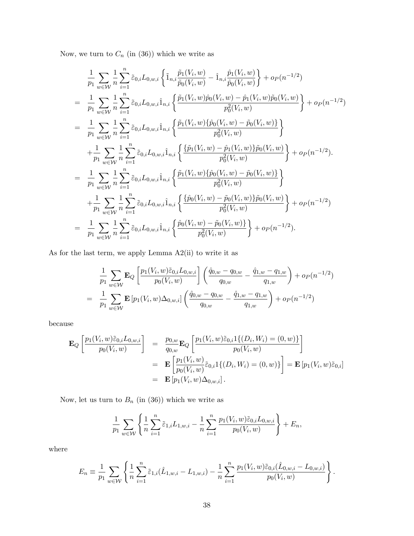Now, we turn to  $C_n$  (in  $\left(36\right))$  which we write as

$$
\frac{1}{p_1} \sum_{w \in \mathcal{W}} \frac{1}{n} \sum_{i=1}^n \tilde{\varepsilon}_{0,i} L_{0,w,i} \left\{ \tilde{1}_{n,i} \frac{\tilde{p}_1(V_i, w)}{\tilde{p}_0(V_i, w)} - \hat{1}_{n,i} \frac{\hat{p}_1(V_i, w)}{\hat{p}_0(V_i, w)} \right\} + o_P(n^{-1/2})
$$
\n
$$
= \frac{1}{p_1} \sum_{w \in \mathcal{W}} \frac{1}{n} \sum_{i=1}^n \tilde{\varepsilon}_{0,i} L_{0,w,i} \hat{1}_{n,i} \left\{ \frac{\tilde{p}_1(V_i, w)\tilde{p}_0(V_i, w) - \hat{p}_1(V_i, w)\tilde{p}_0(V_i, w)}{\tilde{p}_0^2(V_i, w)} \right\} + o_P(n^{-1/2})
$$
\n
$$
= \frac{1}{p_1} \sum_{w \in \mathcal{W}} \frac{1}{n} \sum_{i=1}^n \tilde{\varepsilon}_{0,i} L_{0,w,i} \hat{1}_{n,i} \left\{ \frac{\tilde{p}_1(V_i, w)\{\hat{p}_0(V_i, w) - \tilde{p}_0(V_i, w)\}}{\tilde{p}_0^2(V_i, w)} \right\}
$$
\n
$$
+ \frac{1}{p_1} \sum_{w \in \mathcal{W}} \frac{1}{n} \sum_{i=1}^n \tilde{\varepsilon}_{0,i} L_{0,w,i} \hat{1}_{n,i} \left\{ \frac{\{\tilde{p}_1(V_i, w) - \hat{p}_1(V_i, w)\}\tilde{p}_0(V_i, w)}{\tilde{p}_0^2(V_i, w)} \right\} + o_P(n^{-1/2}).
$$
\n
$$
= \frac{1}{p_1} \sum_{w \in \mathcal{W}} \frac{1}{n} \sum_{i=1}^n \tilde{\varepsilon}_{0,i} L_{0,w,i} \hat{1}_{n,i} \left\{ \frac{\tilde{p}_1(V_i, w)\{\hat{p}_0(V_i, w) - \tilde{p}_0(V_i, w)\}}{\tilde{p}_0^2(V_i, w)} \right\} + o_P(n^{-1/2})
$$
\n
$$
= \frac{1}{p_1} \sum_{w \in \mathcal{W}} \frac{1}{n} \sum_{i=1}^n \til
$$

As for the last term, we apply Lemma A2(ii) to write it as

$$
\frac{1}{p_1} \sum_{w \in \mathcal{W}} \mathbf{E}_Q \left[ \frac{p_1(V_i, w) \tilde{\varepsilon}_{0,i} L_{0,w,i}}{p_0(V_i, w)} \right] \left( \frac{\hat{q}_{0,w} - q_{0,w}}{q_{0,w}} - \frac{\hat{q}_{1,w} - q_{1,w}}{q_{1,w}} \right) + o_P(n^{-1/2})
$$
\n
$$
= \frac{1}{p_1} \sum_{w \in \mathcal{W}} \mathbf{E} \left[ p_1(V_i, w) \Delta_{0,w,i} \right] \left( \frac{\hat{q}_{0,w} - q_{0,w}}{q_{0,w}} - \frac{\hat{q}_{1,w} - q_{1,w}}{q_{1,w}} \right) + o_P(n^{-1/2})
$$

because

$$
\mathbf{E}_{Q}\left[\frac{p_{1}(V_{i}, w)\tilde{\varepsilon}_{0,i}L_{0,w,i}}{p_{0}(V_{i}, w)}\right] = \frac{p_{0,w}}{q_{0,w}}\mathbf{E}_{Q}\left[\frac{p_{1}(V_{i}, w)\tilde{\varepsilon}_{0,i}1\{(D_{i}, W_{i}) = (0, w)\}}{p_{0}(V_{i}, w)}\right]
$$
\n
$$
= \mathbf{E}\left[\frac{p_{1}(V_{i}, w)}{p_{0}(V_{i}, w)}\tilde{\varepsilon}_{0,i}1\{(D_{i}, W_{i}) = (0, w)\}\right] = \mathbf{E}\left[p_{1}(V_{i}, w)\tilde{\varepsilon}_{0,i}\right]
$$
\n
$$
= \mathbf{E}\left[p_{1}(V_{i}, w)\Delta_{0,w,i}\right].
$$

Now, let us turn to  $B_n$  (in (36)) which we write as

$$
\frac{1}{p_1} \sum_{w \in \mathcal{W}} \left\{ \frac{1}{n} \sum_{i=1}^n \tilde{\varepsilon}_{1,i} L_{1,w,i} - \frac{1}{n} \sum_{i=1}^n \frac{p_1(V_i, w) \tilde{\varepsilon}_{0,i} L_{0,w,i}}{p_0(V_i, w)} \right\} + E_n,
$$

where

$$
E_n \equiv \frac{1}{p_1} \sum_{w \in \mathcal{W}} \left\{ \frac{1}{n} \sum_{i=1}^n \tilde{\varepsilon}_{1,i} (\hat{L}_{1,w,i} - L_{1,w,i}) - \frac{1}{n} \sum_{i=1}^n \frac{p_1(V_i, w) \tilde{\varepsilon}_{0,i} (\hat{L}_{0,w,i} - L_{0,w,i})}{p_0(V_i, w)} \right\}.
$$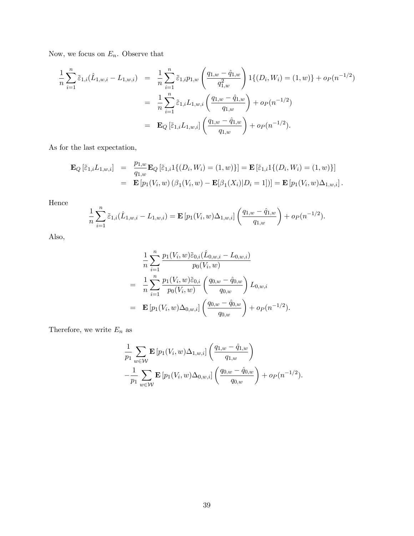Now, we focus on  $\mathcal{E}_n.$  Observe that

$$
\frac{1}{n} \sum_{i=1}^{n} \tilde{\varepsilon}_{1,i} (\hat{L}_{1,w,i} - L_{1,w,i}) = \frac{1}{n} \sum_{i=1}^{n} \tilde{\varepsilon}_{1,i} p_{1,w} \left( \frac{q_{1,w} - \hat{q}_{1,w}}{q_{1,w}^2} \right) 1 \{ (D_i, W_i) = (1, w) \} + o_P(n^{-1/2})
$$
\n
$$
= \frac{1}{n} \sum_{i=1}^{n} \tilde{\varepsilon}_{1,i} L_{1,w,i} \left( \frac{q_{1,w} - \hat{q}_{1,w}}{q_{1,w}} \right) + o_P(n^{-1/2})
$$
\n
$$
= \mathbf{E}_Q \left[ \tilde{\varepsilon}_{1,i} L_{1,w,i} \right] \left( \frac{q_{1,w} - \hat{q}_{1,w}}{q_{1,w}} \right) + o_P(n^{-1/2}).
$$

As for the last expectation,

$$
\mathbf{E}_{Q} \left[ \tilde{\varepsilon}_{1,i} L_{1,w,i} \right] = \frac{p_{1,w}}{q_{1,w}} \mathbf{E}_{Q} \left[ \tilde{\varepsilon}_{1,i} 1\{ (D_i, W_i) = (1, w) \} \right] = \mathbf{E} \left[ \tilde{\varepsilon}_{1,i} 1\{ (D_i, W_i) = (1, w) \} \right]
$$
  
\n
$$
= \mathbf{E} \left[ p_1(V_i, w) \left( \beta_1(V_i, w) - \mathbf{E}[\beta_1(X_i)|D_i = 1] \right) \right] = \mathbf{E} \left[ p_1(V_i, w) \Delta_{1,w,i} \right].
$$

Hence

$$
\frac{1}{n}\sum_{i=1}^n \tilde{\varepsilon}_{1,i}(\hat{L}_{1,w,i}-L_{1,w,i}) = \mathbf{E}\left[p_1(V_i,w)\Delta_{1,w,i}\right]\left(\frac{q_{1,w}-\hat{q}_{1,w}}{q_{1,w}}\right) + o_P(n^{-1/2}).
$$

Also,

$$
\frac{1}{n} \sum_{i=1}^{n} \frac{p_1(V_i, w) \tilde{\varepsilon}_{0,i} (\hat{L}_{0,w,i} - L_{0,w,i})}{p_0(V_i, w)} \n= \frac{1}{n} \sum_{i=1}^{n} \frac{p_1(V_i, w) \tilde{\varepsilon}_{0,i}}{p_0(V_i, w)} \left(\frac{q_{0,w} - \hat{q}_{0,w}}{q_{0,w}}\right) L_{0,w,i} \n= \mathbf{E} \left[ p_1(V_i, w) \Delta_{0,w,i} \right] \left(\frac{q_{0,w} - \hat{q}_{0,w}}{q_{0,w}}\right) + o_P(n^{-1/2}).
$$

Therefore, we write  $E_n$  as

$$
\frac{1}{p_1} \sum_{w \in \mathcal{W}} \mathbf{E} \left[ p_1(V_i, w) \Delta_{1, w, i} \right] \left( \frac{q_{1, w} - \hat{q}_{1, w}}{q_{1, w}} \right) \n- \frac{1}{p_1} \sum_{w \in \mathcal{W}} \mathbf{E} \left[ p_1(V_i, w) \Delta_{0, w, i} \right] \left( \frac{q_{0, w} - \hat{q}_{0, w}}{q_{0, w}} \right) + o_P(n^{-1/2}).
$$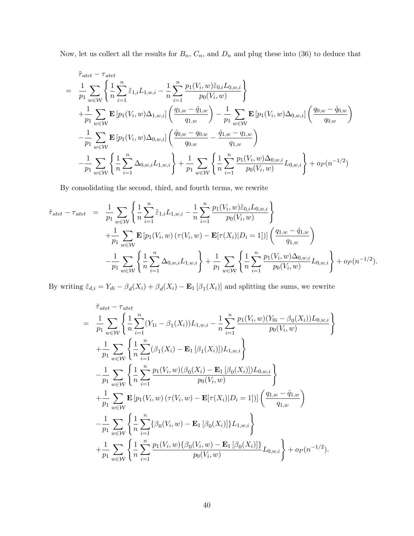Now, let us collect all the results for  $B_n$ ,  $C_n$ , and  $D_n$  and plug these into (36) to deduce that

$$
\tilde{\tau}_{\text{atet}} - \tau_{\text{atet}} \\
= \frac{1}{p_1} \sum_{w \in \mathcal{W}} \left\{ \frac{1}{n} \sum_{i=1}^n \tilde{\varepsilon}_{1,i} L_{1,w,i} - \frac{1}{n} \sum_{i=1}^n \frac{p_1(V_i, w) \tilde{\varepsilon}_{0,i} L_{0,w,i}}{p_0(V_i, w)} \right\} \\
+ \frac{1}{p_1} \sum_{w \in \mathcal{W}} \mathbf{E} \left[ p_1(V_i, w) \Delta_{1,w,i} \right] \left( \frac{q_{1,w} - \hat{q}_{1,w}}{q_{1,w}} \right) - \frac{1}{p_1} \sum_{w \in \mathcal{W}} \mathbf{E} \left[ p_1(V_i, w) \Delta_{0,w,i} \right] \left( \frac{q_{0,w} - \hat{q}_{0,w}}{q_{0,w}} \right) \\
- \frac{1}{p_1} \sum_{w \in \mathcal{W}} \mathbf{E} \left[ p_1(V_i, w) \Delta_{0,w,i} \right] \left( \frac{\hat{q}_{0,w} - q_{0,w}}{q_{0,w}} - \frac{\hat{q}_{1,w} - q_{1,w}}{q_{1,w}} \right) \\
- \frac{1}{p_1} \sum_{w \in \mathcal{W}} \left\{ \frac{1}{n} \sum_{i=1}^n \Delta_{0,w,i} L_{1,w,i} \right\} + \frac{1}{p_1} \sum_{w \in \mathcal{W}} \left\{ \frac{1}{n} \sum_{i=1}^n \frac{p_1(V_i, w) \Delta_{0,w,i}}{p_0(V_i, w)} L_{0,w,i} \right\} + o_P(n^{-1/2})
$$

By consolidating the second, third, and fourth terms, we rewrite

$$
\tilde{\tau}_{\text{atet}} - \tau_{\text{atet}} = \frac{1}{p_1} \sum_{w \in \mathcal{W}} \left\{ \frac{1}{n} \sum_{i=1}^n \tilde{\epsilon}_{1,i} L_{1,w,i} - \frac{1}{n} \sum_{i=1}^n \frac{p_1(V_i, w) \tilde{\epsilon}_{0,i} L_{0,w,i}}{p_0(V_i, w)} \right\} \n+ \frac{1}{p_1} \sum_{w \in \mathcal{W}} \mathbf{E} \left[ p_1(V_i, w) \left( \tau(V_i, w) - \mathbf{E} [\tau(X_i) | D_i = 1] \right) \right] \left( \frac{q_{1,w} - \hat{q}_{1,w}}{q_{1,w}} \right) \n- \frac{1}{p_1} \sum_{w \in \mathcal{W}} \left\{ \frac{1}{n} \sum_{i=1}^n \Delta_{0,w,i} L_{1,w,i} \right\} + \frac{1}{p_1} \sum_{w \in \mathcal{W}} \left\{ \frac{1}{n} \sum_{i=1}^n \frac{p_1(V_i, w) \Delta_{0,w,i}}{p_0(V_i, w)} L_{0,w,i} \right\} + o_P(n^{-1/2}).
$$

By writing  $\tilde{\varepsilon}_{d,i} = Y_{di} - \beta_d(X_i) + \beta_d(X_i) - \mathbf{E}_1[\beta_1(X_i)]$  and splitting the sums, we rewrite

$$
\tilde{\tau}_{\text{atet}} - \tau_{\text{atet}} \\
= \frac{1}{p_1} \sum_{w \in \mathcal{W}} \left\{ \frac{1}{n} \sum_{i=1}^n (Y_{1i} - \beta_1(X_i)) L_{1,w,i} - \frac{1}{n} \sum_{i=1}^n \frac{p_1(V_i, w)(Y_{0i} - \beta_0(X_i)) L_{0,w,i}}{p_0(V_i, w)} \right\} \\
+ \frac{1}{p_1} \sum_{w \in \mathcal{W}} \left\{ \frac{1}{n} \sum_{i=1}^n (\beta_1(X_i) - \mathbf{E}_1 [\beta_1(X_i)]) L_{1,w,i} \right\} \\
- \frac{1}{p_1} \sum_{w \in \mathcal{W}} \left\{ \frac{1}{n} \sum_{i=1}^n \frac{p_1(V_i, w)(\beta_0(X_i) - \mathbf{E}_1 [\beta_0(X_i)]) L_{0,w,i}}{p_0(V_i, w)} \right\} \\
+ \frac{1}{p_1} \sum_{w \in \mathcal{W}} \mathbf{E} [p_1(V_i, w) (\tau(V_i, w) - \mathbf{E} [\tau(X_i)|D_i = 1])] \left( \frac{q_{1,w} - \hat{q}_{1,w}}{q_{1,w}} \right) \\
- \frac{1}{p_1} \sum_{w \in \mathcal{W}} \left\{ \frac{1}{n} \sum_{i=1}^n \{ \beta_0(V_i, w) - \mathbf{E}_1 [\beta_0(X_i)] \} L_{1,w,i} \right\} \\
+ \frac{1}{p_1} \sum_{w \in \mathcal{W}} \left\{ \frac{1}{n} \sum_{i=1}^n \frac{p_1(V_i, w) \{ \beta_0(V_i, w) - \mathbf{E}_1 [\beta_0(X_i)] \} }{p_0(V_i, w)} L_{0,w,i} \right\} + o_P(n^{-1/2}).
$$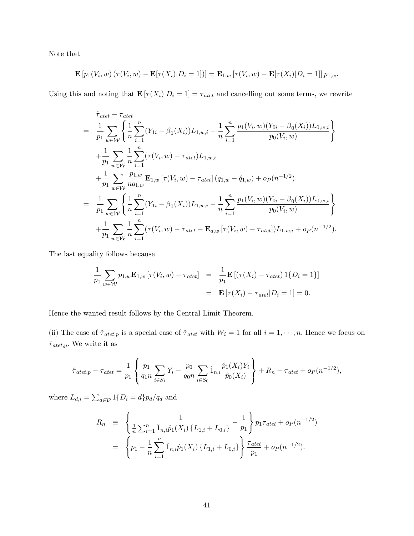Note that

$$
\mathbf{E}\left[p_1(V_i,w)\left(\tau(V_i,w)-\mathbf{E}[\tau(X_i)|D_i=1]\right)\right]=\mathbf{E}_{1,w}\left[\tau(V_i,w)-\mathbf{E}[\tau(X_i)|D_i=1]\right]p_{1,w}.
$$

Using this and noting that  $\mathbf{E} [\tau(X_i)|D_i = 1] = \tau_{\text{atet}}$  and cancelling out some terms, we rewrite

$$
\tilde{\tau}_{\text{atet}} - \tau_{\text{atet}} \\
= \frac{1}{p_1} \sum_{w \in \mathcal{W}} \left\{ \frac{1}{n} \sum_{i=1}^n (Y_{1i} - \beta_1(X_i)) L_{1,w,i} - \frac{1}{n} \sum_{i=1}^n \frac{p_1(V_i, w)(Y_{0i} - \beta_0(X_i)) L_{0,w,i}}{p_0(V_i, w)} \right\} \\
+ \frac{1}{p_1} \sum_{w \in \mathcal{W}} \frac{1}{n} \sum_{i=1}^n (\tau(V_i, w) - \tau_{\text{atet}}) L_{1,w,i} \\
+ \frac{1}{p_1} \sum_{w \in \mathcal{W}} \frac{p_{1,w}}{n q_{1,w}} \mathbf{E}_{1,w} [\tau(V_i, w) - \tau_{\text{atet}}] (q_{1,w} - \hat{q}_{1,w}) + o_P(n^{-1/2}) \\
= \frac{1}{p_1} \sum_{w \in \mathcal{W}} \left\{ \frac{1}{n} \sum_{i=1}^n (Y_{1i} - \beta_1(X_i)) L_{1,w,i} - \frac{1}{n} \sum_{i=1}^n \frac{p_1(V_i, w)(Y_{0i} - \beta_0(X_i)) L_{0,w,i}}{p_0(V_i, w)} \right\} \\
+ \frac{1}{p_1} \sum_{w \in \mathcal{W}} \frac{1}{n} \sum_{i=1}^n (\tau(V_i, w) - \tau_{\text{atet}} - \mathbf{E}_{d,w} [\tau(V_i, w) - \tau_{\text{atet}}]) L_{1,w,i} + o_P(n^{-1/2}).
$$

The last equality follows because

$$
\frac{1}{p_1} \sum_{w \in \mathcal{W}} p_{1,w} \mathbf{E}_{1,w} \left[ \tau(V_i, w) - \tau_{\text{atet}} \right] = \frac{1}{p_1} \mathbf{E} \left[ \left( \tau(X_i) - \tau_{\text{atet}} \right) \mathbf{1} \{ D_i = 1 \} \right]
$$
\n
$$
= \mathbf{E} \left[ \tau(X_i) - \tau_{\text{atet}} | D_i = 1 \right] = 0.
$$

Hence the wanted result follows by the Central Limit Theorem.

(ii) The case of  $\tilde{\tau}_{\text{atet},p}$  is a special case of  $\tilde{\tau}_{\text{atet}}$  with  $W_i = 1$  for all  $i = 1, \dots, n$ . Hence we focus on  $\hat{\tau}_{\textit{atet,p}}.$  We write it as

$$
\hat{\tau}_{\text{atet},p} - \tau_{\text{atet}} = \frac{1}{p_1} \left\{ \frac{p_1}{q_1 n} \sum_{i \in S_1} Y_i - \frac{p_0}{q_0 n} \sum_{i \in S_0} \hat{1}_{n,i} \frac{\hat{p}_1(X_i) Y_i}{\hat{p}_0(X_i)} \right\} + R_n - \tau_{\text{atet}} + o_P(n^{-1/2}),
$$

where  $L_{d,i} = \sum_{d \in \mathcal{D}} 1\{D_i = d\} p_d / q_d$  and

$$
R_n \equiv \left\{ \frac{1}{\frac{1}{n} \sum_{i=1}^n \hat{1}_{n,i} \hat{p}_1(X_i) \{L_{1,i} + L_{0,i}\}} - \frac{1}{p_1} \right\} p_1 \tau_{\text{atet}} + o_P(n^{-1/2})
$$
  

$$
= \left\{ p_1 - \frac{1}{n} \sum_{i=1}^n \hat{1}_{n,i} \hat{p}_1(X_i) \{L_{1,i} + L_{0,i}\} \right\} \frac{\tau_{\text{atet}}}{p_1} + o_P(n^{-1/2}).
$$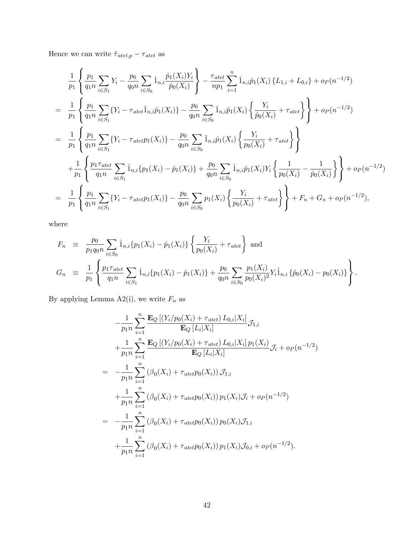Hence we can write  $\hat{\tau}_{\textit{atet},p} - \tau_{\textit{atet}}$  as

$$
\frac{1}{p_1} \left\{ \frac{p_1}{q_1 n} \sum_{i \in S_1} Y_i - \frac{p_0}{q_0 n} \sum_{i \in S_0} \hat{1}_{n,i} \frac{\hat{p}_1(X_i)Y_i}{\hat{p}_0(X_i)} \right\} - \frac{\tau_{atet}}{np_1} \sum_{i=1}^n \hat{1}_{n,i} \hat{p}_1(X_i) \{L_{1,i} + L_{0,i}\} + o_P(n^{-1/2})
$$
\n
$$
= \frac{1}{p_1} \left\{ \frac{p_1}{q_1 n} \sum_{i \in S_1} \{Y_i - \tau_{atet} \hat{1}_{n,i} \hat{p}_1(X_i)\} - \frac{p_0}{q_0 n} \sum_{i \in S_0} \hat{1}_{n,i} \hat{p}_1(X_i) \left\{ \frac{Y_i}{\hat{p}_0(X_i)} + \tau_{atet} \right\} \right\} + o_P(n^{-1/2})
$$
\n
$$
= \frac{1}{p_1} \left\{ \frac{p_1}{q_1 n} \sum_{i \in S_1} \{Y_i - \tau_{atet} p_1(X_i)\} - \frac{p_0}{q_0 n} \sum_{i \in S_0} \hat{1}_{n,i} \hat{p}_1(X_i) \left\{ \frac{Y_i}{p_0(X_i)} + \tau_{atet} \right\} \right\}
$$
\n
$$
+ \frac{1}{p_1} \left\{ \frac{p_1 \tau_{atet}}{q_1 n} \sum_{i \in S_1} \hat{1}_{n,i} \{p_1(X_i) - \hat{p}_1(X_i)\} + \frac{p_0}{q_0 n} \sum_{i \in S_0} \hat{1}_{n,i} \hat{p}_1(X_i)Y_i \left\{ \frac{1}{p_0(X_i)} - \frac{1}{\hat{p}_0(X_i)} \right\} \right\} + o_P(n^{-1/2})
$$
\n
$$
= \frac{1}{p_1} \left\{ \frac{p_1}{q_1 n} \sum_{i \in S_1} \{Y_i - \tau_{atet} p_1(X_i)\} - \frac{p_0}{q_0 n} \sum_{i \in S_0} p_1(X_i) \left\{ \frac{Y_i}{p_0(X_i)} + \tau_{atet} \right\} \right\} + F_n + G_n + o_P(n^{-1/2}),
$$

where

$$
F_n \equiv \frac{p_0}{p_1 q_0 n} \sum_{i \in S_0} \hat{1}_{n,i} \{p_1(X_i) - \hat{p}_1(X_i)\} \left\{ \frac{Y_i}{p_0(X_i)} + \tau_{\text{atet}} \right\} \text{ and}
$$
  
\n
$$
G_n \equiv \frac{1}{p_1} \left\{ \frac{p_1 \tau_{\text{atet}}}{q_1 n} \sum_{i \in S_1} \hat{1}_{n,i} \{p_1(X_i) - \hat{p}_1(X_i)\} + \frac{p_0}{q_0 n} \sum_{i \in S_0} \frac{p_1(X_i)}{p_0(X_i)^2} Y_i \hat{1}_{n,i} \{ \hat{p}_0(X_i) - p_0(X_i) \} \right\}.
$$

By applying Lemma A2(i), we write  $F_n$  as

$$
-\frac{1}{p_{1}n} \sum_{i=1}^{n} \frac{\mathbf{E}_{Q} [(Y_{i}/p_{0}(X_{i}) + \tau_{atet}) L_{0,i}|X_{i}]}{\mathbf{E}_{Q} [L_{i}|X_{i}]} \mathcal{J}_{1,i}
$$
  
+ 
$$
\frac{1}{p_{1}n} \sum_{i=1}^{n} \frac{\mathbf{E}_{Q} [(Y_{i}/p_{0}(X_{i}) + \tau_{atet}) L_{0,i}|X_{i}] p_{1}(X_{i})}{\mathbf{E}_{Q} [L_{i}|X_{i}]} \mathcal{J}_{i} + o_{P}(n^{-1/2})
$$
  
= 
$$
-\frac{1}{p_{1}n} \sum_{i=1}^{n} (\beta_{0}(X_{i}) + \tau_{atet} p_{0}(X_{i})) \mathcal{J}_{1,i}
$$
  
+ 
$$
\frac{1}{p_{1}n} \sum_{i=1}^{n} (\beta_{0}(X_{i}) + \tau_{atet} p_{0}(X_{i})) p_{1}(X_{i}) \mathcal{J}_{i} + o_{P}(n^{-1/2})
$$
  
= 
$$
-\frac{1}{p_{1}n} \sum_{i=1}^{n} (\beta_{0}(X_{i}) + \tau_{atet} p_{0}(X_{i})) p_{0}(X_{i}) \mathcal{J}_{1,i}
$$
  
+ 
$$
\frac{1}{p_{1}n} \sum_{i=1}^{n} (\beta_{0}(X_{i}) + \tau_{atet} p_{0}(X_{i})) p_{1}(X_{i}) \mathcal{J}_{0,i} + o_{P}(n^{-1/2}).
$$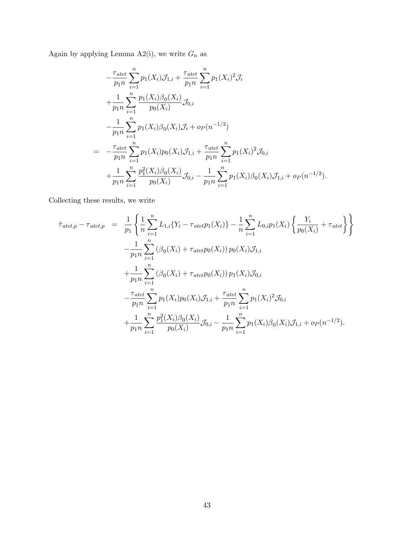Again by applying Lemma A2(i), we write  $G_n$  as

$$
-\frac{\tau_{atet}}{p_1 n} \sum_{i=1}^n p_1(X_i) \mathcal{J}_{1,i} + \frac{\tau_{atet}}{p_1 n} \sum_{i=1}^n p_1(X_i)^2 \mathcal{J}_i
$$
  
+ 
$$
\frac{1}{p_1 n} \sum_{i=1}^n \frac{p_1(X_i) \beta_0(X_i)}{p_0(X_i)} \mathcal{J}_{0,i}
$$
  
- 
$$
\frac{1}{p_1 n} \sum_{i=1}^n p_1(X_i) \beta_0(X_i) \mathcal{J}_i + o_P(n^{-1/2})
$$
  
= 
$$
-\frac{\tau_{atet}}{p_1 n} \sum_{i=1}^n p_1(X_i) p_0(X_i) \mathcal{J}_{1,i} + \frac{\tau_{atet}}{p_1 n} \sum_{i=1}^n p_1(X_i)^2 \mathcal{J}_{0,i}
$$
  
+ 
$$
\frac{1}{p_1 n} \sum_{i=1}^n \frac{p_1^2(X_i) \beta_0(X_i)}{p_0(X_i)} \mathcal{J}_{0,i} - \frac{1}{p_1 n} \sum_{i=1}^n p_1(X_i) \beta_0(X_i) \mathcal{J}_{1,i} + o_P(n^{-1/2}).
$$

Collecting these results, we write

$$
\hat{\tau}_{\text{atet},p} - \tau_{\text{atet},p} = \frac{1}{p_1} \left\{ \frac{1}{n} \sum_{i=1}^n L_{1,i} \{ Y_i - \tau_{\text{atet}} p_1(X_i) \} - \frac{1}{n} \sum_{i=1}^n L_{0,i} p_1(X_i) \left\{ \frac{Y_i}{p_0(X_i)} + \tau_{\text{atet}} \right\} \right\} \n- \frac{1}{p_1 n} \sum_{i=1}^n (\beta_0(X_i) + \tau_{\text{atet}} p_0(X_i)) p_0(X_i) \mathcal{J}_{1,i} \n+ \frac{1}{p_1 n} \sum_{i=1}^n (\beta_0(X_i) + \tau_{\text{atet}} p_0(X_i)) p_1(X_i) \mathcal{J}_{0,i} \n- \frac{\tau_{\text{atet}}}{p_1 n} \sum_{i=1}^n p_1(X_i) p_0(X_i) \mathcal{J}_{1,i} + \frac{\tau_{\text{atet}}}{p_1 n} \sum_{i=1}^n p_1(X_i)^2 \mathcal{J}_{0,i} \n+ \frac{1}{p_1 n} \sum_{i=1}^n \frac{p_1^2(X_i) \beta_0(X_i)}{p_0(X_i)} \mathcal{J}_{0,i} - \frac{1}{p_1 n} \sum_{i=1}^n p_1(X_i) \beta_0(X_i) \mathcal{J}_{1,i} + o_P(n^{-1/2}).
$$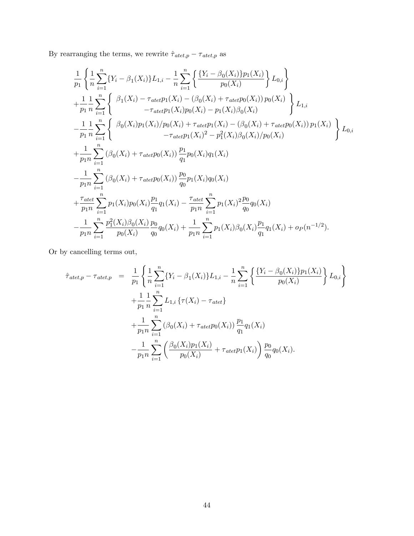By rearranging the terms, we rewrite  $\hat{\tau}_{\mathit{atet},p} - \tau_{\mathit{atet},p}$  as

$$
\frac{1}{p_{1}}\left\{\frac{1}{n}\sum_{i=1}^{n}\left\{Y_{i}-\beta_{1}(X_{i})\right\}L_{1,i}-\frac{1}{n}\sum_{i=1}^{n}\left\{\frac{\left\{Y_{i}-\beta_{0}(X_{i})\right\}p_{1}(X_{i})}{p_{0}(X_{i})}\right\}L_{0,i}\right\}+\frac{1}{p_{1}}\frac{1}{n}\sum_{i=1}^{n}\left\{\frac{\beta_{1}(X_{i})-\tau_{\text{det}}p_{1}(X_{i})-(\beta_{0}(X_{i})+\tau_{\text{det}}p_{0}(X_{i}))p_{0}(X_{i})}{-\tau_{\text{det}}p_{1}(X_{i})p_{0}(X_{i})-p_{1}(X_{i})\beta_{0}(X_{i})}\right\}L_{1,i}-\frac{1}{p_{1}}\frac{1}{n}\sum_{i=1}^{n}\left\{\frac{\beta_{0}(X_{i})p_{1}(X_{i})/p_{0}(X_{i})+\tau_{\text{det}}p_{1}(X_{i})-(\beta_{0}(X_{i})+\tau_{\text{det}}p_{0}(X_{i}))p_{1}(X_{i})}{-\tau_{\text{det}}p_{1}(X_{i})^{2}-p_{1}^{2}(X_{i})\beta_{0}(X_{i})/p_{0}(X_{i})}\right\}L_{0,i}+\frac{1}{p_{1}n}\sum_{i=1}^{n}\left(\beta_{0}(X_{i})+\tau_{\text{det}}p_{0}(X_{i})\right)\frac{p_{1}}{q_{1}}p_{0}(X_{i})q_{1}(X_{i})-\frac{1}{p_{1}n}\sum_{i=1}^{n}\left(\beta_{0}(X_{i})+\tau_{\text{det}}p_{0}(X_{i})\right)\frac{p_{0}}{q_{0}}p_{1}(X_{i})q_{0}(X_{i})+\frac{\tau_{\text{det}}}{p_{1}n}\sum_{i=1}^{n}p_{1}(X_{i})p_{0}(X_{i})\frac{p_{1}}{q_{1}}q_{1}(X_{i})-\frac{\tau_{\text{det}}}{p_{1}n}\sum_{i=1}^{n}p_{1}(X_{i})^{2}\frac{p_{0}}{q_{0}}q_{0}(X_{i})-\frac{1}{p_{1}n}\sum_{i=1}^{n}\frac{p_{1}^{2}(X_{i})\beta_{0}(X_{i})}{p_{0}(X_{
$$

Or by cancelling terms out,

$$
\hat{\tau}_{\text{atet},p} - \tau_{\text{atet},p} = \frac{1}{p_1} \left\{ \frac{1}{n} \sum_{i=1}^n \{ Y_i - \beta_1(X_i) \} L_{1,i} - \frac{1}{n} \sum_{i=1}^n \left\{ \frac{\{ Y_i - \beta_0(X_i) \} p_1(X_i)}{p_0(X_i)} \right\} L_{0,i} \right\} \n+ \frac{1}{p_1} \sum_{i=1}^n L_{1,i} \{ \tau(X_i) - \tau_{\text{atet}} \} \n+ \frac{1}{p_1 n} \sum_{i=1}^n (\beta_0(X_i) + \tau_{\text{atet}} p_0(X_i)) \frac{p_1}{q_1} q_1(X_i) \n- \frac{1}{p_1 n} \sum_{i=1}^n \left( \frac{\beta_0(X_i) p_1(X_i)}{p_0(X_i)} + \tau_{\text{atet}} p_1(X_i) \right) \frac{p_0}{q_0} q_0(X_i).
$$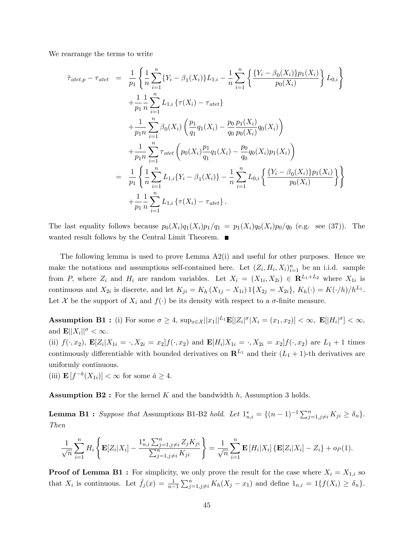We rearrange the terms to write

$$
\hat{\tau}_{\text{atet},p} - \tau_{\text{atet}} = \frac{1}{p_1} \left\{ \frac{1}{n} \sum_{i=1}^n \{Y_i - \beta_1(X_i)\} L_{1,i} - \frac{1}{n} \sum_{i=1}^n \left\{ \frac{\{Y_i - \beta_0(X_i)\} p_1(X_i)}{p_0(X_i)} \right\} L_{0,i} \right\} \n+ \frac{1}{p_1} \frac{1}{n} \sum_{i=1}^n L_{1,i} \{ \tau(X_i) - \tau_{\text{atet}} \} \n+ \frac{1}{p_1 n} \sum_{i=1}^n \beta_0(X_i) \left( \frac{p_1}{q_1} q_1(X_i) - \frac{p_0}{q_0} \frac{p_1(X_i)}{p_0(X_i)} q_0(X_i) \right) \n+ \frac{1}{p_1 n} \sum_{i=1}^n \tau_{\text{atet}} \left( p_0(X_i) \frac{p_1}{q_1} q_1(X_i) - \frac{p_0}{q_0} q_0(X_i) p_1(X_i) \right) \n= \frac{1}{p_1} \left\{ \frac{1}{n} \sum_{i=1}^n L_{1,i} \{ Y_i - \beta_1(X_i) \} - \frac{1}{n} \sum_{i=1}^n L_{0,i} \left\{ \frac{\{ Y_i - \beta_0(X_i) \} p_1(X_i)}{p_0(X_i)} \right\} \right\} \n+ \frac{1}{p_1} \frac{1}{n} \sum_{i=1}^n L_{1,i} \{ \tau(X_i) - \tau_{\text{atet}} \}.
$$

The last equality follows because  $p_0(X_i)q_1(X_i)p_1/q_1 = p_1(X_i)q_0(X_i)p_0/q_0$  (e.g. see (37)). The wanted result follows by the Central Limit Theorem.

The following lemma is used to prove Lemma A2(i) and useful for other purposes. Hence we make the notations and assumptions self-contained here. Let  $(Z_i, H_i, X_i)_{i=1}^n$  be an i.i.d. sample from P, where  $Z_i$  and  $H_i$  are random variables. Let  $X_i = (X_{1i}, X_{2i}) \in \mathbb{R}^{L_1 + L_2}$  where  $X_{1i}$  is continuous and  $X_{2i}$  is discrete, and let  $K_{ji} = K_h (X_{1j} - X_{1i}) 1\{X_{2j} = X_{2i}\}, K_h(\cdot) = K(\cdot/h)/h^{L_1}$ . Let X be the support of  $X_i$  and  $f(\cdot)$  be its density with respect to a  $\sigma$ -finite measure.

Assumption B1: (i) For some  $\sigma \geq 4$ ,  $\sup_{x \in \mathcal{X}} ||x_1||^{L_1} \mathbf{E}[[Z_i]^{\sigma} | X_i = (x_1, x_2)] < \infty$ ,  $\mathbf{E}[|H_i|^{\sigma}] < \infty$ , and  $\mathbf{E} \Vert X_i \Vert^{\sigma} < \infty$ . (ii)  $f(\cdot, x_2)$ ,  $\mathbf{E}[Z_i|X_{1i} = \cdot, X_{2i} = x_2]f(\cdot, x_2)$  and  $\mathbf{E}[H_i|X_{1i} = \cdot, X_{2i} = x_2]f(\cdot, x_2)$  are  $L_1 + 1$  times continuously differentiable with bounded derivatives on  $\mathbb{R}^{L_1}$  and their  $(L_1 + 1)$ -th derivatives are uniformly continuous.

(iii)  $\mathbf{E}[f^{-\bar{a}}(X_{1i})] < \infty$  for some  $\bar{a} \geq 4$ .

**Assumption B2**: For the kernel K and the bandwidth  $h$ , Assumption 3 holds.

**Lemma B1**: Suppose that Assumptions B1-B2 hold. Let  $1_{n,i}^* = \{(n-1)^{-1} \sum_{j=1,j\neq i}^n K_{ji} \ge \delta_n\}.$ Then

$$
\frac{1}{\sqrt{n}}\sum_{i=1}^n H_i \left\{ \mathbf{E}[Z_i|X_i] - \frac{1_{n,i}^* \sum_{j=1,j\neq i}^n Z_j K_{ji}}{\sum_{j=1,j\neq i}^n K_{ji}} \right\} = \frac{1}{\sqrt{n}}\sum_{i=1}^n \mathbf{E}[H_i|X_i] \left\{ \mathbf{E}[Z_i|X_i] - Z_i \right\} + o_P(1).
$$

**Proof of Lemma B1 :** For simplicity, we only prove the result for the case where  $X_i = X_{1,i}$  so that  $X_i$  is continuous. Let  $\hat{f}_j(x) = \frac{1}{n-1} \sum_{j=1, j\neq i}^{n} K_h(X_j - x_1)$  and define  $1_{n,i} = 1\{f(X_i) \ge \delta_n\}$ .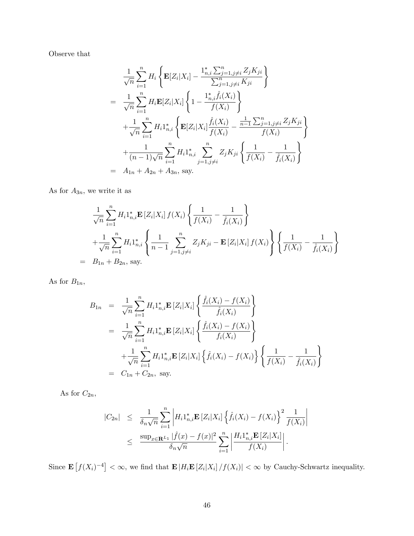Observe that

$$
\frac{1}{\sqrt{n}} \sum_{i=1}^{n} H_i \left\{ \mathbf{E}[Z_i|X_i] - \frac{1_{n,i}^* \sum_{j=1,j\neq i}^{n} Z_j K_{ji}}{\sum_{j=1,j\neq i}^{n} K_{ji}} \right\}
$$
\n
$$
= \frac{1}{\sqrt{n}} \sum_{i=1}^{n} H_i \mathbf{E}[Z_i|X_i] \left\{ 1 - \frac{1_{n,i}^* \hat{f}_i(X_i)}{f(X_i)} \right\}
$$
\n
$$
+ \frac{1}{\sqrt{n}} \sum_{i=1}^{n} H_i 1_{n,i}^* \left\{ \mathbf{E}[Z_i|X_i] \frac{\hat{f}_i(X_i)}{f(X_i)} - \frac{\frac{1}{n-1} \sum_{j=1,j\neq i}^{n} Z_j K_{ji}}{f(X_i)} \right\}
$$
\n
$$
+ \frac{1}{(n-1)\sqrt{n}} \sum_{i=1}^{n} H_i 1_{n,i}^* \sum_{j=1,j\neq i}^{n} Z_j K_{ji} \left\{ \frac{1}{f(X_i)} - \frac{1}{\hat{f}_i(X_i)} \right\}
$$
\n
$$
= A_{1n} + A_{2n} + A_{3n}, \text{ say.}
$$

As for  $\mathcal{A}_{3n},$  we write it as

$$
\frac{1}{\sqrt{n}} \sum_{i=1}^{n} H_i 1_{n,i}^* \mathbf{E} \left[ Z_i | X_i \right] f(X_i) \left\{ \frac{1}{f(X_i)} - \frac{1}{\hat{f}_i(X_i)} \right\} \n+ \frac{1}{\sqrt{n}} \sum_{i=1}^{n} H_i 1_{n,i}^* \left\{ \frac{1}{n-1} \sum_{j=1,j \neq i}^{n} Z_j K_{ji} - \mathbf{E} \left[ Z_i | X_i \right] f(X_i) \right\} \left\{ \frac{1}{f(X_i)} - \frac{1}{\hat{f}_i(X_i)} \right\} \n= B_{1n} + B_{2n}, \text{ say.}
$$

As for  $B_{1n}$ ,

$$
B_{1n} = \frac{1}{\sqrt{n}} \sum_{i=1}^{n} H_i 1_{n,i}^* \mathbf{E} [Z_i | X_i] \left\{ \frac{\hat{f}_i(X_i) - f(X_i)}{\hat{f}_i(X_i)} \right\}
$$
  
\n
$$
= \frac{1}{\sqrt{n}} \sum_{i=1}^{n} H_i 1_{n,i}^* \mathbf{E} [Z_i | X_i] \left\{ \frac{\hat{f}_i(X_i) - f(X_i)}{f_i(X_i)} \right\}
$$
  
\n
$$
+ \frac{1}{\sqrt{n}} \sum_{i=1}^{n} H_i 1_{n,i}^* \mathbf{E} [Z_i | X_i] \left\{ \hat{f}_i(X_i) - f(X_i) \right\} \left\{ \frac{1}{f(X_i)} - \frac{1}{\hat{f}_i(X_i)} \right\}
$$
  
\n
$$
= C_{1n} + C_{2n}, \text{ say.}
$$

As for  $C_{2n}$ ,

$$
|C_{2n}| \leq \frac{1}{\delta_n \sqrt{n}} \sum_{i=1}^n \left| H_i 1_{n,i}^* \mathbf{E} \left[ Z_i | X_i \right] \left\{ \hat{f}_i(X_i) - f(X_i) \right\}^2 \frac{1}{f(X_i)} \right|
$$
  
 
$$
\leq \frac{\sup_{x \in \mathbf{R}^{L_1}} |\hat{f}(x) - f(x)|^2}{\delta_n \sqrt{n}} \sum_{i=1}^n \left| \frac{H_i 1_{n,i}^* \mathbf{E} \left[ Z_i | X_i \right]}{f(X_i)} \right|.
$$

Since  $\mathbf{E}\left[f(X_i)^{-4}\right] < \infty$ , we find that  $\mathbf{E}\left[H_i\mathbf{E}\left[Z_i|X_i\right]/f(X_i)\right] < \infty$  by Cauchy-Schwartz inequality.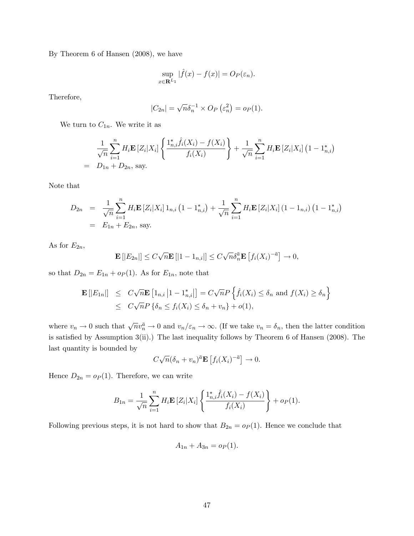By Theorem 6 of Hansen (2008), we have

$$
\sup_{x \in \mathbf{R}^{L_1}} |\hat{f}(x) - f(x)| = O_P(\varepsilon_n).
$$

Therefore,

$$
|C_{2n}| = \sqrt{n}\delta_n^{-1} \times O_P\left(\varepsilon_n^2\right) = o_P(1).
$$

We turn to  $C_{1n}$ . We write it as

$$
\frac{1}{\sqrt{n}} \sum_{i=1}^{n} H_i \mathbf{E} \left[ Z_i | X_i \right] \left\{ \frac{1_{n,i}^* \hat{f}_i(X_i) - f(X_i)}{f_i(X_i)} \right\} + \frac{1}{\sqrt{n}} \sum_{i=1}^{n} H_i \mathbf{E} \left[ Z_i | X_i \right] \left( 1 - 1_{n,i}^* \right)
$$
\n
$$
= D_{1n} + D_{2n}, \text{ say.}
$$

Note that

$$
D_{2n} = \frac{1}{\sqrt{n}} \sum_{i=1}^{n} H_i \mathbf{E} \left[ Z_i | X_i \right] 1_{n,i} \left( 1 - 1_{n,i}^* \right) + \frac{1}{\sqrt{n}} \sum_{i=1}^{n} H_i \mathbf{E} \left[ Z_i | X_i \right] \left( 1 - 1_{n,i} \right) \left( 1 - 1_{n,i}^* \right)
$$
  
=  $E_{1n} + E_{2n}$ , say.

As for  $E_{2n}$ ,

$$
\mathbf{E}\left[|E_{2n}|\right] \leq C\sqrt{n}\mathbf{E}\left[|1-\mathbb{1}_{n,i}|\right] \leq C\sqrt{n}\delta_n^{\bar{a}}\mathbf{E}\left[f_i(X_i)^{-\bar{a}}\right] \to 0,
$$

so that  $D_{2n} = E_{1n} + op(1)$ . As for  $E_{1n}$ , note that

$$
\mathbf{E}\left[\left|E_{1n}\right|\right] \leq C\sqrt{n}\mathbf{E}\left[1_{n,i}\left|1-1_{n,i}^{*}\right|\right] = C\sqrt{n}P\left\{\hat{f}_i(X_i) \leq \delta_n \text{ and } f(X_i) \geq \delta_n\right\}
$$
  

$$
\leq C\sqrt{n}P\left\{\delta_n \leq f_i(X_i) \leq \delta_n + v_n\right\} + o(1),
$$

where  $v_n \to 0$  such that  $\sqrt{n}v_n^{\bar{n}} \to 0$  and  $v_n/\varepsilon_n \to \infty$ . (If we take  $v_n = \delta_n$ , then the latter condition is satisfied by Assumption  $3(ii)$ .) The last inequality follows by Theorem 6 of Hansen (2008). The last quantity is bounded by

$$
C\sqrt{n}(\delta_n + v_n)^{\bar{a}} \mathbf{E}\left[f_i(X_i)^{-\bar{a}}\right] \to 0.
$$

Hence  $D_{2n} = o_P(1)$ . Therefore, we can write

$$
B_{1n} = \frac{1}{\sqrt{n}} \sum_{i=1}^{n} H_i \mathbf{E} \left[ Z_i | X_i \right] \left\{ \frac{1_{n,i}^* \hat{f}_i(X_i) - f(X_i)}{f_i(X_i)} \right\} + o_P(1).
$$

Following previous steps, it is not hard to show that  $B_{2n} = o_P(1)$ . Hence we conclude that

$$
A_{1n} + A_{3n} = o_P(1).
$$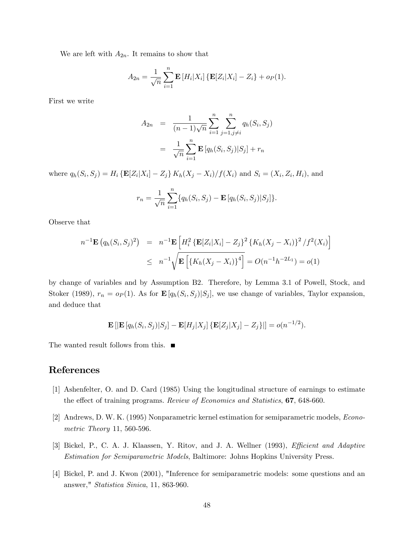We are left with  $A_{2n}$ . It remains to show that

$$
A_{2n} = \frac{1}{\sqrt{n}} \sum_{i=1}^{n} \mathbf{E} [H_i | X_i] \{ \mathbf{E} [Z_i | X_i] - Z_i \} + o_P(1).
$$

First we write

$$
A_{2n} = \frac{1}{(n-1)\sqrt{n}} \sum_{i=1}^{n} \sum_{j=1, j \neq i}^{n} q_h(S_i, S_j)
$$
  
= 
$$
\frac{1}{\sqrt{n}} \sum_{i=1}^{n} \mathbf{E} [q_h(S_i, S_j) | S_j] + r_n
$$

where  $q_h(S_i, S_j) = H_i \{ \mathbf{E}[Z_i | X_i] - Z_j \} K_h(X_j - X_i) / f(X_i)$  and  $S_i = (X_i, Z_i, H_i)$ , and

$$
r_n = \frac{1}{\sqrt{n}} \sum_{i=1}^n \{q_h(S_i, S_j) - \mathbf{E} [q_h(S_i, S_j) | S_j] \}.
$$

Observe that

$$
n^{-1}\mathbf{E}(q_h(S_i, S_j)^2) = n^{-1}\mathbf{E}\left[H_i^2\left\{\mathbf{E}[Z_i|X_i] - Z_j\right\}^2\left\{K_h(X_j - X_i)\right\}^2/f^2(X_i)\right]
$$
  
 
$$
\leq n^{-1}\sqrt{\mathbf{E}\left[\left\{K_h(X_j - X_i)\right\}^4\right]} = O(n^{-1}h^{-2L_1}) = o(1)
$$

by change of variables and by Assumption B2. Therefore, by Lemma 3.1 of Powell, Stock, and Stoker (1989),  $r_n = o_P(1)$ . As for  $\mathbf{E}[q_h(S_i, S_j)|S_j]$ , we use change of variables, Taylor expansion, and deduce that

$$
\mathbf{E}\left[|\mathbf{E}\left[q_h(S_i,S_j)|S_j\right]-\mathbf{E}[H_j|X_j]\left\{\mathbf{E}[Z_j|X_j]-Z_j\right\}\right|]=o(n^{-1/2}).
$$

The wanted result follows from this.  $\blacksquare$ 

#### References

- [1] Ashenfelter, O. and D. Card (1985) Using the longitudinal structure of earnings to estimate the effect of training programs. Review of Economics and Statistics, 67, 648-660.
- [2] Andrews, D. W. K. (1995) Nonparametric kernel estimation for semiparametric models, Econometric Theory 11, 560-596.
- [3] Bickel, P., C. A. J. Klaassen, Y. Ritov, and J. A. Wellner (1993), *Efficient and Adaptive* Estimation for Semiparametric Models, Baltimore: Johns Hopkins University Press.
- [4] Bickel, P. and J. Kwon (2001), "Inference for semiparametric models: some questions and an answer," Statistica Sinica, 11, 863-960.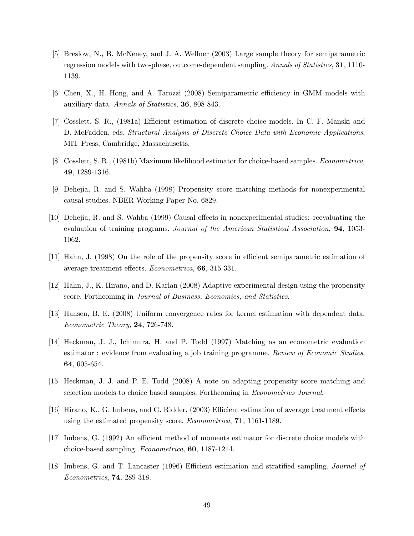- [5] Breslow, N., B. McNeney, and J. A. Wellner (2003) Large sample theory for semiparametric regression models with two-phase, outcome-dependent sampling. Annals of Statistics, 31, 1110- 1139.
- [6] Chen, X., H. Hong, and A. Tarozzi (2008) Semiparametric efficiency in GMM models with auxiliary data. Annals of Statistics, 36, 808-843.
- [7] Cosslett, S. R., (1981a) Efficient estimation of discrete choice models. In C. F. Manski and D. McFadden, eds. Structural Analysis of Discrete Choice Data with Economic Applications, MIT Press, Cambridge, Massachusetts.
- [8] Cosslett, S. R., (1981b) Maximum likelihood estimator for choice-based samples. Econometrica, 49, 1289-1316.
- [9] Dehejia, R. and S. Wahba (1998) Propensity score matching methods for nonexperimental causal studies. NBER Working Paper No. 6829.
- [10] Dehejia, R. and S. Wahba (1999) Causal effects in nonexperimental studies: reevaluating the evaluation of training programs. Journal of the American Statistical Association, 94, 1053- 1062.
- [11] Hahn, J. (1998) On the role of the propensity score in efficient semiparametric estimation of average treatment effects.  $Econometrica$ , 66, 315-331.
- [12] Hahn, J., K. Hirano, and D. Karlan (2008) Adaptive experimental design using the propensity score. Forthcoming in Journal of Business, Economics, and Statistics.
- [13] Hansen, B. E. (2008) Uniform convergence rates for kernel estimation with dependent data. Econometric Theory, 24, 726-748.
- [14] Heckman, J. J., Ichimura, H. and P. Todd (1997) Matching as an econometric evaluation estimator : evidence from evaluating a job training programme. Review of Economic Studies, 64, 605-654.
- [15] Heckman, J. J. and P. E. Todd (2008) A note on adapting propensity score matching and selection models to choice based samples. Forthcoming in Econometrics Journal.
- [16] Hirano, K., G. Imbens, and G. Ridder, (2003) Efficient estimation of average treatment effects using the estimated propensity score. Econometrica, 71, 1161-1189.
- [17] Imbens, G. (1992) An efficient method of moments estimator for discrete choice models with choice-based sampling. Econometrica, 60, 1187-1214.
- [18] Imbens, G. and T. Lancaster (1996) Efficient estimation and stratified sampling. Journal of Econometrics, 74, 289-318.